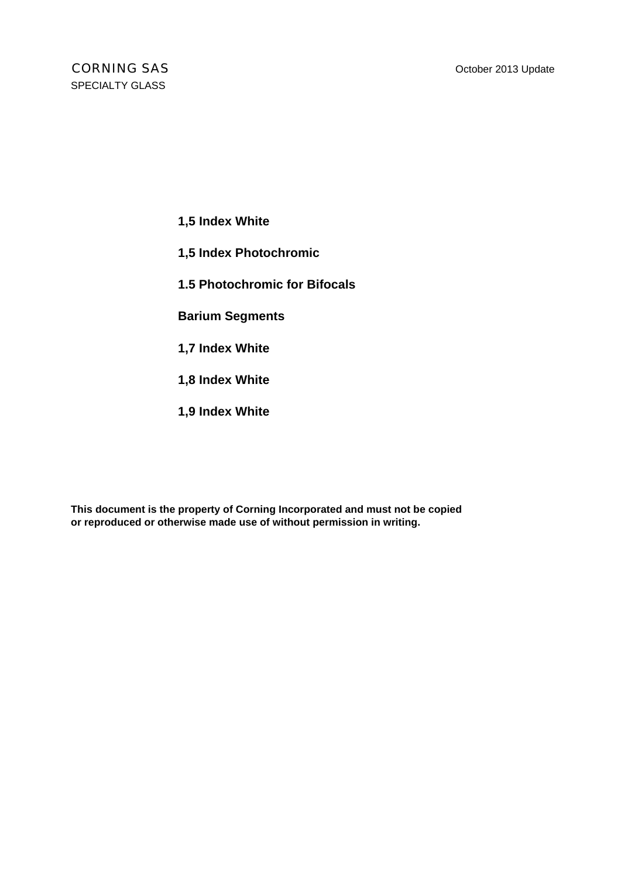- **1,5 Index White**
- **1,5 Index Photochromic**
- **1.5 Photochromic for Bifocals**
- **Barium Segments**
- **1,7 Index White**
- **1,8 Index White**
- **1,9 Index White**

**This document is the property of Corning Incorporated and must not be copied or reproduced or otherwise made use of without permission in writing.**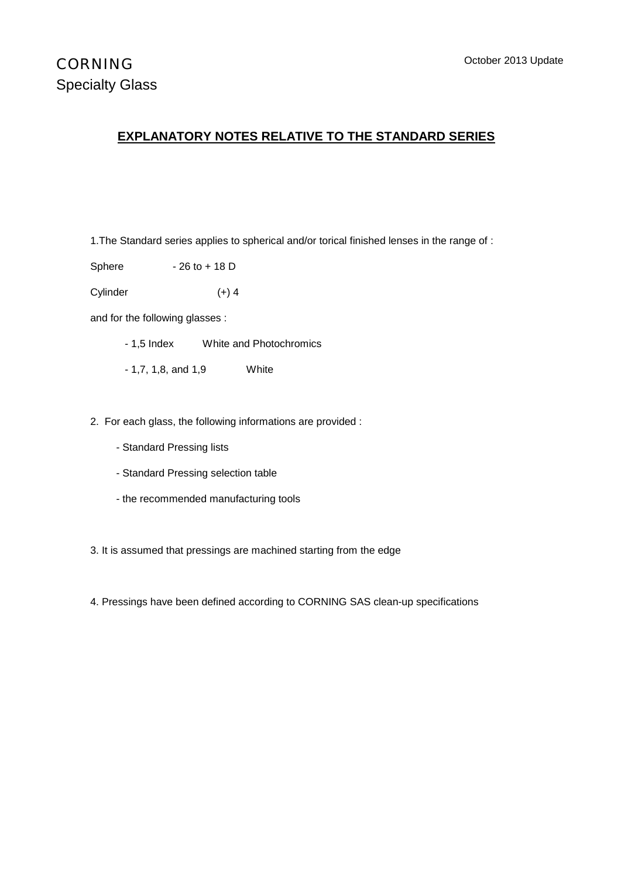#### **EXPLANATORY NOTES RELATIVE TO THE STANDARD SERIES**

1.The Standard series applies to spherical and/or torical finished lenses in the range of :

Sphere  $-26$  to  $+ 18$  D

Cylinder (+) 4

and for the following glasses :

- 1,5 Index White and Photochromics
- 1,7, 1,8, and 1,9 White
- 2. For each glass, the following informations are provided :
	- Standard Pressing lists
	- Standard Pressing selection table
	- the recommended manufacturing tools

3. It is assumed that pressings are machined starting from the edge

4. Pressings have been defined according to CORNING SAS clean-up specifications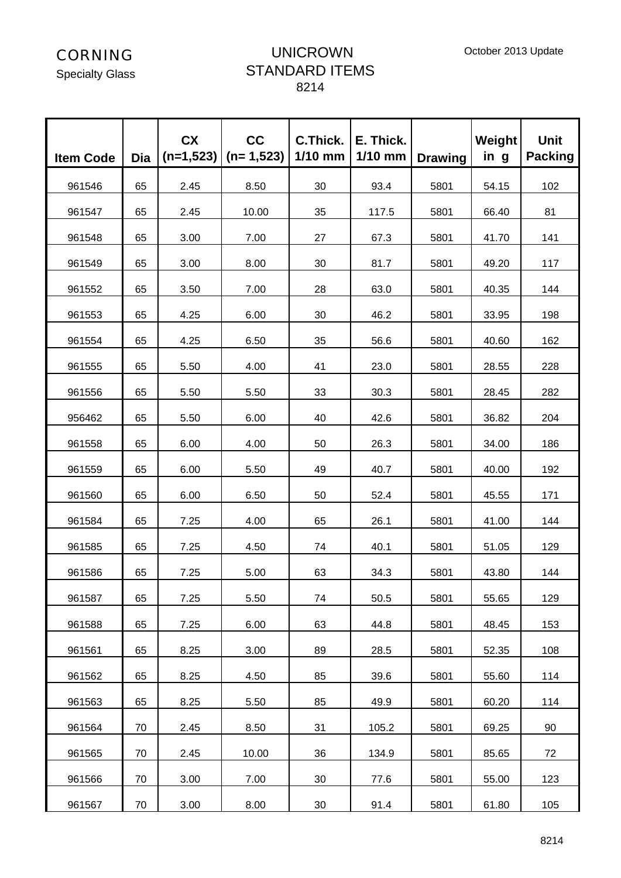Specialty Glass

## UNICROWN STANDARD ITEMS 8214

| <b>Item Code</b> | <b>Dia</b> | <b>CX</b><br>$(n=1,523)$ | cc<br>$(n=1,523)$ | C.Thick.<br>$1/10$ mm | E. Thick.<br>$1/10$ mm | <b>Drawing</b> | Weight<br>in g | <b>Unit</b><br><b>Packing</b> |
|------------------|------------|--------------------------|-------------------|-----------------------|------------------------|----------------|----------------|-------------------------------|
| 961546           | 65         | 2.45                     | 8.50              | 30                    | 93.4                   | 5801           | 54.15          | 102                           |
| 961547           | 65         | 2.45                     | 10.00             | 35                    | 117.5                  | 5801           | 66.40          | 81                            |
| 961548           | 65         | 3.00                     | 7.00              | 27                    | 67.3                   | 5801           | 41.70          | 141                           |
| 961549           | 65         | 3.00                     | 8.00              | 30                    | 81.7                   | 5801           | 49.20          | 117                           |
| 961552           | 65         | 3.50                     | 7.00              | 28                    | 63.0                   | 5801           | 40.35          | 144                           |
| 961553           | 65         | 4.25                     | 6.00              | 30                    | 46.2                   | 5801           | 33.95          | 198                           |
| 961554           | 65         | 4.25                     | 6.50              | 35                    | 56.6                   | 5801           | 40.60          | 162                           |
| 961555           | 65         | 5.50                     | 4.00              | 41                    | 23.0                   | 5801           | 28.55          | 228                           |
| 961556           | 65         | 5.50                     | 5.50              | 33                    | 30.3                   | 5801           | 28.45          | 282                           |
| 956462           | 65         | 5.50                     | 6.00              | 40                    | 42.6                   | 5801           | 36.82          | 204                           |
| 961558           | 65         | 6.00                     | 4.00              | 50                    | 26.3                   | 5801           | 34.00          | 186                           |
| 961559           | 65         | 6.00                     | 5.50              | 49                    | 40.7                   | 5801           | 40.00          | 192                           |
| 961560           | 65         | 6.00                     | 6.50              | 50                    | 52.4                   | 5801           | 45.55          | 171                           |
| 961584           | 65         | 7.25                     | 4.00              | 65                    | 26.1                   | 5801           | 41.00          | 144                           |
| 961585           | 65         | 7.25                     | 4.50              | 74                    | 40.1                   | 5801           | 51.05          | 129                           |
| 961586           | 65         | 7.25                     | 5.00              | 63                    | 34.3                   | 5801           | 43.80          | 144                           |
| 961587           | 65         | 7.25                     | 5.50              | 74                    | 50.5                   | 5801           | 55.65          | 129                           |
| 961588           | 65         | 7.25                     | 6.00              | 63                    | 44.8                   | 5801           | 48.45          | 153                           |
| 961561           | 65         | 8.25                     | 3.00              | 89                    | 28.5                   | 5801           | 52.35          | 108                           |
| 961562           | 65         | 8.25                     | 4.50              | 85                    | 39.6                   | 5801           | 55.60          | 114                           |
| 961563           | 65         | 8.25                     | 5.50              | 85                    | 49.9                   | 5801           | 60.20          | 114                           |
| 961564           | 70         | 2.45                     | 8.50              | 31                    | 105.2                  | 5801           | 69.25          | 90                            |
| 961565           | 70         | 2.45                     | 10.00             | 36                    | 134.9                  | 5801           | 85.65          | 72                            |
| 961566           | 70         | 3.00                     | 7.00              | 30                    | 77.6                   | 5801           | 55.00          | 123                           |
| 961567           | 70         | 3.00                     | 8.00              | 30                    | 91.4                   | 5801           | 61.80          | 105                           |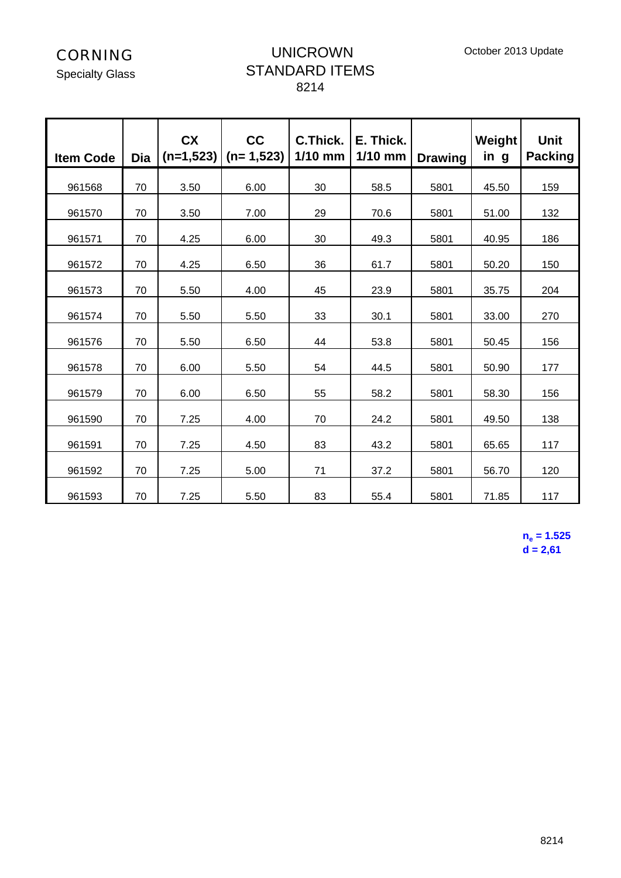Specialty Glass

## UNICROWN STANDARD ITEMS 8214

| <b>Item Code</b> | Dia | <b>CX</b> | cc<br>$(n=1,523)$ (n= 1,523) | C.Thick.<br>$1/10$ mm | E. Thick.<br>$1/10$ mm | <b>Drawing</b> | Weight<br>in g | <b>Unit</b><br><b>Packing</b> |
|------------------|-----|-----------|------------------------------|-----------------------|------------------------|----------------|----------------|-------------------------------|
| 961568           | 70  | 3.50      | 6.00                         | 30                    | 58.5                   | 5801           | 45.50          | 159                           |
| 961570           | 70  | 3.50      | 7.00                         | 29                    | 70.6                   | 5801           | 51.00          | 132                           |
| 961571           | 70  | 4.25      | 6.00                         | 30                    | 49.3                   | 5801           | 40.95          | 186                           |
| 961572           | 70  | 4.25      | 6.50                         | 36                    | 61.7                   | 5801           | 50.20          | 150                           |
| 961573           | 70  | 5.50      | 4.00                         | 45                    | 23.9                   | 5801           | 35.75          | 204                           |
| 961574           | 70  | 5.50      | 5.50                         | 33                    | 30.1                   | 5801           | 33.00          | 270                           |
| 961576           | 70  | 5.50      | 6.50                         | 44                    | 53.8                   | 5801           | 50.45          | 156                           |
| 961578           | 70  | 6.00      | 5.50                         | 54                    | 44.5                   | 5801           | 50.90          | 177                           |
| 961579           | 70  | 6.00      | 6.50                         | 55                    | 58.2                   | 5801           | 58.30          | 156                           |
| 961590           | 70  | 7.25      | 4.00                         | 70                    | 24.2                   | 5801           | 49.50          | 138                           |
| 961591           | 70  | 7.25      | 4.50                         | 83                    | 43.2                   | 5801           | 65.65          | 117                           |
| 961592           | 70  | 7.25      | 5.00                         | 71                    | 37.2                   | 5801           | 56.70          | 120                           |
| 961593           | 70  | 7.25      | 5.50                         | 83                    | 55.4                   | 5801           | 71.85          | 117                           |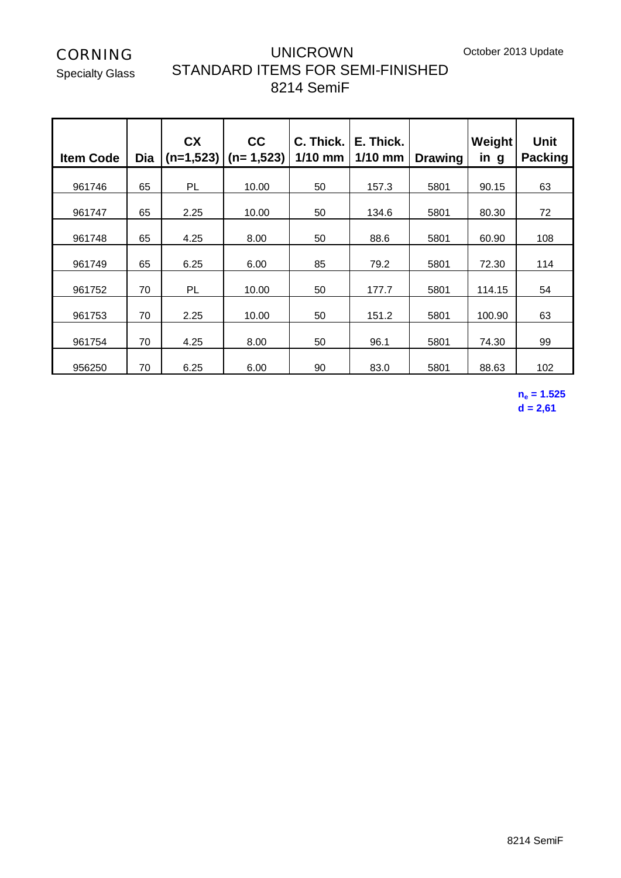October 2013 Update

CORNING

Specialty Glass

## UNICROWN STANDARD ITEMS FOR SEMI-FINISHED 8214 SemiF

| <b>Item Code</b> | Dia | <b>CX</b><br>$(n=1,523)$ | cc<br>$(n=1,523)$ | C. Thick.<br>$1/10$ mm | E. Thick.<br>$1/10$ mm | <b>Drawing</b> | Weight<br>in g | <b>Unit</b><br><b>Packing</b> |
|------------------|-----|--------------------------|-------------------|------------------------|------------------------|----------------|----------------|-------------------------------|
| 961746           | 65  | PL                       | 10.00             | 50                     | 157.3                  | 5801           | 90.15          | 63                            |
| 961747           | 65  | 2.25                     | 10.00             | 50                     | 134.6                  | 5801           | 80.30          | 72                            |
| 961748           | 65  | 4.25                     | 8.00              | 50                     | 88.6                   | 5801           | 60.90          | 108                           |
| 961749           | 65  | 6.25                     | 6.00              | 85                     | 79.2                   | 5801           | 72.30          | 114                           |
| 961752           | 70  | PL                       | 10.00             | 50                     | 177.7                  | 5801           | 114.15         | 54                            |
| 961753           | 70  | 2.25                     | 10.00             | 50                     | 151.2                  | 5801           | 100.90         | 63                            |
| 961754           | 70  | 4.25                     | 8.00              | 50                     | 96.1                   | 5801           | 74.30          | 99                            |
| 956250           | 70  | 6.25                     | 6.00              | 90                     | 83.0                   | 5801           | 88.63          | 102                           |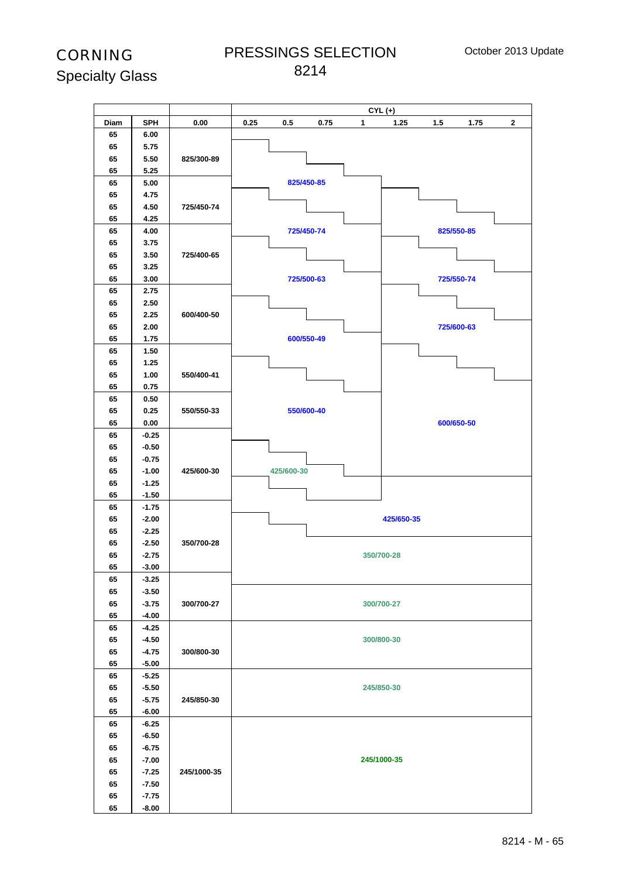## PRESSINGS SELECTION

|      |            |             |      |            |            |              | $CYL (+)$   |     |            |              |
|------|------------|-------------|------|------------|------------|--------------|-------------|-----|------------|--------------|
| Diam | <b>SPH</b> | 0.00        | 0.25 | 0.5        | 0.75       | $\mathbf{1}$ | 1.25        | 1.5 | 1.75       | $\mathbf{2}$ |
| 65   | 6.00       |             |      |            |            |              |             |     |            |              |
| 65   | 5.75       |             |      |            |            |              |             |     |            |              |
| 65   | 5.50       | 825/300-89  |      |            |            |              |             |     |            |              |
| 65   | 5.25       |             |      |            |            |              |             |     |            |              |
| 65   | 5.00       |             |      |            | 825/450-85 |              |             |     |            |              |
| 65   | 4.75       |             |      |            |            |              |             |     |            |              |
|      |            |             |      |            |            |              |             |     |            |              |
| 65   | 4.50       | 725/450-74  |      |            |            |              |             |     |            |              |
| 65   | 4.25       |             |      |            |            |              |             |     |            |              |
| 65   | 4.00       |             |      |            | 725/450-74 |              |             |     | 825/550-85 |              |
| 65   | 3.75       |             |      |            |            |              |             |     |            |              |
| 65   | 3.50       | 725/400-65  |      |            |            |              |             |     |            |              |
| 65   | 3.25       |             |      |            |            |              |             |     |            |              |
| 65   | 3.00       |             |      |            | 725/500-63 |              |             |     | 725/550-74 |              |
| 65   | 2.75       |             |      |            |            |              |             |     |            |              |
| 65   | 2.50       |             |      |            |            |              |             |     |            |              |
| 65   | 2.25       | 600/400-50  |      |            |            |              |             |     |            |              |
| 65   | 2.00       |             |      |            |            |              |             |     | 725/600-63 |              |
| 65   | 1.75       |             |      |            | 600/550-49 |              |             |     |            |              |
| 65   | 1.50       |             |      |            |            |              |             |     |            |              |
| 65   | 1.25       |             |      |            |            |              |             |     |            |              |
| 65   | 1.00       | 550/400-41  |      |            |            |              |             |     |            |              |
| 65   | 0.75       |             |      |            |            |              |             |     |            |              |
| 65   | 0.50       |             |      |            |            |              |             |     |            |              |
| 65   | 0.25       | 550/550-33  |      |            | 550/600-40 |              |             |     |            |              |
| 65   | 0.00       |             |      |            |            |              |             |     | 600/650-50 |              |
| 65   | $-0.25$    |             |      |            |            |              |             |     |            |              |
| 65   | $-0.50$    |             |      |            |            |              |             |     |            |              |
| 65   | $-0.75$    |             |      |            |            |              |             |     |            |              |
| 65   | $-1.00$    | 425/600-30  |      | 425/600-30 |            |              |             |     |            |              |
| 65   | $-1.25$    |             |      |            |            |              |             |     |            |              |
| 65   | $-1.50$    |             |      |            |            |              |             |     |            |              |
| 65   | $-1.75$    |             |      |            |            |              |             |     |            |              |
| 65   | $-2.00$    |             |      |            |            |              | 425/650-35  |     |            |              |
| 65   | $-2.25$    |             |      |            |            |              |             |     |            |              |
| 65   | $-2.50$    | 350/700-28  |      |            |            |              |             |     |            |              |
| 65   | $-2.75$    |             |      |            |            |              | 350/700-28  |     |            |              |
| 65   | $-3.00$    |             |      |            |            |              |             |     |            |              |
| 65   | $-3.25$    |             |      |            |            |              |             |     |            |              |
| 65   | $-3.50$    |             |      |            |            |              |             |     |            |              |
| 65   | $-3.75$    | 300/700-27  |      |            |            |              | 300/700-27  |     |            |              |
| 65   | $-4.00$    |             |      |            |            |              |             |     |            |              |
| 65   | $-4.25$    |             |      |            |            |              |             |     |            |              |
| 65   | $-4.50$    |             |      |            |            |              | 300/800-30  |     |            |              |
| 65   | $-4.75$    | 300/800-30  |      |            |            |              |             |     |            |              |
| 65   | $-5.00$    |             |      |            |            |              |             |     |            |              |
| 65   | $-5.25$    |             |      |            |            |              |             |     |            |              |
| 65   | $-5.50$    |             |      |            |            |              | 245/850-30  |     |            |              |
| 65   | $-5.75$    | 245/850-30  |      |            |            |              |             |     |            |              |
| 65   | $-6.00$    |             |      |            |            |              |             |     |            |              |
| 65   | $-6.25$    |             |      |            |            |              |             |     |            |              |
| 65   | $-6.50$    |             |      |            |            |              |             |     |            |              |
| 65   | $-6.75$    |             |      |            |            |              |             |     |            |              |
| 65   | $-7.00$    |             |      |            |            |              | 245/1000-35 |     |            |              |
| 65   | $-7.25$    | 245/1000-35 |      |            |            |              |             |     |            |              |
| 65   | $-7.50$    |             |      |            |            |              |             |     |            |              |
|      |            |             |      |            |            |              |             |     |            |              |
| 65   | $-7.75$    |             |      |            |            |              |             |     |            |              |
| 65   | $-8.00$    |             |      |            |            |              |             |     |            |              |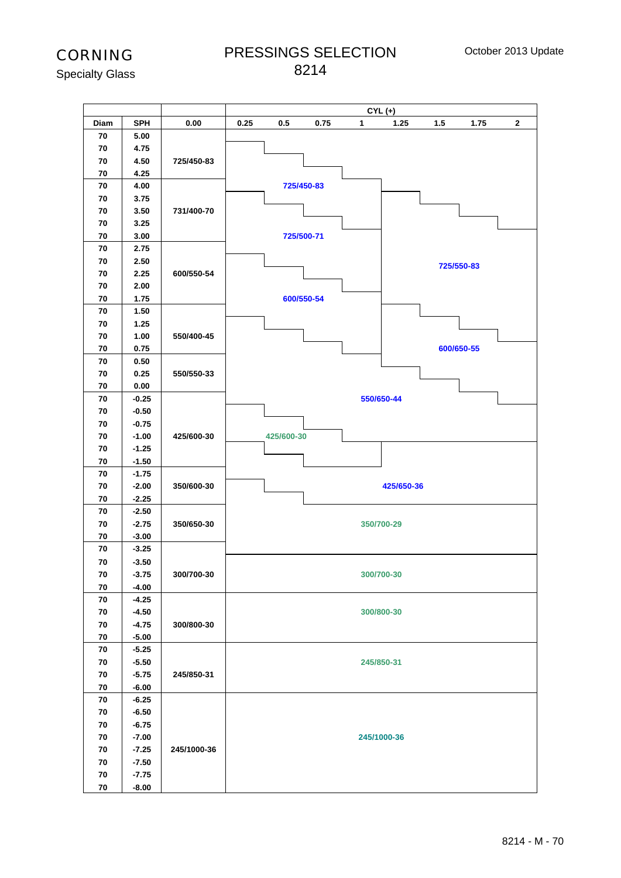PRESSINGS SELECTION 

Specialty Glass

|            |                    |             |      |            |            | $CYL (+)$   |            |       |            |              |
|------------|--------------------|-------------|------|------------|------------|-------------|------------|-------|------------|--------------|
| Diam       | <b>SPH</b>         | 0.00        | 0.25 | 0.5        | 0.75       | 1           | 1.25       | $1.5$ | 1.75       | $\mathbf{2}$ |
| 70         | 5.00               |             |      |            |            |             |            |       |            |              |
| 70         | 4.75               |             |      |            |            |             |            |       |            |              |
| 70         | 4.50               | 725/450-83  |      |            |            |             |            |       |            |              |
| 70         | 4.25               |             |      |            |            |             |            |       |            |              |
| 70         | 4.00               |             |      |            | 725/450-83 |             |            |       |            |              |
| 70         | 3.75               |             |      |            |            |             |            |       |            |              |
| 70         | 3.50               | 731/400-70  |      |            |            |             |            |       |            |              |
| 70         | 3.25               |             |      |            |            |             |            |       |            |              |
| 70         | 3.00               |             |      |            | 725/500-71 |             |            |       |            |              |
| 70         | 2.75               |             |      |            |            |             |            |       |            |              |
| 70         | 2.50               |             |      |            |            |             |            |       | 725/550-83 |              |
| 70         | 2.25               | 600/550-54  |      |            |            |             |            |       |            |              |
| 70         | 2.00               |             |      |            |            |             |            |       |            |              |
| 70         | 1.75               |             |      |            | 600/550-54 |             |            |       |            |              |
| 70         | 1.50               |             |      |            |            |             |            |       |            |              |
| 70         | 1.25               |             |      |            |            |             |            |       |            |              |
| 70         | 1.00               | 550/400-45  |      |            |            |             |            |       |            |              |
| 70         | 0.75               |             |      |            |            |             |            |       | 600/650-55 |              |
| 70         | 0.50               |             |      |            |            |             |            |       |            |              |
| 70         | 0.25               | 550/550-33  |      |            |            |             |            |       |            |              |
| 70         | 0.00               |             |      |            |            |             |            |       |            |              |
| 70         | $-0.25$            |             |      |            |            | 550/650-44  |            |       |            |              |
| 70         | $-0.50$            |             |      |            |            |             |            |       |            |              |
| 70         | $-0.75$            |             |      |            |            |             |            |       |            |              |
| 70         | $-1.00$            | 425/600-30  |      | 425/600-30 |            |             |            |       |            |              |
| 70         | $-1.25$            |             |      |            |            |             |            |       |            |              |
| 70         | $-1.50$            |             |      |            |            |             |            |       |            |              |
| 70         | $-1.75$            |             |      |            |            |             |            |       |            |              |
| 70         | $-2.00$            | 350/600-30  |      |            |            |             | 425/650-36 |       |            |              |
| 70         | $-2.25$            |             |      |            |            |             |            |       |            |              |
| 70         | $-2.50$            |             |      |            |            |             |            |       |            |              |
| 70         | $-2.75$            | 350/650-30  |      |            |            | 350/700-29  |            |       |            |              |
| 70         | $-3.00$            |             |      |            |            |             |            |       |            |              |
| 70         | $-3.25$            |             |      |            |            |             |            |       |            |              |
| 70         | $-3.50$            |             |      |            |            |             |            |       |            |              |
| 70         | $-3.75$            | 300/700-30  |      |            |            | 300/700-30  |            |       |            |              |
| 70         | $-4.00$            |             |      |            |            |             |            |       |            |              |
| 70         | $-4.25$            |             |      |            |            |             |            |       |            |              |
| 70         | $-4.50$            |             |      |            |            | 300/800-30  |            |       |            |              |
| 70         | $-4.75$            | 300/800-30  |      |            |            |             |            |       |            |              |
| 70         | $-5.00$            |             |      |            |            |             |            |       |            |              |
| 70         | $-5.25$            |             |      |            |            |             |            |       |            |              |
| 70<br>70   | $-5.50$<br>$-5.75$ | 245/850-31  |      |            |            | 245/850-31  |            |       |            |              |
| 70         | $-6.00$            |             |      |            |            |             |            |       |            |              |
| 70         | $-6.25$            |             |      |            |            |             |            |       |            |              |
| 70         | $-6.50$            |             |      |            |            |             |            |       |            |              |
| ${\bf 70}$ | $-6.75$            |             |      |            |            |             |            |       |            |              |
| 70         | $-7.00$            |             |      |            |            | 245/1000-36 |            |       |            |              |
| 70         | $-7.25$            | 245/1000-36 |      |            |            |             |            |       |            |              |
| 70         | $-7.50$            |             |      |            |            |             |            |       |            |              |
| ${\bf 70}$ | $-7.75$            |             |      |            |            |             |            |       |            |              |
| ${\bf 70}$ | $-8.00$            |             |      |            |            |             |            |       |            |              |
|            |                    |             |      |            |            |             |            |       |            |              |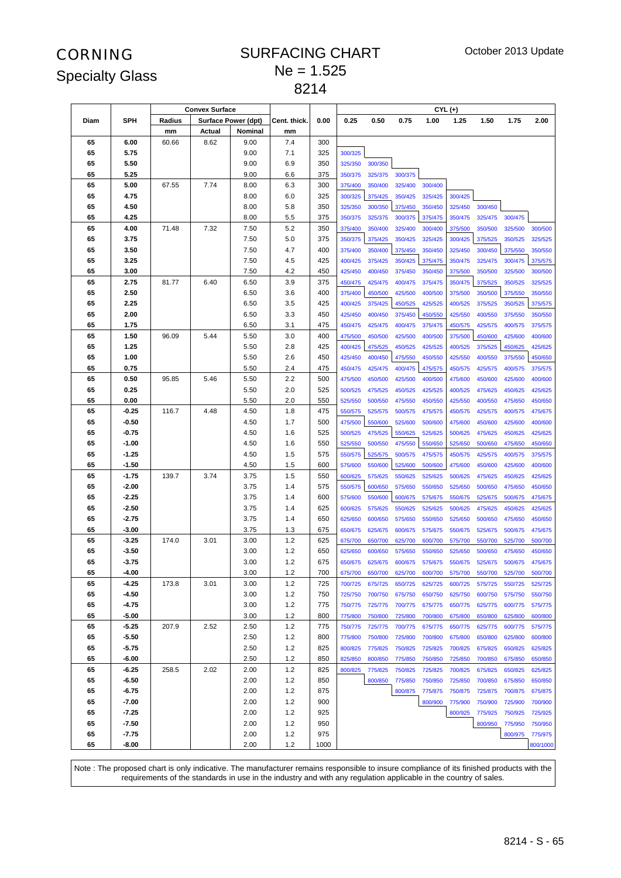#### SURFACING CHART  $Ne = 1.525$

|          |              |        | <b>Convex Surface</b> |                            |              |            |                    |                    |                    |                    | $CYL (+)$          |                    |                    |                    |
|----------|--------------|--------|-----------------------|----------------------------|--------------|------------|--------------------|--------------------|--------------------|--------------------|--------------------|--------------------|--------------------|--------------------|
| Diam     | <b>SPH</b>   | Radius |                       | <b>Surface Power (dpt)</b> | Cent. thick. | 0.00       | 0.25               | 0.50               | 0.75               | 1.00               | 1.25               | 1.50               | 1.75               | 2.00               |
|          |              | mm     | Actual                | Nominal                    | mm           |            |                    |                    |                    |                    |                    |                    |                    |                    |
| 65       | 6.00         | 60.66  | 8.62                  | 9.00                       | 7.4          | 300        |                    |                    |                    |                    |                    |                    |                    |                    |
| 65       | 5.75         |        |                       | 9.00                       | 7.1          | 325        | 300/325            |                    |                    |                    |                    |                    |                    |                    |
| 65       | 5.50         |        |                       | 9.00                       | 6.9          | 350        | 325/350            | 300/350            |                    |                    |                    |                    |                    |                    |
| 65       | 5.25         |        |                       | 9.00                       | 6.6          | 375        | 350/375            | 325/375            | 300/375            |                    |                    |                    |                    |                    |
| 65       | 5.00         | 67.55  | 7.74                  | 8.00                       | 6.3          | 300        | 375/400            | 350/400            | 325/400            | 300/400            |                    |                    |                    |                    |
| 65       | 4.75         |        |                       | 8.00                       | 6.0          | 325        | 300/325            | 375/425            | 350/425            | 325/425            | 300/425            |                    |                    |                    |
| 65       | 4.50         |        |                       | 8.00                       | 5.8          | 350        | 325/350            | 300/350            | 375/450            | 350/450            | 325/450            | 300/450            |                    |                    |
| 65       | 4.25         |        |                       | 8.00                       | 5.5          | 375        | 350/375            | 325/375            | 300/375            | 375/475            | 350/475            | 325/475            | 300/475            |                    |
| 65       | 4.00         | 71.48  | 7.32                  | 7.50                       | 5.2          | 350        | 375/400            | 350/400            | 325/400            | 300/400            | 375/500            | 350/500            | 325/500            | 300/500            |
| 65       | 3.75         |        |                       | 7.50                       | 5.0          | 375        | 350/375            | 375/425            | 350/425            | 325/425            | 300/425            | 375/525            | 350/525            | 325/525            |
| 65       | 3.50         |        |                       | 7.50                       | 4.7          | 400        | 375/400            | 350/400            | 375/450            | 350/450            | 325/450            | 300/450            | 375/550            | 350/550            |
| 65       | 3.25         |        |                       | 7.50                       | 4.5          | 425        | 400/425            | 375/425            | 350/425            | 375/475            | 350/475            | 325/475            | 300/475            | 375/575            |
| 65       | 3.00         |        |                       | 7.50                       | 4.2          | 450        | 425/450            | 400/450            | 375/450            | 350/450            | 375/500            | 350/500            | 325/500            | 300/500            |
| 65       | 2.75         | 81.77  | 6.40                  | 6.50                       | 3.9          | 375        | 450/475            | 425/475            | 400/475            | 375/475            | 350/475            | 375/525            | 350/525            | 325/525            |
| 65       | 2.50         |        |                       | 6.50                       | 3.6          | 400        | 375/400            | 450/500            | 425/500            | 400/500            | 375/500            | 350/500            | 375/550            | 350/550            |
| 65       | 2.25         |        |                       | 6.50                       | 3.5          | 425        | 400/425            | 375/425            | 450/525            | 425/525            | 400/525            | 375/525            | 350/525            | 375/575            |
| 65       | 2.00         |        |                       | 6.50                       | 3.3          | 450        | 425/450            | 400/450            | 375/450            | 450/550            | 425/550            | 400/550            | 375/550            | 350/550            |
| 65       | 1.75         |        |                       | 6.50                       | 3.1          | 475        | 450/475            | 425/475            | 400/475            | 375/475            | 450/575            | 425/575            | 400/575            | 375/575            |
| 65       | 1.50         | 96.09  | 5.44                  | 5.50                       | 3.0          | 400        | 475/500            | 450/500            | 425/500            | 400/500            | 375/500            | 450/600            | 425/600            | 400/600            |
| 65       | 1.25         |        |                       | 5.50                       | 2.8          | 425        | 400/425            | 475/525            | 450/525            | 425/525            | 400/525            | 375/525            | 450/625            | 425/625            |
| 65       | 1.00         |        |                       | 5.50                       | 2.6          | 450        | 425/450            | 400/450            | 475/550            | 450/550            | 425/550            | 400/550            | 375/550            | 450/650            |
| 65       | 0.75         |        |                       | 5.50                       | 2.4          | 475        | 450/475            | 425/475            | 400/475            | 475/575            | 450/575            | 425/575            | 400/575            | 375/575            |
| 65<br>65 | 0.50<br>0.25 | 95.85  | 5.46                  | 5.50                       | 2.2<br>2.0   | 500        | 475/500            | 450/500            | 425/500            | 400/500            | 475/600            | 450/600            | 425/600            | 400/600            |
| 65       | 0.00         |        |                       | 5.50<br>5.50               | 2.0          | 525<br>550 | 500/525            | 475/525            | 450/525            | 425/525            | 400/525            | 475/625            | 450/625            | 425/625            |
| 65       | -0.25        | 116.7  | 4.48                  | 4.50                       | 1.8          | 475        | 525/550<br>550/575 | 500/550<br>525/575 | 475/550<br>500/575 | 450/550<br>475/575 | 425/550<br>450/575 | 400/550<br>425/575 | 475/650<br>400/575 | 450/650<br>475/675 |
| 65       | $-0.50$      |        |                       | 4.50                       | 1.7          | 500        | 475/500            | 550/600            | 525/600            | 500/600            | 475/600            | 450/600            | 425/600            | 400/600            |
| 65       | -0.75        |        |                       | 4.50                       | 1.6          | 525        | 500/525            | 475/525            | 550/625            | 525/625            | 500/625            | 475/625            | 450/625            | 425/625            |
| 65       | $-1.00$      |        |                       | 4.50                       | 1.6          | 550        | 525/550            | 500/550            | 475/550            | 550/650            | 525/650            | 500/650            | 475/650            | 450/650            |
| 65       | $-1.25$      |        |                       | 4.50                       | 1.5          | 575        | 550/575            | 525/575            | 500/575            | 475/575            | 450/575            | 425/575            | 400/575            | 375/575            |
| 65       | $-1.50$      |        |                       | 4.50                       | 1.5          | 600        | 575/600            | 550/600            | 525/600            | 500/600            | 475/600            | 450/600            | 425/600            | 400/600            |
| 65       | $-1.75$      | 139.7  | 3.74                  | 3.75                       | 1.5          | 550        | 600/625            | 575/625            | 550/625            | 525/625            | 500/625            | 475/625            | 450/625            | 425/625            |
| 65       | $-2.00$      |        |                       | 3.75                       | 1.4          | 575        | 550/575            | 600/650            | 575/650            | 550/650            | 525/650            | 500/650            | 475/650            | 450/650            |
| 65       | -2.25        |        |                       | 3.75                       | 1.4          | 600        | 575/600            | 550/600            | 600/675            | 575/675            | 550/675            | 525/675            | 500/675            | 475/675            |
| 65       | $-2.50$      |        |                       | 3.75                       | 1.4          | 625        | 600/625            | 575/625            | 550/625            | 525/625            | 500/625            | 475/625            | 450/625            | 425/625            |
| 65       | $-2.75$      |        |                       | 3.75                       | 1.4          | 650        | 625/650            | 600/650            | 575/650            | 550/650            | 525/650            | 500/650            | 475/650            | 450/650            |
| 65       | $-3.00$      |        |                       | 3.75                       | 1.3          | 675        | 650/675            | 625/675            | 600/675            | 575/675            | 550/675            | 525/675            | 500/675            | 475/675            |
| 65       | $-3.25$      | 174.0  | 3.01                  | 3.00                       | 1.2          | 625        | 675/700            | 650/700            | 625/700            | 600/700            | 575/700            | 550/700            | 525/700            | 500/700            |
| 65       | $-3.50$      |        |                       | 3.00                       | 1.2          | 650        | 625/650            | 600/650            | 575/650            | 550/650            | 525/650            | 500/650            | 475/650            | 450/650            |
| 65       | $-3.75$      |        |                       | 3.00                       | 1.2          | 675        | 650/675            | 625/675            | 600/675            | 575/675            | 550/675            | 525/675            | 500/675            | 475/675            |
| 65       | -4.00        |        |                       | 3.00                       | 1.2          | 700        | 675/700            | 650/700            | 625/700            | 600/700            | 575/700            | 550/700            | 525/700            | 500/700            |
| 65       | $-4.25$      | 173.8  | 3.01                  | 3.00                       | 1.2          | 725        | 700/725            | 675/725            | 650/725            | 625/725            | 600/725            | 575/725            | 550/725            | 525/725            |
| 65       | -4.50        |        |                       | 3.00                       | 1.2          | 750        | 725/750            | 700/750            | 675/750            | 650/750            | 625/750            | 600/750            | 575/750            | 550/750            |
| 65       | $-4.75$      |        |                       | 3.00                       | 1.2          | 775        | 750/775            | 725/775            | 700/775            | 675/775            | 650/775            | 625/775            | 600/775            | 575/775            |
| 65       | $-5.00$      |        |                       | 3.00                       | 1.2          | 800        | 775/800            | 750/800            | 725/800            | 700/800            | 675/800            | 650/800            | 625/800            | 600/800            |
| 65       | $-5.25$      | 207.9  | 2.52                  | 2.50                       | 1.2          | 775        | 750/775            | 725/775            | 700/775            | 675/775            | 650/775            | 625/775            | 600/775            | 575/775            |
| 65       | $-5.50$      |        |                       | 2.50                       | 1.2          | 800        | 775/800            | 750/800            | 725/800            | 700/800            | 675/800            | 650/800            | 625/800            | 600/800            |
| 65       | $-5.75$      |        |                       | 2.50                       | 1.2          | 825        | 800/825            | 775/825            | 750/825            | 725/825            | 700/825            | 675/825            | 650/825            | 625/825            |
| 65       | -6.00        |        |                       | 2.50                       | 1.2          | 850        | 825/850            | 800/850            | 775/850            | 750/850            | 725/850            | 700/850            | 675/850            | 650/850            |
| 65       | -6.25        | 258.5  | 2.02                  | 2.00                       | 1.2          | 825        | 800/825            | 775/825            | 750/825            | 725/825            | 700/825            | 675/825            | 650/825            | 625/825            |
| 65       | -6.50        |        |                       | 2.00                       | 1.2          | 850        |                    | 800/850            | 775/850            | 750/850            | 725/850            | 700/850            | 675/850            | 650/850            |
| 65       | $-6.75$      |        |                       | 2.00                       | 1.2          | 875        |                    |                    | 800/875            | 775/875            | 750/875            | 725/875            | 700/875            | 675/875            |
| 65       | $-7.00$      |        |                       | 2.00                       | 1.2          | 900        |                    |                    |                    | 800/900            | 775/900            | 750/900            | 725/900            | 700/900            |
| 65       | $-7.25$      |        |                       | 2.00                       | 1.2          | 925        |                    |                    |                    |                    | 800/925            | 775/925            | 750/925            | 725/925            |
| 65       | $-7.50$      |        |                       | 2.00                       | 1.2          | 950        |                    |                    |                    |                    |                    | 800/950            | 775/950            | 750/950            |
| 65       | $-7.75$      |        |                       | 2.00                       | 1.2          | 975        |                    |                    |                    |                    |                    |                    | 800/975            | 775/975            |
| 65       | -8.00        |        |                       | 2.00                       | 1.2          | 1000       |                    |                    |                    |                    |                    |                    |                    | 800/1000           |

Note : The proposed chart is only indicative. The manufacturer remains responsible to insure compliance of its finished products with the requirements of the standards in use in the industry and with any regulation applicable in the country of sales.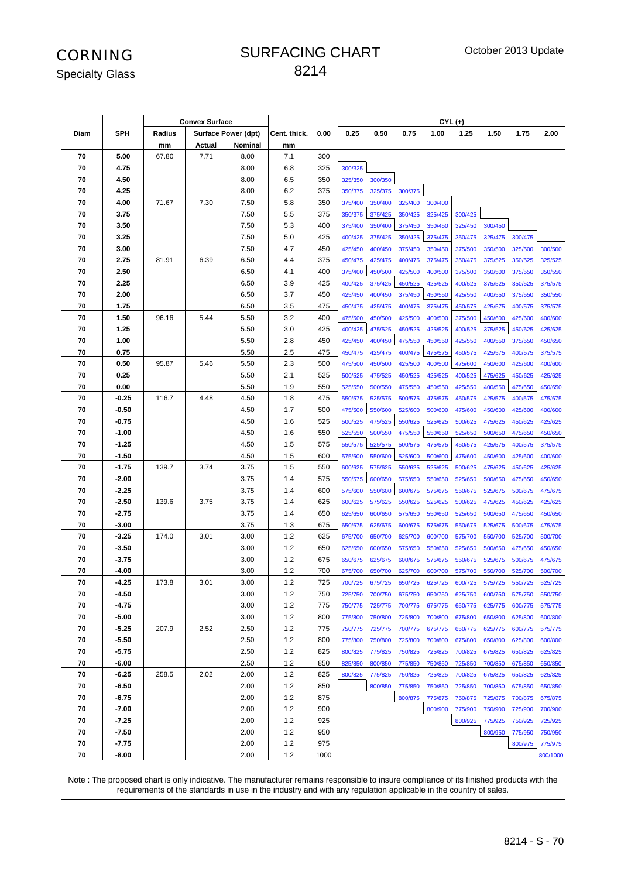#### SURFACING CHART

Specialty Glass

|      |            |        | <b>Convex Surface</b> |                            |              |      |         |         |         |         | $CYL (+)$ |         |         |          |
|------|------------|--------|-----------------------|----------------------------|--------------|------|---------|---------|---------|---------|-----------|---------|---------|----------|
| Diam | <b>SPH</b> | Radius |                       | <b>Surface Power (dpt)</b> | Cent. thick. | 0.00 | 0.25    | 0.50    | 0.75    | 1.00    | 1.25      | 1.50    | 1.75    | 2.00     |
|      |            | mm     | Actual                | Nominal                    | mm           |      |         |         |         |         |           |         |         |          |
| 70   | 5.00       | 67.80  | 7.71                  | 8.00                       | 7.1          | 300  |         |         |         |         |           |         |         |          |
| 70   | 4.75       |        |                       | 8.00                       | 6.8          | 325  | 300/325 |         |         |         |           |         |         |          |
| 70   | 4.50       |        |                       | 8.00                       | 6.5          | 350  | 325/350 | 300/350 |         |         |           |         |         |          |
| 70   | 4.25       |        |                       | 8.00                       | 6.2          | 375  | 350/375 | 325/375 | 300/375 |         |           |         |         |          |
| 70   | 4.00       | 71.67  | 7.30                  | 7.50                       | 5.8          | 350  | 375/400 | 350/400 | 325/400 | 300/400 |           |         |         |          |
| 70   | 3.75       |        |                       | 7.50                       | 5.5          | 375  | 350/375 | 375/425 | 350/425 | 325/425 | 300/425   |         |         |          |
| 70   | 3.50       |        |                       | 7.50                       | 5.3          | 400  | 375/400 | 350/400 | 375/450 | 350/450 | 325/450   | 300/450 |         |          |
| 70   | 3.25       |        |                       | 7.50                       | 5.0          | 425  | 400/425 | 375/425 | 350/425 | 375/475 | 350/475   | 325/475 | 300/475 |          |
| 70   | 3.00       |        |                       | 7.50                       | 4.7          | 450  | 425/450 | 400/450 | 375/450 | 350/450 | 375/500   | 350/500 | 325/500 | 300/500  |
| 70   | 2.75       | 81.91  | 6.39                  | 6.50                       | 4.4          | 375  | 450/475 | 425/475 | 400/475 | 375/475 | 350/475   | 375/525 | 350/525 | 325/525  |
| 70   | 2.50       |        |                       | 6.50                       | 4.1          | 400  | 375/400 | 450/500 | 425/500 | 400/500 | 375/500   | 350/500 | 375/550 | 350/550  |
| 70   | 2.25       |        |                       | 6.50                       | 3.9          | 425  | 400/425 | 375/425 | 450/525 | 425/525 | 400/525   | 375/525 | 350/525 | 375/575  |
| 70   | 2.00       |        |                       | 6.50                       | 3.7          | 450  | 425/450 | 400/450 | 375/450 | 450/550 | 425/550   | 400/550 | 375/550 | 350/550  |
| 70   | 1.75       |        |                       | 6.50                       | 3.5          | 475  | 450/475 | 425/475 | 400/475 | 375/475 | 450/575   | 425/575 | 400/575 | 375/575  |
| 70   | 1.50       | 96.16  | 5.44                  | 5.50                       | 3.2          | 400  | 475/500 | 450/500 | 425/500 | 400/500 | 375/500   | 450/600 | 425/600 | 400/600  |
| 70   | 1.25       |        |                       | 5.50                       | 3.0          | 425  | 400/425 | 475/525 | 450/525 | 425/525 | 400/525   | 375/525 | 450/625 | 425/625  |
| 70   | 1.00       |        |                       | 5.50                       | 2.8          | 450  | 425/450 | 400/450 | 475/550 | 450/550 | 425/550   | 400/550 | 375/550 | 450/650  |
| 70   | 0.75       |        |                       | 5.50                       | 2.5          | 475  | 450/475 | 425/475 | 400/475 | 475/575 | 450/575   | 425/575 | 400/575 | 375/575  |
| 70   | 0.50       | 95.87  | 5.46                  | 5.50                       | 2.3          | 500  | 475/500 | 450/500 | 425/500 | 400/500 | 475/600   | 450/600 | 425/600 | 400/600  |
| 70   | 0.25       |        |                       | 5.50                       | 2.1          | 525  | 500/525 | 475/525 | 450/525 | 425/525 | 400/525   | 475/625 | 450/625 | 425/625  |
| 70   | 0.00       |        |                       | 5.50                       | 1.9          | 550  | 525/550 | 500/550 | 475/550 | 450/550 | 425/550   | 400/550 | 475/650 | 450/650  |
| 70   | $-0.25$    | 116.7  | 4.48                  | 4.50                       | 1.8          | 475  | 550/575 | 525/575 | 500/575 | 475/575 | 450/575   | 425/575 | 400/575 | 475/675  |
| 70   | -0.50      |        |                       | 4.50                       | 1.7          | 500  | 475/500 | 550/600 | 525/600 | 500/600 | 475/600   | 450/600 | 425/600 | 400/600  |
| 70   | $-0.75$    |        |                       | 4.50                       | 1.6          | 525  | 500/525 | 475/525 | 550/625 | 525/625 | 500/625   | 475/625 | 450/625 | 425/625  |
| 70   | $-1.00$    |        |                       | 4.50                       | 1.6          | 550  | 525/550 | 500/550 | 475/550 | 550/650 | 525/650   | 500/650 | 475/650 | 450/650  |
| 70   | $-1.25$    |        |                       | 4.50                       | 1.5          | 575  | 550/575 | 525/575 | 500/575 | 475/575 | 450/575   | 425/575 | 400/575 | 375/575  |
| 70   | $-1.50$    |        |                       | 4.50                       | 1.5          | 600  | 575/600 | 550/600 | 525/600 | 500/600 | 475/600   | 450/600 | 425/600 | 400/600  |
| 70   | $-1.75$    | 139.7  | 3.74                  | 3.75                       | 1.5          | 550  | 600/625 | 575/625 | 550/625 | 525/625 | 500/625   | 475/625 | 450/625 | 425/625  |
| 70   | $-2.00$    |        |                       | 3.75                       | 1.4          | 575  | 550/575 | 600/650 | 575/650 | 550/650 | 525/650   | 500/650 | 475/650 | 450/650  |
| 70   | $-2.25$    |        |                       | 3.75                       | 1.4          | 600  | 575/600 | 550/600 | 600/675 | 575/675 | 550/675   | 525/675 | 500/675 | 475/675  |
| 70   | $-2.50$    | 139.6  | 3.75                  | 3.75                       | 1.4          | 625  | 600/625 | 575/625 | 550/625 | 525/625 | 500/625   | 475/625 | 450/625 | 425/625  |
| 70   | $-2.75$    |        |                       | 3.75                       | 1.4          | 650  | 625/650 | 600/650 | 575/650 | 550/650 | 525/650   | 500/650 | 475/650 | 450/650  |
| 70   | $-3.00$    |        |                       | 3.75                       | 1.3          | 675  | 650/675 | 625/675 | 600/675 | 575/675 | 550/675   | 525/675 | 500/675 | 475/675  |
| 70   | $-3.25$    | 174.0  | 3.01                  | 3.00                       | 1.2          | 625  | 675/700 | 650/700 | 625/700 | 600/700 | 575/700   | 550/700 | 525/700 | 500/700  |
| 70   | $-3.50$    |        |                       | 3.00                       | 1.2          | 650  | 625/650 | 600/650 | 575/650 | 550/650 | 525/650   | 500/650 | 475/650 | 450/650  |
| 70   | $-3.75$    |        |                       | 3.00                       | 1.2          | 675  | 650/675 | 625/675 | 600/675 | 575/675 | 550/675   | 525/675 | 500/675 | 475/675  |
| 70   | $-4.00$    |        |                       | 3.00                       | 1.2          | 700  | 675/700 | 650/700 | 625/700 | 600/700 | 575/700   | 550/700 | 525/700 | 500/700  |
| 70   | $-4.25$    | 173.8  | 3.01                  | 3.00                       | $1.2\,$      | 725  | 700/725 | 675/725 | 650/725 | 625/725 | 600/725   | 575/725 | 550/725 | 525/725  |
| 70   | -4.50      |        |                       | 3.00                       | $1.2$        | 750  | 725/750 | 700/750 | 675/750 | 650/750 | 625/750   | 600/750 | 575/750 | 550/750  |
| 70   | $-4.75$    |        |                       | 3.00                       | 1.2          | 775  | 750/775 | 725/775 | 700/775 | 675/775 | 650/775   | 625/775 | 600/775 | 575/775  |
| 70   | $-5.00$    |        |                       | 3.00                       | $1.2$        | 800  | 775/800 | 750/800 | 725/800 | 700/800 | 675/800   | 650/800 | 625/800 | 600/800  |
| 70   | $-5.25$    | 207.9  | 2.52                  | 2.50                       | 1.2          | 775  | 750/775 | 725/775 | 700/775 | 675/775 | 650/775   | 625/775 | 600/775 | 575/775  |
| 70   | $-5.50$    |        |                       | 2.50                       | 1.2          | 800  | 775/800 | 750/800 | 725/800 | 700/800 | 675/800   | 650/800 | 625/800 | 600/800  |
| 70   | $-5.75$    |        |                       | 2.50                       | 1.2          | 825  | 800/825 | 775/825 | 750/825 | 725/825 | 700/825   | 675/825 | 650/825 | 625/825  |
| 70   | $-6.00$    |        |                       | 2.50                       | 1.2          | 850  | 825/850 | 800/850 | 775/850 | 750/850 | 725/850   | 700/850 | 675/850 | 650/850  |
| 70   | $-6.25$    | 258.5  | 2.02                  | 2.00                       | 1.2          | 825  | 800/825 | 775/825 | 750/825 | 725/825 | 700/825   | 675/825 | 650/825 | 625/825  |
| 70   | $-6.50$    |        |                       | 2.00                       | 1.2          | 850  |         | 800/850 | 775/850 | 750/850 | 725/850   | 700/850 | 675/850 | 650/850  |
| 70   | $-6.75$    |        |                       | 2.00                       | 1.2          | 875  |         |         | 800/875 | 775/875 | 750/875   | 725/875 | 700/875 | 675/875  |
| 70   | $-7.00$    |        |                       | 2.00                       | 1.2          | 900  |         |         |         | 800/900 | 775/900   | 750/900 | 725/900 | 700/900  |
| 70   | $-7.25$    |        |                       | 2.00                       | 1.2          | 925  |         |         |         |         | 800/925   | 775/925 | 750/925 | 725/925  |
| 70   | $-7.50$    |        |                       | 2.00                       | 1.2          | 950  |         |         |         |         |           | 800/950 | 775/950 | 750/950  |
| 70   | $-7.75$    |        |                       | 2.00                       | 1.2          | 975  |         |         |         |         |           |         | 800/975 | 775/975  |
| 70   | $-8.00$    |        |                       | 2.00                       | $1.2$        | 1000 |         |         |         |         |           |         |         | 800/1000 |

Note : The proposed chart is only indicative. The manufacturer remains responsible to insure compliance of its finished products with the requirements of the standards in use in the industry and with any regulation applicable in the country of sales.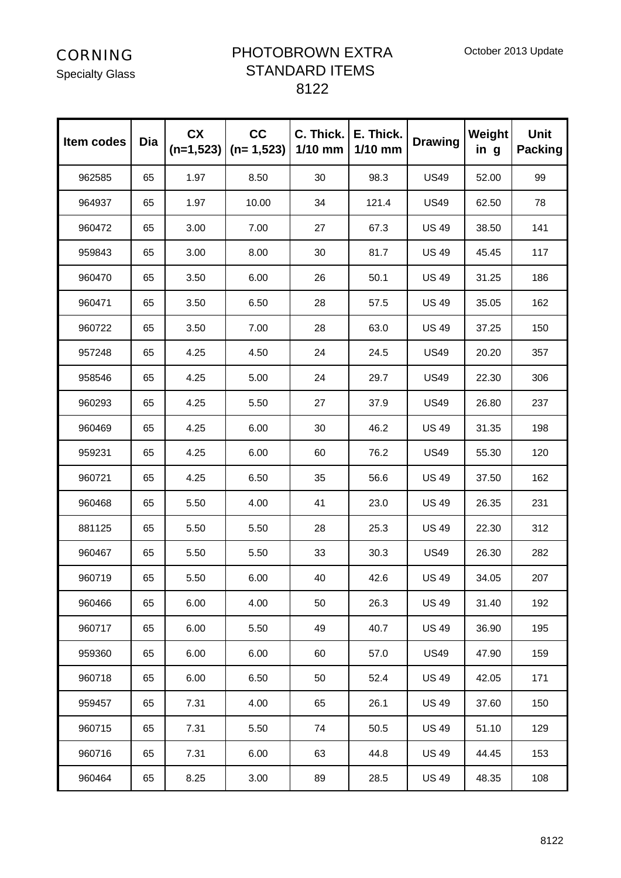Specialty Glass

#### PHOTOBROWN EXTRA STANDARD ITEMS

| Item codes | Dia | <b>CX</b><br>$(n=1,523)$ | cc<br>$(n=1,523)$ | C. Thick.<br>1/10 mm | E. Thick.<br>$1/10$ mm | <b>Drawing</b> | Weight<br>in g | <b>Unit</b><br><b>Packing</b> |
|------------|-----|--------------------------|-------------------|----------------------|------------------------|----------------|----------------|-------------------------------|
| 962585     | 65  | 1.97                     | 8.50              | 30                   | 98.3                   | <b>US49</b>    | 52.00          | 99                            |
| 964937     | 65  | 1.97                     | 10.00             | 34                   | 121.4                  | <b>US49</b>    | 62.50          | 78                            |
| 960472     | 65  | 3.00                     | 7.00              | 27                   | 67.3                   | <b>US 49</b>   | 38.50          | 141                           |
| 959843     | 65  | 3.00                     | 8.00              | 30                   | 81.7                   | <b>US 49</b>   | 45.45          | 117                           |
| 960470     | 65  | 3.50                     | 6.00              | 26                   | 50.1                   | <b>US 49</b>   | 31.25          | 186                           |
| 960471     | 65  | 3.50                     | 6.50              | 28                   | 57.5                   | <b>US 49</b>   | 35.05          | 162                           |
| 960722     | 65  | 3.50                     | 7.00              | 28                   | 63.0                   | <b>US 49</b>   | 37.25          | 150                           |
| 957248     | 65  | 4.25                     | 4.50              | 24                   | 24.5                   | <b>US49</b>    | 20.20          | 357                           |
| 958546     | 65  | 4.25                     | 5.00              | 24                   | 29.7                   | <b>US49</b>    | 22.30          | 306                           |
| 960293     | 65  | 4.25                     | 5.50              | 27                   | 37.9                   | <b>US49</b>    | 26.80          | 237                           |
| 960469     | 65  | 4.25                     | 6.00              | 30                   | 46.2                   | <b>US 49</b>   | 31.35          | 198                           |
| 959231     | 65  | 4.25                     | 6.00              | 60                   | 76.2                   | <b>US49</b>    | 55.30          | 120                           |
| 960721     | 65  | 4.25                     | 6.50              | 35                   | 56.6                   | <b>US 49</b>   | 37.50          | 162                           |
| 960468     | 65  | 5.50                     | 4.00              | 41                   | 23.0                   | <b>US 49</b>   | 26.35          | 231                           |
| 881125     | 65  | 5.50                     | 5.50              | 28                   | 25.3                   | <b>US 49</b>   | 22.30          | 312                           |
| 960467     | 65  | 5.50                     | 5.50              | 33                   | 30.3                   | <b>US49</b>    | 26.30          | 282                           |
| 960719     | 65  | 5.50                     | 6.00              | 40                   | 42.6                   | <b>US 49</b>   | 34.05          | 207                           |
| 960466     | 65  | 6.00                     | 4.00              | 50                   | 26.3                   | <b>US 49</b>   | 31.40          | 192                           |
| 960717     | 65  | 6.00                     | 5.50              | 49                   | 40.7                   | <b>US 49</b>   | 36.90          | 195                           |
| 959360     | 65  | 6.00                     | 6.00              | 60                   | 57.0                   | <b>US49</b>    | 47.90          | 159                           |
| 960718     | 65  | 6.00                     | 6.50              | 50                   | 52.4                   | <b>US 49</b>   | 42.05          | 171                           |
| 959457     | 65  | 7.31                     | 4.00              | 65                   | 26.1                   | <b>US 49</b>   | 37.60          | 150                           |
| 960715     | 65  | 7.31                     | 5.50              | 74                   | 50.5                   | <b>US 49</b>   | 51.10          | 129                           |
| 960716     | 65  | 7.31                     | 6.00              | 63                   | 44.8                   | <b>US 49</b>   | 44.45          | 153                           |
| 960464     | 65  | 8.25                     | 3.00              | 89                   | 28.5                   | <b>US 49</b>   | 48.35          | 108                           |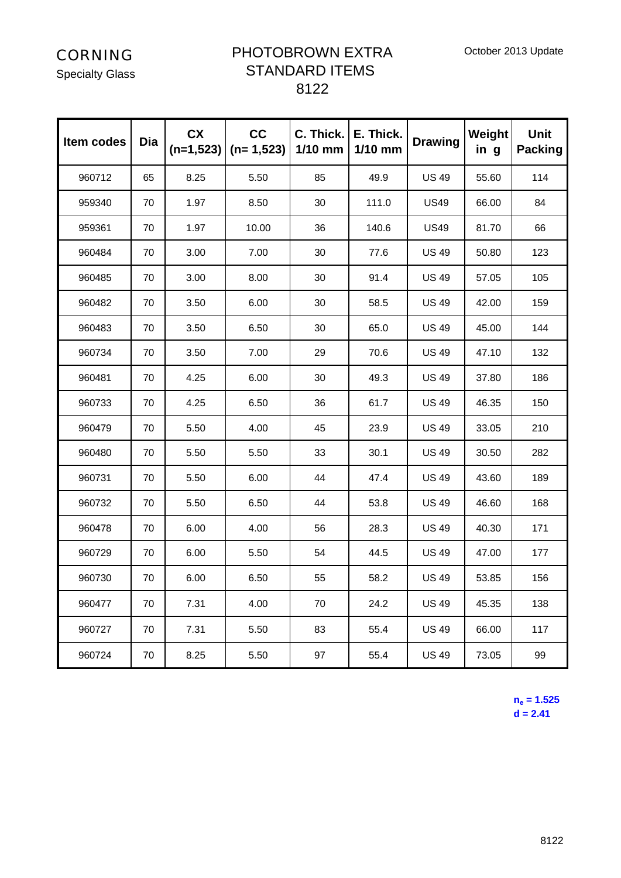Specialty Glass

#### PHOTOBROWN EXTRA STANDARD ITEMS 8122

| Item codes | <b>Dia</b> | <b>CX</b><br>$(n=1,523)$ | cc<br>$(n=1,523)$ | C. Thick.<br>$1/10$ mm | E. Thick.<br>1/10 mm | <b>Drawing</b> | Weight<br>in g | <b>Unit</b><br><b>Packing</b> |
|------------|------------|--------------------------|-------------------|------------------------|----------------------|----------------|----------------|-------------------------------|
| 960712     | 65         | 8.25                     | 5.50              | 85                     | 49.9                 | <b>US 49</b>   | 55.60          | 114                           |
| 959340     | 70         | 1.97                     | 8.50              | 30                     | 111.0                | <b>US49</b>    | 66.00          | 84                            |
| 959361     | 70         | 1.97                     | 10.00             | 36                     | 140.6                | <b>US49</b>    | 81.70          | 66                            |
| 960484     | 70         | 3.00                     | 7.00              | 30                     | 77.6                 | <b>US 49</b>   | 50.80          | 123                           |
| 960485     | 70         | 3.00                     | 8.00              | 30                     | 91.4                 | <b>US 49</b>   | 57.05          | 105                           |
| 960482     | 70         | 3.50                     | 6.00              | 30                     | 58.5                 | <b>US 49</b>   | 42.00          | 159                           |
| 960483     | 70         | 3.50                     | 6.50              | 30                     | 65.0                 | <b>US 49</b>   | 45.00          | 144                           |
| 960734     | 70         | 3.50                     | 7.00              | 29                     | 70.6                 | <b>US 49</b>   | 47.10          | 132                           |
| 960481     | 70         | 4.25                     | 6.00              | 30                     | 49.3                 | <b>US 49</b>   | 37.80          | 186                           |
| 960733     | 70         | 4.25                     | 6.50              | 36                     | 61.7                 | <b>US 49</b>   | 46.35          | 150                           |
| 960479     | 70         | 5.50                     | 4.00              | 45                     | 23.9                 | <b>US 49</b>   | 33.05          | 210                           |
| 960480     | 70         | 5.50                     | 5.50              | 33                     | 30.1                 | <b>US 49</b>   | 30.50          | 282                           |
| 960731     | 70         | 5.50                     | 6.00              | 44                     | 47.4                 | <b>US 49</b>   | 43.60          | 189                           |
| 960732     | 70         | 5.50                     | 6.50              | 44                     | 53.8                 | <b>US 49</b>   | 46.60          | 168                           |
| 960478     | 70         | 6.00                     | 4.00              | 56                     | 28.3                 | <b>US 49</b>   | 40.30          | 171                           |
| 960729     | 70         | 6.00                     | 5.50              | 54                     | 44.5                 | <b>US 49</b>   | 47.00          | 177                           |
| 960730     | 70         | 6.00                     | 6.50              | 55                     | 58.2                 | <b>US 49</b>   | 53.85          | 156                           |
| 960477     | 70         | 7.31                     | 4.00              | 70                     | 24.2                 | <b>US 49</b>   | 45.35          | 138                           |
| 960727     | 70         | 7.31                     | 5.50              | 83                     | 55.4                 | <b>US 49</b>   | 66.00          | 117                           |
| 960724     | 70         | 8.25                     | 5.50              | 97                     | 55.4                 | <b>US 49</b>   | 73.05          | 99                            |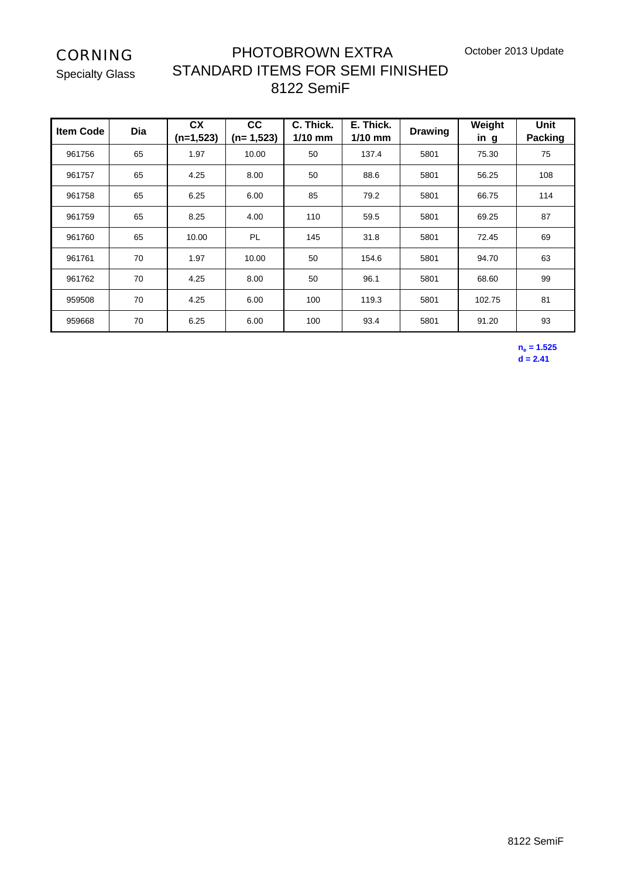October 2013 Update

CORNING

Specialty Glass

## PHOTOBROWN EXTRA STANDARD ITEMS FOR SEMI FINISHED 8122 SemiF

| <b>Item Code</b> | Dia | <b>CX</b><br>$(n=1,523)$ | cc<br>$(n=1,523)$ | C. Thick.<br>$1/10$ mm | E. Thick.<br>$1/10$ mm | <b>Drawing</b> | Weight<br>in g | <b>Unit</b><br><b>Packing</b> |
|------------------|-----|--------------------------|-------------------|------------------------|------------------------|----------------|----------------|-------------------------------|
| 961756           | 65  | 1.97                     | 10.00             | 50                     | 137.4                  | 5801           | 75.30          | 75                            |
| 961757           | 65  | 4.25                     | 8.00              | 50                     | 88.6                   | 5801           | 56.25          | 108                           |
| 961758           | 65  | 6.25                     | 6.00              | 85                     | 79.2                   | 5801           | 66.75          | 114                           |
| 961759           | 65  | 8.25                     | 4.00              | 110                    | 59.5                   | 5801           | 69.25          | 87                            |
| 961760           | 65  | 10.00                    | <b>PL</b>         | 145                    | 31.8                   | 5801           | 72.45          | 69                            |
| 961761           | 70  | 1.97                     | 10.00             | 50                     | 154.6                  | 5801           | 94.70          | 63                            |
| 961762           | 70  | 4.25                     | 8.00              | 50                     | 96.1                   | 5801           | 68.60          | 99                            |
| 959508           | 70  | 4.25                     | 6.00              | 100                    | 119.3                  | 5801           | 102.75         | 81                            |
| 959668           | 70  | 6.25                     | 6.00              | 100                    | 93.4                   | 5801           | 91.20          | 93                            |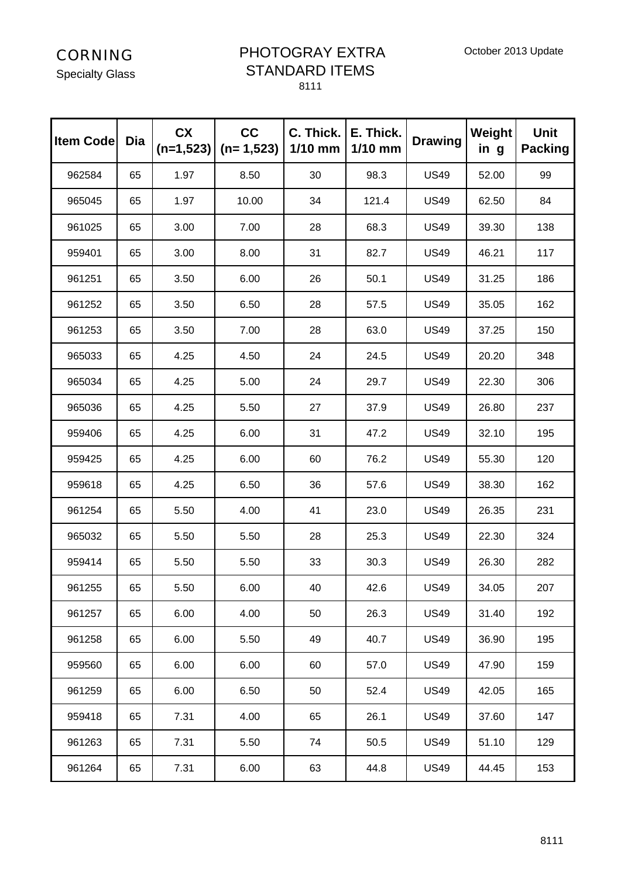Specialty Glass

#### PHOTOGRAY EXTRA STANDARD ITEMS

| <b>Item Code</b> | Dia | <b>CX</b><br>$(n=1,523)$ | cc<br>$(n=1,523)$ | C. Thick.<br>$1/10$ mm | E. Thick.<br>$1/10$ mm | <b>Drawing</b> | Weight<br>in g | <b>Unit</b><br><b>Packing</b> |
|------------------|-----|--------------------------|-------------------|------------------------|------------------------|----------------|----------------|-------------------------------|
| 962584           | 65  | 1.97                     | 8.50              | 30                     | 98.3                   | <b>US49</b>    | 52.00          | 99                            |
| 965045           | 65  | 1.97                     | 10.00             | 34                     | 121.4                  | <b>US49</b>    | 62.50          | 84                            |
| 961025           | 65  | 3.00                     | 7.00              | 28                     | 68.3                   | <b>US49</b>    | 39.30          | 138                           |
| 959401           | 65  | 3.00                     | 8.00              | 31                     | 82.7                   | <b>US49</b>    | 46.21          | 117                           |
| 961251           | 65  | 3.50                     | 6.00              | 26                     | 50.1                   | <b>US49</b>    | 31.25          | 186                           |
| 961252           | 65  | 3.50                     | 6.50              | 28                     | 57.5                   | <b>US49</b>    | 35.05          | 162                           |
| 961253           | 65  | 3.50                     | 7.00              | 28                     | 63.0                   | <b>US49</b>    | 37.25          | 150                           |
| 965033           | 65  | 4.25                     | 4.50              | 24                     | 24.5                   | <b>US49</b>    | 20.20          | 348                           |
| 965034           | 65  | 4.25                     | 5.00              | 24                     | 29.7                   | <b>US49</b>    | 22.30          | 306                           |
| 965036           | 65  | 4.25                     | 5.50              | 27                     | 37.9                   | <b>US49</b>    | 26.80          | 237                           |
| 959406           | 65  | 4.25                     | 6.00              | 31                     | 47.2                   | <b>US49</b>    | 32.10          | 195                           |
| 959425           | 65  | 4.25                     | 6.00              | 60                     | 76.2                   | <b>US49</b>    | 55.30          | 120                           |
| 959618           | 65  | 4.25                     | 6.50              | 36                     | 57.6                   | <b>US49</b>    | 38.30          | 162                           |
| 961254           | 65  | 5.50                     | 4.00              | 41                     | 23.0                   | <b>US49</b>    | 26.35          | 231                           |
| 965032           | 65  | 5.50                     | 5.50              | 28                     | 25.3                   | <b>US49</b>    | 22.30          | 324                           |
| 959414           | 65  | 5.50                     | 5.50              | 33                     | 30.3                   | <b>US49</b>    | 26.30          | 282                           |
| 961255           | 65  | 5.50                     | 6.00              | 40                     | 42.6                   | <b>US49</b>    | 34.05          | 207                           |
| 961257           | 65  | 6.00                     | 4.00              | 50                     | 26.3                   | <b>US49</b>    | 31.40          | 192                           |
| 961258           | 65  | 6.00                     | 5.50              | 49                     | 40.7                   | <b>US49</b>    | 36.90          | 195                           |
| 959560           | 65  | 6.00                     | 6.00              | 60                     | 57.0                   | <b>US49</b>    | 47.90          | 159                           |
| 961259           | 65  | 6.00                     | 6.50              | 50                     | 52.4                   | <b>US49</b>    | 42.05          | 165                           |
| 959418           | 65  | 7.31                     | 4.00              | 65                     | 26.1                   | <b>US49</b>    | 37.60          | 147                           |
| 961263           | 65  | 7.31                     | 5.50              | 74                     | 50.5                   | <b>US49</b>    | 51.10          | 129                           |
| 961264           | 65  | 7.31                     | 6.00              | 63                     | 44.8                   | <b>US49</b>    | 44.45          | 153                           |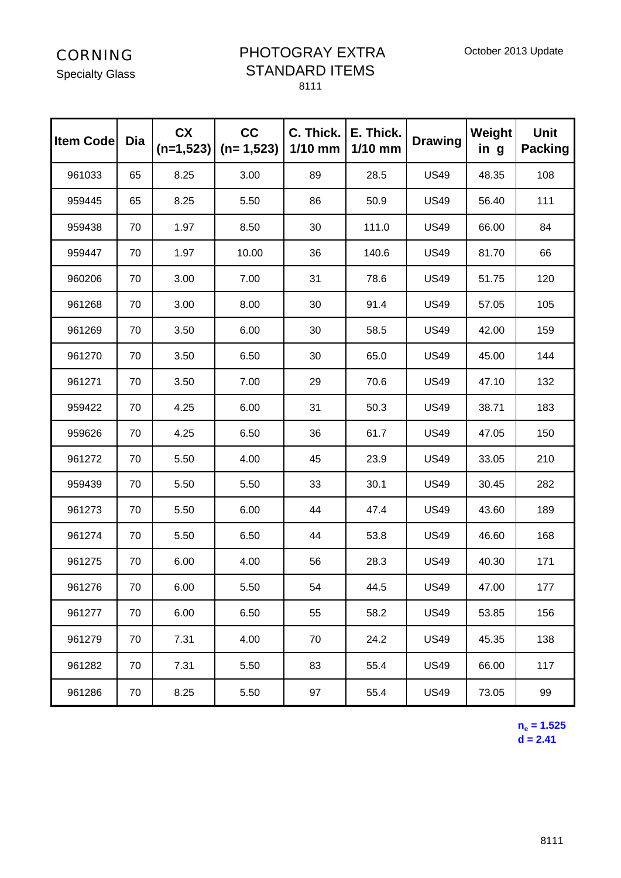Specialty Glass

#### PHOTOGRAY EXTRA STANDARD ITEMS 8111

| <b>Item Code</b> | Dia | <b>CX</b><br>$(n=1,523)$ | cc<br>$(n=1,523)$ | C. Thick.<br>$1/10$ mm | E. Thick.<br>$1/10$ mm | <b>Drawing</b> | Weight<br>in g | <b>Unit</b><br><b>Packing</b> |
|------------------|-----|--------------------------|-------------------|------------------------|------------------------|----------------|----------------|-------------------------------|
| 961033           | 65  | 8.25                     | 3.00              | 89                     | 28.5                   | <b>US49</b>    | 48.35          | 108                           |
| 959445           | 65  | 8.25                     | 5.50              | 86                     | 50.9                   | <b>US49</b>    | 56.40          | 111                           |
| 959438           | 70  | 1.97                     | 8.50              | 30                     | 111.0                  | <b>US49</b>    | 66.00          | 84                            |
| 959447           | 70  | 1.97                     | 10.00             | 36                     | 140.6                  | <b>US49</b>    | 81.70          | 66                            |
| 960206           | 70  | 3.00                     | 7.00              | 31                     | 78.6                   | <b>US49</b>    | 51.75          | 120                           |
| 961268           | 70  | 3.00                     | 8.00              | 30                     | 91.4                   | <b>US49</b>    | 57.05          | 105                           |
| 961269           | 70  | 3.50                     | 6.00              | 30                     | 58.5                   | <b>US49</b>    | 42.00          | 159                           |
| 961270           | 70  | 3.50                     | 6.50              | 30                     | 65.0                   | <b>US49</b>    | 45.00          | 144                           |
| 961271           | 70  | 3.50                     | 7.00              | 29                     | 70.6                   | <b>US49</b>    | 47.10          | 132                           |
| 959422           | 70  | 4.25                     | 6.00              | 31                     | 50.3                   | <b>US49</b>    | 38.71          | 183                           |
| 959626           | 70  | 4.25                     | 6.50              | 36                     | 61.7                   | <b>US49</b>    | 47.05          | 150                           |
| 961272           | 70  | 5.50                     | 4.00              | 45                     | 23.9                   | <b>US49</b>    | 33.05          | 210                           |
| 959439           | 70  | 5.50                     | 5.50              | 33                     | 30.1                   | <b>US49</b>    | 30.45          | 282                           |
| 961273           | 70  | 5.50                     | 6.00              | 44                     | 47.4                   | <b>US49</b>    | 43.60          | 189                           |
| 961274           | 70  | 5.50                     | 6.50              | 44                     | 53.8                   | <b>US49</b>    | 46.60          | 168                           |
| 961275           | 70  | 6.00                     | 4.00              | 56                     | 28.3                   | <b>US49</b>    | 40.30          | 171                           |
| 961276           | 70  | 6.00                     | 5.50              | 54                     | 44.5                   | <b>US49</b>    | 47.00          | 177                           |
| 961277           | 70  | 6.00                     | 6.50              | 55                     | 58.2                   | <b>US49</b>    | 53.85          | 156                           |
| 961279           | 70  | 7.31                     | 4.00              | 70                     | 24.2                   | <b>US49</b>    | 45.35          | 138                           |
| 961282           | 70  | 7.31                     | 5.50              | 83                     | 55.4                   | <b>US49</b>    | 66.00          | 117                           |
| 961286           | 70  | 8.25                     | 5.50              | 97                     | 55.4                   | <b>US49</b>    | 73.05          | 99                            |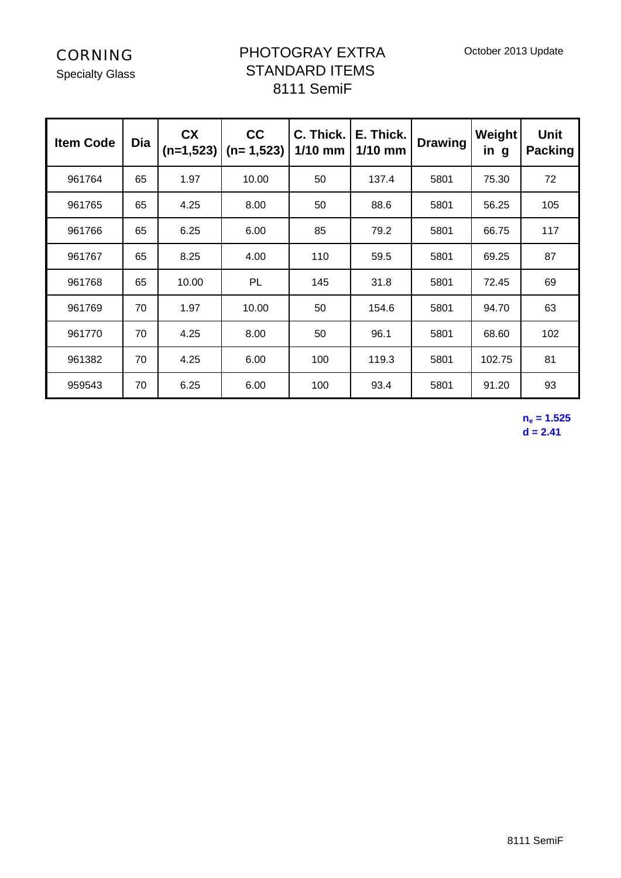Specialty Glass

## PHOTOGRAY EXTRA STANDARD ITEMS 8111 SemiF

| <b>Item Code</b> | Dia | <b>CX</b><br>$(n=1,523)$ | cc<br>$(n=1,523)$ | E. Thick.<br>C. Thick.<br>$1/10$ mm<br>$1/10$ mm |       | <b>Drawing</b> | Weight<br>in g | <b>Unit</b><br><b>Packing</b> |
|------------------|-----|--------------------------|-------------------|--------------------------------------------------|-------|----------------|----------------|-------------------------------|
| 961764           | 65  | 1.97                     | 10.00             | 50                                               | 137.4 | 5801           | 75.30          | 72                            |
| 961765           | 65  | 4.25                     | 8.00              | 50                                               | 88.6  | 5801           | 56.25          | 105                           |
| 961766           | 65  | 6.25                     | 6.00              | 85                                               | 79.2  | 5801           | 66.75          | 117                           |
| 961767           | 65  | 8.25                     | 4.00              | 110                                              | 59.5  | 5801           | 69.25          | 87                            |
| 961768           | 65  | 10.00                    | <b>PL</b>         | 145                                              | 31.8  | 5801           | 72.45          | 69                            |
| 961769           | 70  | 1.97                     | 10.00             | 50                                               | 154.6 | 5801           | 94.70          | 63                            |
| 961770           | 70  | 4.25                     | 8.00              | 50                                               | 96.1  | 5801           | 68.60          | 102                           |
| 961382           | 70  | 4.25                     | 6.00              | 100                                              | 119.3 | 5801           | 102.75         | 81                            |
| 959543           | 70  | 6.25                     | 6.00              | 100                                              | 93.4  | 5801           | 91.20          | 93                            |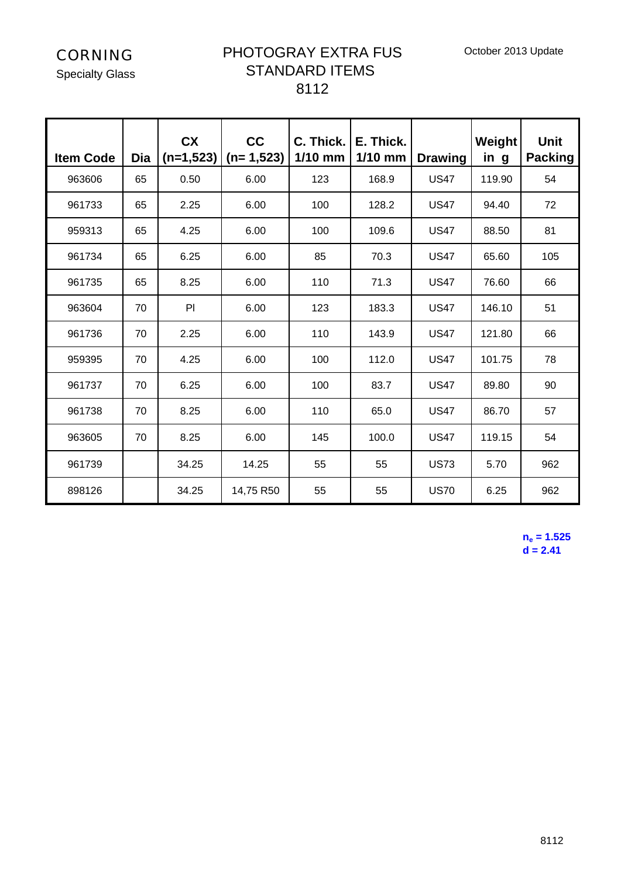October 2013 Update

CORNING

Specialty Glass

#### PHOTOGRAY EXTRA FUS STANDARD ITEMS 8112

| <b>Item Code</b> | Dia   | <b>CX</b><br>$(n=1,523)$ | cc<br>$(n=1,523)$ | C. Thick.<br>$1/10$ mm | E. Thick.<br>$1/10$ mm | <b>Drawing</b> | Weight<br>in g | <b>Unit</b><br><b>Packing</b> |
|------------------|-------|--------------------------|-------------------|------------------------|------------------------|----------------|----------------|-------------------------------|
| 963606           | 65    | 0.50                     | 6.00              | 123                    | 168.9                  | <b>US47</b>    | 119.90         | 54                            |
| 961733           | 65    | 2.25                     | 6.00              | 100                    | 128.2                  | <b>US47</b>    | 94.40          | 72                            |
| 959313           | 65    | 4.25                     | 6.00              | 100                    | 109.6                  | <b>US47</b>    | 88.50          | 81                            |
| 961734           | 65    | 6.25                     | 6.00              | 85                     | 70.3                   | <b>US47</b>    | 65.60          | 105                           |
| 961735           | 65    | 8.25                     | 6.00              | 110                    | 71.3                   | <b>US47</b>    | 76.60          | 66                            |
| 963604           | 70    | PI                       | 6.00              | 123                    | <b>US47</b><br>183.3   |                | 146.10         | 51                            |
| 961736           | 70    | 2.25                     | 6.00              | 110<br>143.9           |                        | <b>US47</b>    | 121.80         | 66                            |
| 959395           | 70    | 4.25                     | 6.00              | 100                    | 112.0                  | <b>US47</b>    | 101.75         | 78                            |
| 961737           | 70    | 6.25                     | 6.00              | 100                    | 83.7                   | <b>US47</b>    | 89.80          | 90                            |
| 961738           | 70    | 8.25                     | 6.00              | 110                    | 65.0                   | <b>US47</b>    | 86.70          | 57                            |
| 963605           | 70    | 8.25                     | 6.00              | 145                    | 100.0                  | <b>US47</b>    | 119.15         | 54                            |
| 961739           |       | 34.25                    | 14.25             | 55                     | 55<br><b>US73</b>      |                | 5.70           | 962                           |
| 898126           | 34.25 |                          | 14,75 R50         | 55                     | 55                     | <b>US70</b>    | 6.25           | 962                           |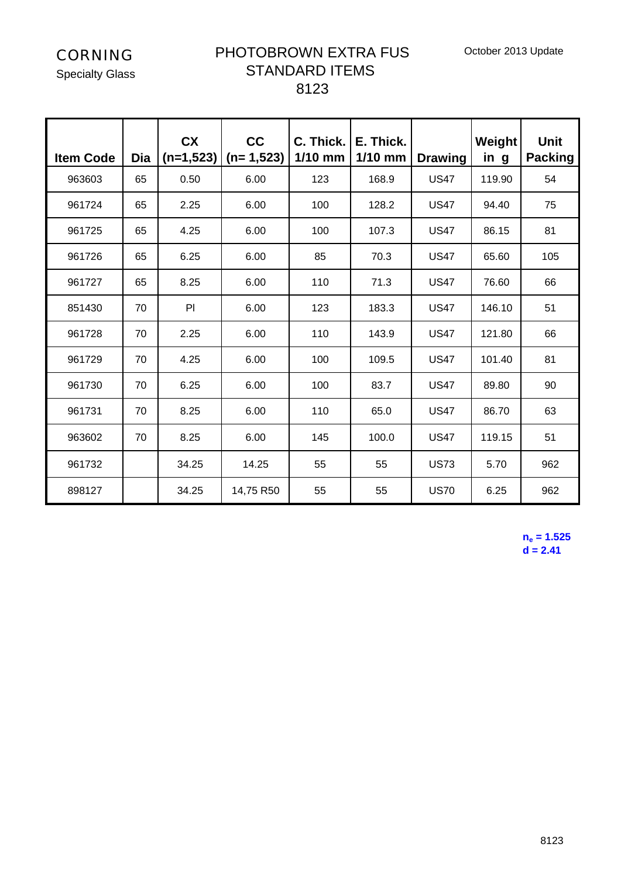October 2013 Update

CORNING

Specialty Glass

#### PHOTOBROWN EXTRA FUS STANDARD ITEMS 8123

| <b>Item Code</b> | Dia | <b>CX</b><br>$(n=1,523)$ | cc<br>$(n=1,523)$ | C. Thick.<br>$1/10$ mm | E. Thick.<br>$1/10$ mm | <b>Drawing</b> | Weight<br>in g | <b>Unit</b><br><b>Packing</b> |
|------------------|-----|--------------------------|-------------------|------------------------|------------------------|----------------|----------------|-------------------------------|
| 963603           | 65  | 0.50                     | 6.00              | 123                    | 168.9                  | <b>US47</b>    | 119.90         | 54                            |
| 961724           | 65  | 2.25                     | 6.00              | 100                    | 128.2                  | <b>US47</b>    | 94.40          | 75                            |
| 961725           | 65  | 4.25                     | 6.00              | 100                    | 107.3                  | <b>US47</b>    | 86.15          | 81                            |
| 961726           | 65  | 6.25                     | 6.00              | 85                     | 70.3                   | <b>US47</b>    | 65.60          | 105                           |
| 961727           | 65  | 8.25                     | 6.00              | 110                    | 71.3                   | <b>US47</b>    | 76.60          | 66                            |
| 851430           | 70  | PI                       | 6.00              | 123                    | 183.3                  | <b>US47</b>    | 146.10         | 51                            |
| 961728           | 70  | 2.25                     | 6.00              | 110                    | 143.9                  | <b>US47</b>    | 121.80         | 66                            |
| 961729           | 70  | 4.25                     | 6.00              | 100                    | 109.5                  | <b>US47</b>    | 101.40         | 81                            |
| 961730           | 70  | 6.25                     | 6.00              | 100                    | 83.7                   | <b>US47</b>    | 89.80          | 90                            |
| 961731           | 70  | 8.25                     | 6.00              | 110                    | 65.0                   | <b>US47</b>    | 86.70          | 63                            |
| 963602           | 70  | 8.25                     | 6.00              | 145                    | 100.0                  | <b>US47</b>    | 119.15         | 51                            |
| 961732           |     | 34.25                    | 14.25             | 55                     | 55                     | <b>US73</b>    | 5.70           | 962                           |
| 898127           |     | 34.25                    | 14,75 R50         | 55                     | 55                     | <b>US70</b>    | 6.25           | 962                           |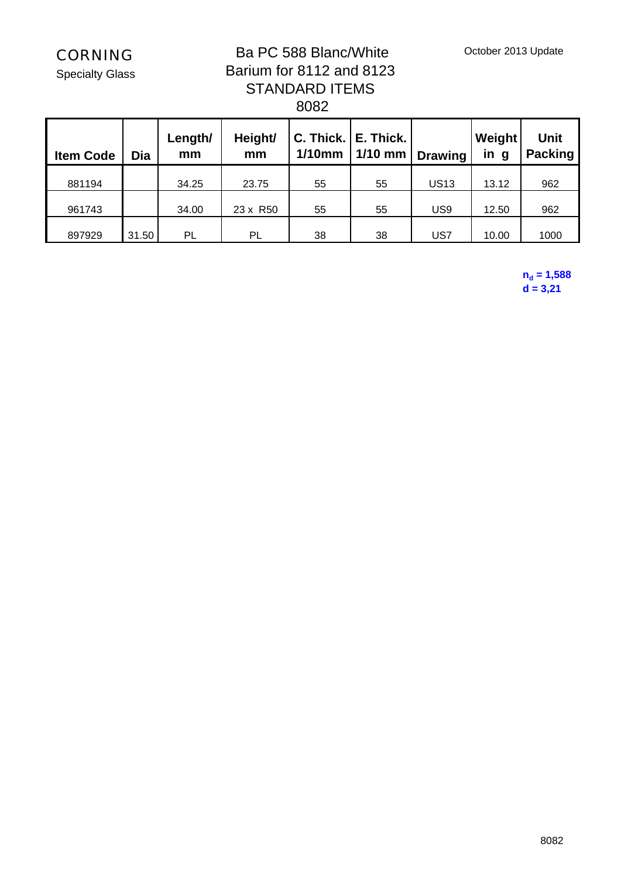Specialty Glass

## Ba PC 588 Blanc/White Barium for 8112 and 8123 STANDARD ITEMS 8082

| <b>Item Code</b> | Dia   | Length/<br>mm | C. Thick.   E. Thick.<br>Height/<br>$1/10$ mm<br>mm |    | 1/10 mm $\vert$ Drawing |             | Weight<br>in<br>g | <b>Unit</b><br><b>Packing</b> |  |
|------------------|-------|---------------|-----------------------------------------------------|----|-------------------------|-------------|-------------------|-------------------------------|--|
| 881194           |       | 34.25         | 23.75                                               | 55 | 55                      | <b>US13</b> | 13.12             | 962                           |  |
| 961743           |       | 34.00         | 23 x R50                                            | 55 | 55                      | US9         | 12.50             | 962                           |  |
| 897929           | 31.50 | PL            | PL                                                  | 38 | 38                      | US7         | 10.00             | 1000                          |  |

 $n_d = 1,588$ **d = 3,21**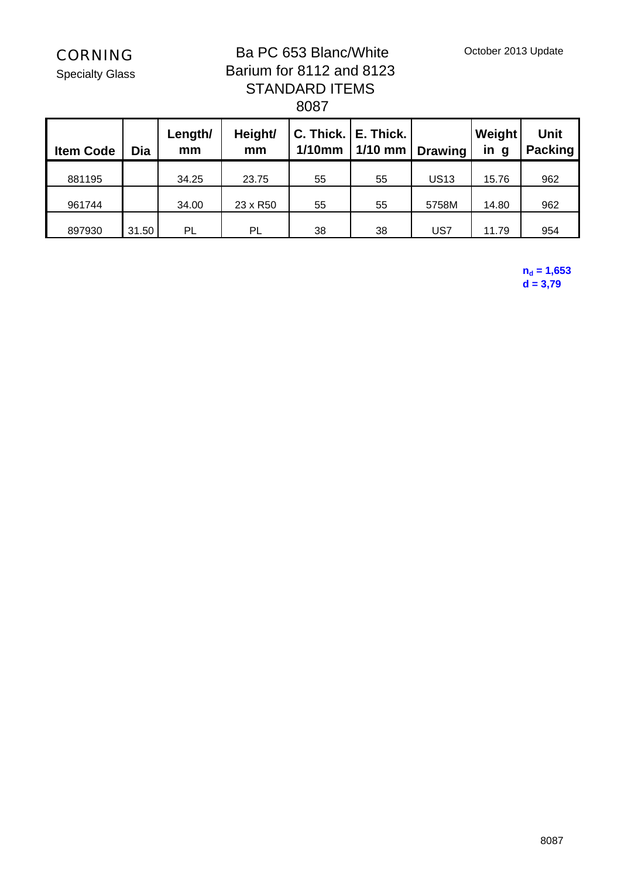October 2013 Update

CORNING

Specialty Glass

## Ba PC 653 Blanc/White Barium for 8112 and 8123 STANDARD ITEMS 8087

| <b>Item Code</b> | Dia   | Length/<br>mm | C. Thick.   E. Thick.<br>Height/<br>$1/10$ mm<br>mm |    | $1/10$ mm | <b>Drawing</b> | Weight<br>in g | <b>Unit</b><br><b>Packing</b> |  |
|------------------|-------|---------------|-----------------------------------------------------|----|-----------|----------------|----------------|-------------------------------|--|
| 881195           |       | 34.25         | 23.75                                               | 55 | 55        | <b>US13</b>    | 15.76          | 962                           |  |
| 961744           |       | 34.00         | 23 x R50                                            | 55 | 55        |                | 14.80          | 962                           |  |
| 897930           | 31.50 | PL            | PL                                                  | 38 | 38        | US7            | 11.79          | 954                           |  |

 $n_d = 1,653$  $d = 3,79$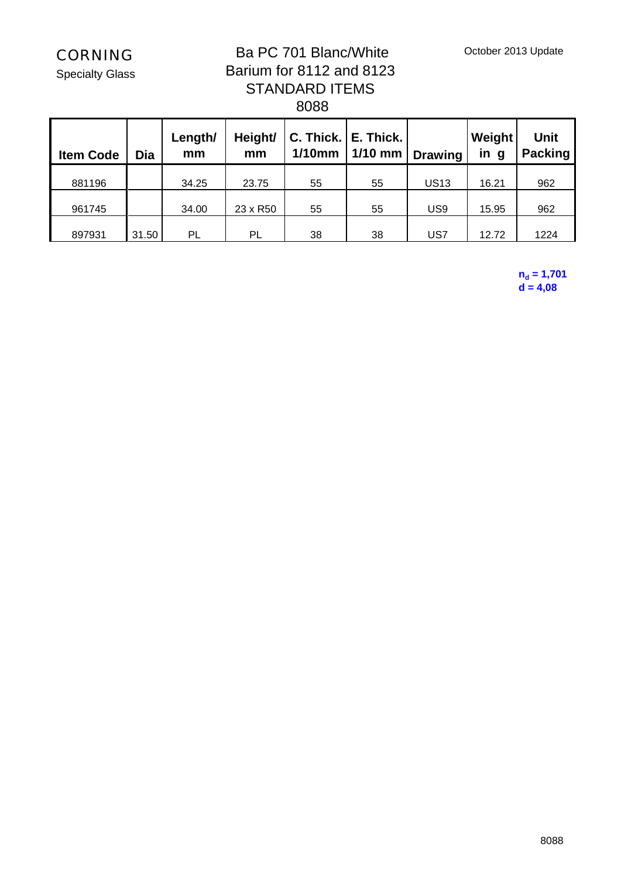October 2013 Update

CORNING

Specialty Glass

## Ba PC 701 Blanc/White Barium for 8112 and 8123 STANDARD ITEMS 8088

| <b>Item Code</b> | Dia   | Length/<br>mm | C. Thick.   E. Thick.  <br>Height/<br>$1/10$ mm<br>mm |    | $1/10$ mm | Weight<br><b>Drawing</b> |       | <b>Unit</b><br><b>Packing</b> |  |
|------------------|-------|---------------|-------------------------------------------------------|----|-----------|--------------------------|-------|-------------------------------|--|
| 881196           |       | 34.25         | 23.75                                                 | 55 | 55        | <b>US13</b>              | 16.21 | 962                           |  |
| 961745           |       | 34.00         | 23 x R50                                              | 55 | 55        | US <sub>9</sub>          | 15.95 | 962                           |  |
| 897931           | 31.50 | PL            | PL                                                    | 38 | 38        | US7                      | 12.72 | 1224                          |  |

**nd = 1,701 d = 4,08**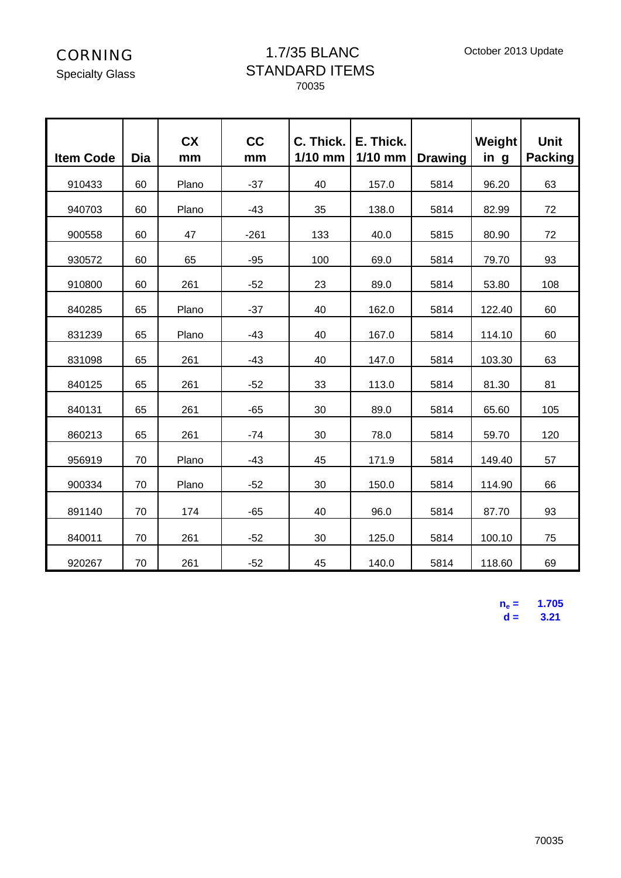#### 1.7/35 BLANC STANDARD ITEMS 70035

| <b>Item Code</b> | <b>Dia</b> | <b>CX</b><br>mm | cc<br>mm | $C.$ Thick.<br>$1/10$ mm | E. Thick.<br>$1/10$ mm | <b>Drawing</b> | Weight<br>in g | <b>Unit</b><br><b>Packing</b> |  |
|------------------|------------|-----------------|----------|--------------------------|------------------------|----------------|----------------|-------------------------------|--|
| 910433           | 60         | Plano           | $-37$    | 40<br>157.0              |                        | 5814           | 96.20          | 63                            |  |
| 940703           | 60         | Plano           | $-43$    | 35                       | 138.0                  | 5814           | 82.99          | 72                            |  |
| 900558           | 60         | 47              | $-261$   | 133                      | 40.0                   | 5815           | 80.90          | 72                            |  |
| 930572           | 60         | 65              | $-95$    | 100                      | 69.0                   | 5814           | 79.70          | 93                            |  |
| 910800           | 60         | 261             | $-52$    | 23                       | 89.0                   | 5814           | 53.80          | 108                           |  |
| 840285           | 65         | Plano           | $-37$    | 40                       | 162.0                  | 5814           | 122.40         | 60                            |  |
| 831239           | 65         | Plano           | $-43$    | 40                       | 167.0                  | 5814           | 114.10         | 60                            |  |
| 831098           | 65         | 261             | $-43$    | 40                       | 147.0                  | 5814           | 103.30         | 63                            |  |
| 840125           | 65         | 261             | $-52$    | 33                       | 113.0                  | 5814           | 81.30          | 81                            |  |
| 840131           | 65         | 261             | $-65$    | 30                       | 89.0                   | 5814           | 65.60          | 105                           |  |
| 860213           | 65         | 261             | $-74$    | 30                       | 78.0                   | 5814           | 59.70          | 120                           |  |
| 956919           | 70         | Plano           | $-43$    | 45                       | 171.9                  | 5814           | 149.40         | 57                            |  |
| 900334           | 70         | Plano           | $-52$    | 30                       | 150.0                  | 5814           | 114.90         | 66                            |  |
| 891140           | 70         | 174             | $-65$    | 40                       | 96.0                   | 5814           | 87.70          | 93                            |  |
| 840011           | 70         | 261             | $-52$    | 30                       | 125.0                  | 5814           | 100.10         | 75                            |  |
| 920267           | 70         | 261             | $-52$    | 45                       | 140.0                  | 5814           | 118.60         | 69                            |  |

 $n_e =$  **= 1.705 d = 3.21**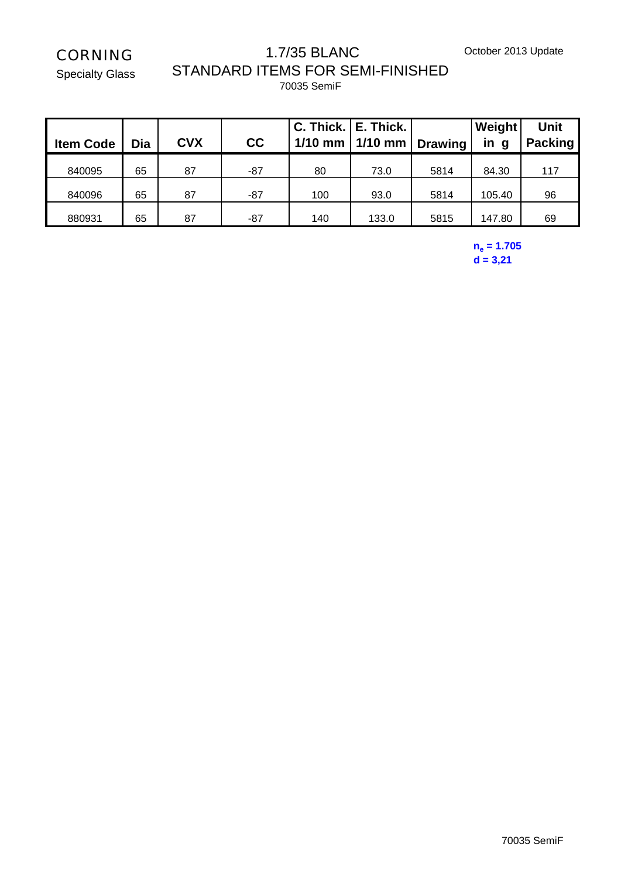October 2013 Update

# CORNING

Specialty Glass

#### 1.7/35 BLANC STANDARD ITEMS FOR SEMI-FINISHED 70035 SemiF

| <b>Item Code</b> | Dia | <b>CVX</b> | cc  | $1/10$ mm | C. Thick.   E. Thick.<br>$1/10$ mm | <b>Drawing</b> | Weight<br>in<br>g | <b>Unit</b><br><b>Packing</b> |
|------------------|-----|------------|-----|-----------|------------------------------------|----------------|-------------------|-------------------------------|
| 840095           | 65  | 87         | -87 | 80        | 73.0                               | 5814           | 84.30             | 117                           |
| 840096           | 65  | 87         | -87 | 100       | 93.0                               | 5814           | 105.40            | 96                            |
| 880931           | 65  | 87         | -87 | 140       | 133.0                              | 5815           | 147.80            | 69                            |

#### **ne = 1.705 d = 3,21**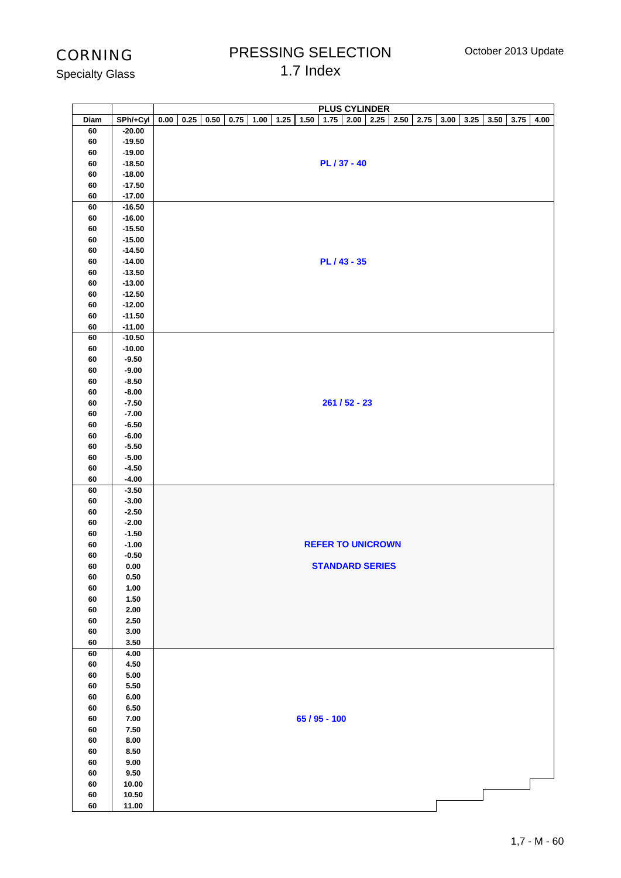October 2013 Update

## PRESSING SELECTION 1.7 Index

| <b>Specialty Glass</b> |  |
|------------------------|--|
|------------------------|--|

|          |                      | <b>PLUS CYLINDER</b>                                                                                                                |
|----------|----------------------|-------------------------------------------------------------------------------------------------------------------------------------|
| Diam     | SPh/+Cyl             | 0.25<br>0.50<br>0.75<br>1.00<br>1.25<br>1.50<br>$1.75$ 2.00<br>2.25<br>2.50<br>2.75<br>3.00<br>3.25<br>3.50<br>3.75<br>4.00<br>0.00 |
| 60       | $-20.00$<br>$-19.50$ |                                                                                                                                     |
| 60<br>60 | $-19.00$             |                                                                                                                                     |
| 60       | $-18.50$             | PL / 37 - 40                                                                                                                        |
| 60       | $-18.00$             |                                                                                                                                     |
| 60       | $-17.50$             |                                                                                                                                     |
| 60       | $-17.00$             |                                                                                                                                     |
| 60       | $-16.50$             |                                                                                                                                     |
| 60       | $-16.00$             |                                                                                                                                     |
| 60       | $-15.50$             |                                                                                                                                     |
| 60       | $-15.00$             |                                                                                                                                     |
| 60       | $-14.50$             |                                                                                                                                     |
| 60<br>60 | $-14.00$<br>$-13.50$ | PL / 43 - 35                                                                                                                        |
| 60       | $-13.00$             |                                                                                                                                     |
| 60       | $-12.50$             |                                                                                                                                     |
| 60       | $-12.00$             |                                                                                                                                     |
| 60       | $-11.50$             |                                                                                                                                     |
| 60       | $-11.00$             |                                                                                                                                     |
| 60       | $-10.50$             |                                                                                                                                     |
| 60       | $-10.00$             |                                                                                                                                     |
| 60       | $-9.50$              |                                                                                                                                     |
| 60       | $-9.00$              |                                                                                                                                     |
| 60       | $-8.50$              |                                                                                                                                     |
| 60       | $-8.00$              |                                                                                                                                     |
| 60       | $-7.50$              | $261/52 - 23$                                                                                                                       |
| 60<br>60 | $-7.00$<br>$-6.50$   |                                                                                                                                     |
| 60       | $-6.00$              |                                                                                                                                     |
| 60       | $-5.50$              |                                                                                                                                     |
| 60       | $-5.00$              |                                                                                                                                     |
| 60       | $-4.50$              |                                                                                                                                     |
| 60       | $-4.00$              |                                                                                                                                     |
| 60       | $-3.50$              |                                                                                                                                     |
| 60       | $-3.00$              |                                                                                                                                     |
| 60       | $-2.50$              |                                                                                                                                     |
| 60       | $-2.00$              |                                                                                                                                     |
| 60<br>60 | $-1.50$<br>$-1.00$   | <b>REFER TO UNICROWN</b>                                                                                                            |
| 60       | $-0.50$              |                                                                                                                                     |
| 60       | $0.00\,$             | <b>STANDARD SERIES</b>                                                                                                              |
| 60       | 0.50                 |                                                                                                                                     |
| 60       | 1.00                 |                                                                                                                                     |
| 60       | 1.50                 |                                                                                                                                     |
| 60       | 2.00                 |                                                                                                                                     |
| 60       | 2.50                 |                                                                                                                                     |
| 60       | 3.00                 |                                                                                                                                     |
| 60       | 3.50                 |                                                                                                                                     |
| 60       | 4.00                 |                                                                                                                                     |
| 60<br>60 | 4.50<br>5.00         |                                                                                                                                     |
| 60       | 5.50                 |                                                                                                                                     |
| 60       | 6.00                 |                                                                                                                                     |
| 60       | 6.50                 |                                                                                                                                     |
| 60       | $\bf 7.00$           | 65 / 95 - 100                                                                                                                       |
| 60       | 7.50                 |                                                                                                                                     |
| 60       | $\bf 8.00$           |                                                                                                                                     |
| 60       | 8.50                 |                                                                                                                                     |
| 60       | 9.00                 |                                                                                                                                     |
| 60       | 9.50                 |                                                                                                                                     |
| 60       | 10.00                |                                                                                                                                     |
| 60       | 10.50                |                                                                                                                                     |
| 60       | 11.00                |                                                                                                                                     |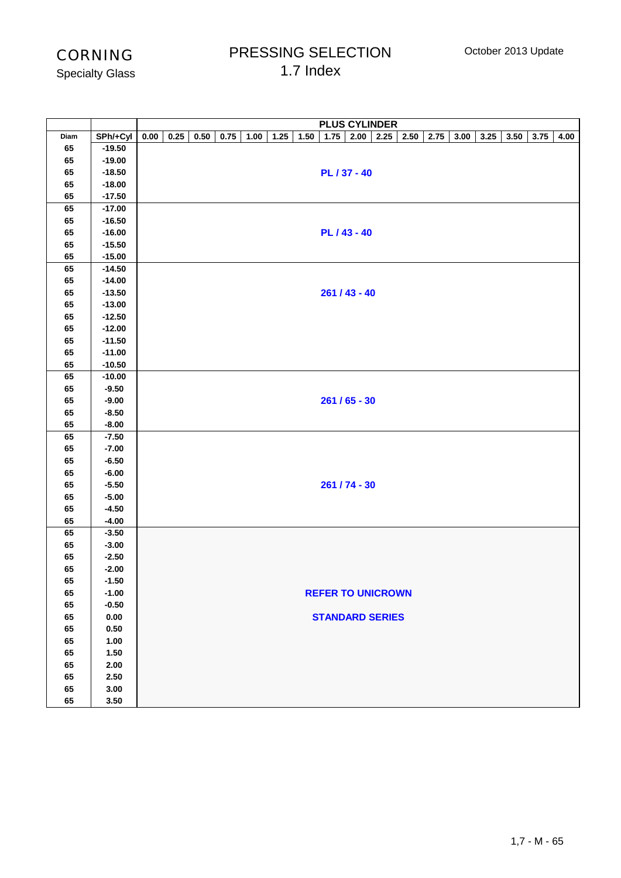## PRESSING SELECTION 1.7 Index

Specialty Glass

|      |          | <b>PLUS CYLINDER</b>                                                                                                                        |
|------|----------|---------------------------------------------------------------------------------------------------------------------------------------------|
| Diam | SPh/+Cyl | 0.25<br>$1.75$ 2.00<br>2.25<br>$2.50\,$<br>2.75<br>0.00<br>$0.50\,$<br>0.75<br>1.00<br>1.25<br>1.50<br>3.00<br>3.25<br>3.50<br>3.75<br>4.00 |
| 65   | $-19.50$ |                                                                                                                                             |
| 65   | $-19.00$ |                                                                                                                                             |
| 65   | $-18.50$ | PL / 37 - 40                                                                                                                                |
| 65   | $-18.00$ |                                                                                                                                             |
| 65   | $-17.50$ |                                                                                                                                             |
| 65   | $-17.00$ |                                                                                                                                             |
| 65   | $-16.50$ |                                                                                                                                             |
| 65   | $-16.00$ | PL / 43 - 40                                                                                                                                |
| 65   | $-15.50$ |                                                                                                                                             |
| 65   | $-15.00$ |                                                                                                                                             |
| 65   | $-14.50$ |                                                                                                                                             |
| 65   | $-14.00$ |                                                                                                                                             |
| 65   | $-13.50$ | $261 / 43 - 40$                                                                                                                             |
| 65   | $-13.00$ |                                                                                                                                             |
| 65   | $-12.50$ |                                                                                                                                             |
| 65   | $-12.00$ |                                                                                                                                             |
| 65   | $-11.50$ |                                                                                                                                             |
| 65   | $-11.00$ |                                                                                                                                             |
| 65   | $-10.50$ |                                                                                                                                             |
| 65   | $-10.00$ |                                                                                                                                             |
| 65   | $-9.50$  |                                                                                                                                             |
| 65   | $-9.00$  | $261/65 - 30$                                                                                                                               |
| 65   | $-8.50$  |                                                                                                                                             |
| 65   | $-8.00$  |                                                                                                                                             |
| 65   | $-7.50$  |                                                                                                                                             |
| 65   | $-7.00$  |                                                                                                                                             |
| 65   | $-6.50$  |                                                                                                                                             |
| 65   | $-6.00$  |                                                                                                                                             |
| 65   | $-5.50$  | 261 / 74 - 30                                                                                                                               |
| 65   | $-5.00$  |                                                                                                                                             |
| 65   | $-4.50$  |                                                                                                                                             |
| 65   | $-4.00$  |                                                                                                                                             |
| 65   | $-3.50$  |                                                                                                                                             |
| 65   | $-3.00$  |                                                                                                                                             |
| 65   | $-2.50$  |                                                                                                                                             |
| 65   | $-2.00$  |                                                                                                                                             |
| 65   | $-1.50$  |                                                                                                                                             |
| 65   | $-1.00$  | <b>REFER TO UNICROWN</b>                                                                                                                    |
| 65   | $-0.50$  |                                                                                                                                             |
| 65   | $0.00\,$ | <b>STANDARD SERIES</b>                                                                                                                      |
| 65   | $0.50\,$ |                                                                                                                                             |
| 65   | 1.00     |                                                                                                                                             |
| 65   | $1.50\,$ |                                                                                                                                             |
| 65   | $2.00\,$ |                                                                                                                                             |
| 65   | $2.50\,$ |                                                                                                                                             |
| 65   | 3.00     |                                                                                                                                             |
| 65   | 3.50     |                                                                                                                                             |
|      |          |                                                                                                                                             |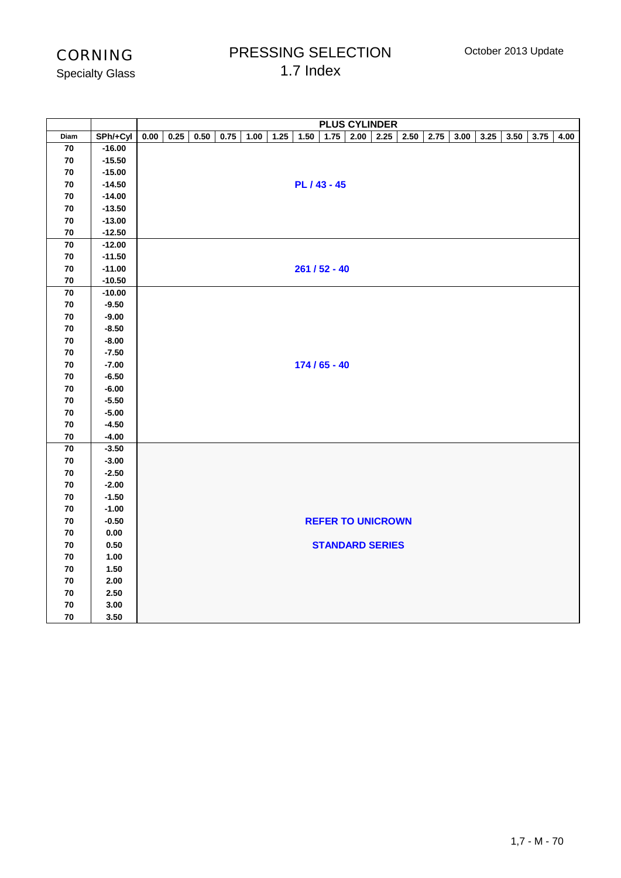## PRESSING SELECTION 1.7 Index

Specialty Glass

|                 |                    |      | <b>PLUS CYLINDER</b> |      |      |      |      |      |                 |             |                          |      |      |      |      |      |      |      |
|-----------------|--------------------|------|----------------------|------|------|------|------|------|-----------------|-------------|--------------------------|------|------|------|------|------|------|------|
| Diam            | SPh/+Cyl           | 0.00 | 0.25                 | 0.50 | 0.75 | 1.00 | 1.25 | 1.50 |                 | $1.75$ 2.00 | 2.25                     | 2.50 | 2.75 | 3.00 | 3.25 | 3.50 | 3.75 | 4.00 |
| ${\bf 70}$      | $-16.00$           |      |                      |      |      |      |      |      |                 |             |                          |      |      |      |      |      |      |      |
| 70              | $-15.50$           |      |                      |      |      |      |      |      |                 |             |                          |      |      |      |      |      |      |      |
| ${\bf 70}$      | $-15.00$           |      |                      |      |      |      |      |      |                 |             |                          |      |      |      |      |      |      |      |
| 70              | $-14.50$           |      |                      |      |      |      |      |      | PL / 43 - 45    |             |                          |      |      |      |      |      |      |      |
| 70              | $-14.00$           |      |                      |      |      |      |      |      |                 |             |                          |      |      |      |      |      |      |      |
| 70              | $-13.50$           |      |                      |      |      |      |      |      |                 |             |                          |      |      |      |      |      |      |      |
| 70              | $-13.00$           |      |                      |      |      |      |      |      |                 |             |                          |      |      |      |      |      |      |      |
| 70              | $-12.50$           |      |                      |      |      |      |      |      |                 |             |                          |      |      |      |      |      |      |      |
| 70              | $-12.00$           |      |                      |      |      |      |      |      |                 |             |                          |      |      |      |      |      |      |      |
| ${\bf 70}$      | $-11.50$           |      |                      |      |      |      |      |      |                 |             |                          |      |      |      |      |      |      |      |
| 70              | $-11.00$           |      |                      |      |      |      |      |      | $261 / 52 - 40$ |             |                          |      |      |      |      |      |      |      |
| 70              | $-10.50$           |      |                      |      |      |      |      |      |                 |             |                          |      |      |      |      |      |      |      |
| $\overline{70}$ | $-10.00$           |      |                      |      |      |      |      |      |                 |             |                          |      |      |      |      |      |      |      |
| 70              | $-9.50$            |      |                      |      |      |      |      |      |                 |             |                          |      |      |      |      |      |      |      |
| ${\bf 70}$      | $-9.00$            |      |                      |      |      |      |      |      |                 |             |                          |      |      |      |      |      |      |      |
| 70              | $-8.50$            |      |                      |      |      |      |      |      |                 |             |                          |      |      |      |      |      |      |      |
| 70              | $-8.00$            |      |                      |      |      |      |      |      |                 |             |                          |      |      |      |      |      |      |      |
| 70              | $-7.50$            |      |                      |      |      |      |      |      |                 |             |                          |      |      |      |      |      |      |      |
| ${\bf 70}$      | $-7.00$            |      |                      |      |      |      |      |      | $174/65 - 40$   |             |                          |      |      |      |      |      |      |      |
| ${\bf 70}$      | $-6.50$            |      |                      |      |      |      |      |      |                 |             |                          |      |      |      |      |      |      |      |
| 70<br>70        | $-6.00$<br>$-5.50$ |      |                      |      |      |      |      |      |                 |             |                          |      |      |      |      |      |      |      |
| ${\bf 70}$      | $-5.00$            |      |                      |      |      |      |      |      |                 |             |                          |      |      |      |      |      |      |      |
| 70              | $-4.50$            |      |                      |      |      |      |      |      |                 |             |                          |      |      |      |      |      |      |      |
| 70              | $-4.00$            |      |                      |      |      |      |      |      |                 |             |                          |      |      |      |      |      |      |      |
| 70              | $-3.50$            |      |                      |      |      |      |      |      |                 |             |                          |      |      |      |      |      |      |      |
| 70              | $-3.00$            |      |                      |      |      |      |      |      |                 |             |                          |      |      |      |      |      |      |      |
| 70              | $-2.50$            |      |                      |      |      |      |      |      |                 |             |                          |      |      |      |      |      |      |      |
| ${\bf 70}$      | $-2.00$            |      |                      |      |      |      |      |      |                 |             |                          |      |      |      |      |      |      |      |
| 70              | $-1.50$            |      |                      |      |      |      |      |      |                 |             |                          |      |      |      |      |      |      |      |
| 70              | $-1.00$            |      |                      |      |      |      |      |      |                 |             |                          |      |      |      |      |      |      |      |
| 70              | $-0.50$            |      |                      |      |      |      |      |      |                 |             | <b>REFER TO UNICROWN</b> |      |      |      |      |      |      |      |
| 70              | 0.00               |      |                      |      |      |      |      |      |                 |             |                          |      |      |      |      |      |      |      |
| 70              | $0.50\,$           |      |                      |      |      |      |      |      |                 |             | <b>STANDARD SERIES</b>   |      |      |      |      |      |      |      |
| 70              | 1.00               |      |                      |      |      |      |      |      |                 |             |                          |      |      |      |      |      |      |      |
| 70              | 1.50               |      |                      |      |      |      |      |      |                 |             |                          |      |      |      |      |      |      |      |
| 70              | 2.00               |      |                      |      |      |      |      |      |                 |             |                          |      |      |      |      |      |      |      |
| 70              | 2.50               |      |                      |      |      |      |      |      |                 |             |                          |      |      |      |      |      |      |      |
| ${\bf 70}$      | 3.00               |      |                      |      |      |      |      |      |                 |             |                          |      |      |      |      |      |      |      |
| 70              | 3.50               |      |                      |      |      |      |      |      |                 |             |                          |      |      |      |      |      |      |      |
|                 |                    |      |                      |      |      |      |      |      |                 |             |                          |      |      |      |      |      |      |      |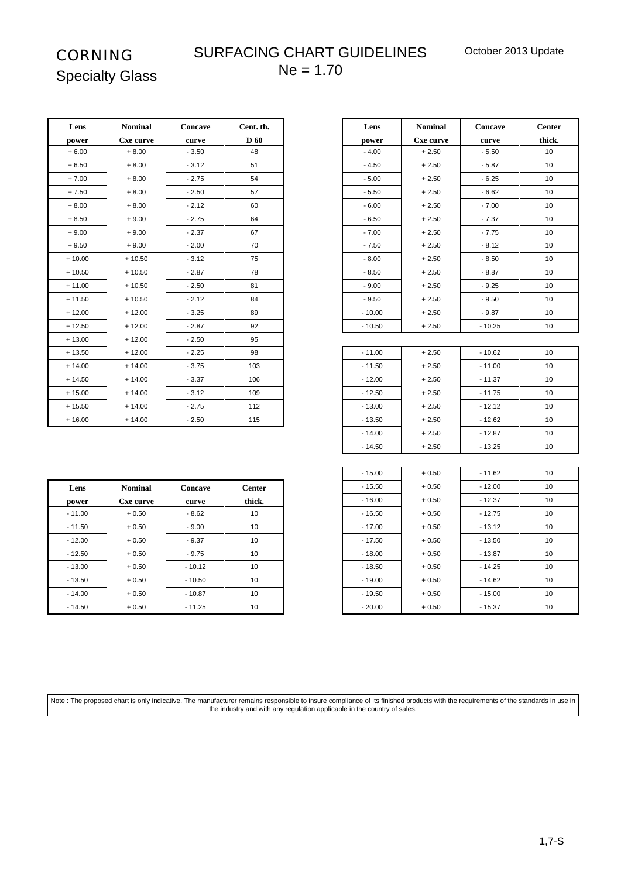٦

# CORNING Specialty Glass

## SURFACING CHART GUIDELINES  $Ne = 1.70$

| Lens     | <b>Nominal</b> | Concave | Cent. th.   | Lens     | <b>Nominal</b> | Concave  | Center          |
|----------|----------------|---------|-------------|----------|----------------|----------|-----------------|
| power    | Cxe curve      | curve   | <b>D</b> 60 | power    | Cxe curve      | curve    | thick.          |
| $+6.00$  | $+8.00$        | $-3.50$ | 48          | $-4.00$  | $+2.50$        | $-5.50$  | 10 <sup>1</sup> |
| $+6.50$  | $+8.00$        | $-3.12$ | 51          | $-4.50$  | $+2.50$        | $-5.87$  | 10              |
| $+7.00$  | $+8.00$        | $-2.75$ | 54          | $-5.00$  | $+2.50$        | $-6.25$  | 10 <sup>1</sup> |
| $+7.50$  | $+8.00$        | $-2.50$ | 57          | $-5.50$  | $+2.50$        | $-6.62$  | 10 <sup>1</sup> |
| $+8.00$  | $+8.00$        | $-2.12$ | 60          | $-6.00$  | $+2.50$        | $-7.00$  | 10              |
| $+8.50$  | $+9.00$        | $-2.75$ | 64          | $-6.50$  | $+2.50$        | $-7.37$  | 10 <sup>1</sup> |
| $+9.00$  | $+9.00$        | $-2.37$ | 67          | $-7.00$  | $+2.50$        | $-7.75$  | 10 <sup>°</sup> |
| $+9.50$  | $+9.00$        | $-2.00$ | 70          | $-7.50$  | $+2.50$        | $-8.12$  | 10              |
| $+10.00$ | $+10.50$       | $-3.12$ | 75          | $-8.00$  | $+2.50$        | $-8.50$  | 10 <sup>1</sup> |
| $+10.50$ | $+10.50$       | $-2.87$ | 78          | $-8.50$  | $+2.50$        | $-8.87$  | 10 <sup>1</sup> |
| $+11.00$ | $+10.50$       | $-2.50$ | 81          | $-9.00$  | $+2.50$        | $-9.25$  | 10 <sup>1</sup> |
| $+11.50$ | $+10.50$       | $-2.12$ | 84          | $-9.50$  | $+2.50$        | $-9.50$  | 10              |
| $+12.00$ | $+12.00$       | $-3.25$ | 89          | $-10.00$ | $+2.50$        | $-9.87$  | 10 <sup>1</sup> |
| $+12.50$ | $+12.00$       | $-2.87$ | 92          | $-10.50$ | $+2.50$        | $-10.25$ | 10 <sup>1</sup> |
| $+13.00$ | $+12.00$       | $-2.50$ | 95          |          |                |          |                 |
| $+13.50$ | $+12.00$       | $-2.25$ | 98          | $-11.00$ | $+2.50$        | $-10.62$ | 10 <sup>1</sup> |
| $+14.00$ | $+14.00$       | $-3.75$ | 103         | $-11.50$ | $+2.50$        | $-11.00$ | 10 <sup>1</sup> |
| $+14.50$ | $+14.00$       | $-3.37$ | 106         | $-12.00$ | $+2.50$        | $-11.37$ | 10              |
| $+15.00$ | $+14.00$       | $-3.12$ | 109         | $-12.50$ | $+2.50$        | $-11.75$ | 10 <sup>1</sup> |
| $+15.50$ | $+14.00$       | $-2.75$ | 112         | $-13.00$ | $+2.50$        | $-12.12$ | 10              |
| $+16.00$ | $+14.00$       | $-2.50$ | 115         | $-13.50$ | $+2.50$        | $-12.62$ | 10              |

| -----    | <b>TANATION</b> | -------  |               |          | . <i>.</i> . | <b>-</b> ------ | $\ddotsc$ |
|----------|-----------------|----------|---------------|----------|--------------|-----------------|-----------|
| power    | Cxe curve       | curve    | <b>D</b> 60   | power    | Cxe curve    | curve           | thick.    |
| $+6.00$  | $+8.00$         | $-3.50$  | 48            | $-4.00$  | $+2.50$      | $-5.50$         | 10        |
| $+6.50$  | $+8.00$         | $-3.12$  | 51            | $-4.50$  | $+2.50$      | $-5.87$         | 10        |
| $+7.00$  | $+8.00$         | $-2.75$  | 54            | $-5.00$  | $+2.50$      | $-6.25$         | 10        |
| $+7.50$  | $+8.00$         | $-2.50$  | 57            | $-5.50$  | $+2.50$      | $-6.62$         | 10        |
| $+8.00$  | $+8.00$         | $-2.12$  | 60            | $-6.00$  | $+2.50$      | $-7.00$         | 10        |
| $+8.50$  | $+9.00$         | $-2.75$  | 64            | $-6.50$  | $+2.50$      | $-7.37$         | 10        |
| $+9.00$  | $+9.00$         | $-2.37$  | 67            | $-7.00$  | $+2.50$      | $-7.75$         | 10        |
| $+9.50$  | $+9.00$         | $-2.00$  | 70            | $-7.50$  | $+2.50$      | - 8.12          | 10        |
| $+10.00$ | $+10.50$        | $-3.12$  | 75            | $-8.00$  | $+2.50$      | $-8.50$         | 10        |
| + 10.50  | $+10.50$        | $-2.87$  | 78            | $-8.50$  | $+2.50$      | $-8.87$         | 10        |
| + 11.00  | $+10.50$        | $-2.50$  | 81            | $-9.00$  | $+2.50$      | $-9.25$         | 10        |
| + 11.50  | $+10.50$        | $-2.12$  | 84            | $-9.50$  | $+2.50$      | $-9.50$         | 10        |
| $+12.00$ | $+12.00$        | $-3.25$  | 89            | $-10.00$ | $+2.50$      | $-9.87$         | 10        |
| + 12.50  | $+12.00$        | $-2.87$  | 92            | $-10.50$ | $+2.50$      | $-10.25$        | 10        |
| + 13.00  | $+12.00$        | $-2.50$  | 95            |          |              |                 |           |
| + 13.50  | $+12.00$        | $-2.25$  | 98            | $-11.00$ | $+2.50$      | $-10.62$        | 10        |
| + 14.00  | $+14.00$        | $-3.75$  | 103           | $-11.50$ | $+2.50$      | $-11.00$        | 10        |
| + 14.50  | $+14.00$        | $-3.37$  | 106           | $-12.00$ | $+2.50$      | $-11.37$        | 10        |
| $+15.00$ | $+14.00$        | $-3.12$  | 109           | $-12.50$ | $+2.50$      | $-11.75$        | 10        |
| + 15.50  | $+14.00$        | $-2.75$  | 112           | $-13.00$ | $+2.50$      | $-12.12$        | 10        |
| $+16.00$ | $+14.00$        | $-2.50$  | 115           | $-13.50$ | $+2.50$      | $-12.62$        | 10        |
|          |                 |          |               | $-14.00$ | $+2.50$      | $-12.87$        | 10        |
|          |                 |          |               | $-14.50$ | $+2.50$      | $-13.25$        | 10        |
|          |                 |          |               |          |              |                 |           |
|          |                 |          |               | $-15.00$ | $+0.50$      | $-11.62$        | 10        |
| Lens     | <b>Nominal</b>  | Concave  | <b>Center</b> | $-15.50$ | $+0.50$      | $-12.00$        | 10        |
| power    | Cxe curve       | curve    | thick.        | $-16.00$ | $+0.50$      | $-12.37$        | 10        |
| $-11.00$ | $+0.50$         | $-8.62$  | 10            | $-16.50$ | $+0.50$      | $-12.75$        | 10        |
| $-11.50$ | $+0.50$         | $-9.00$  | 10            | $-17.00$ | $+0.50$      | $-13.12$        | 10        |
| $-12.00$ | $+0.50$         | $-9.37$  | 10            | $-17.50$ | $+0.50$      | $-13.50$        | 10        |
| $-12.50$ | $+0.50$         | $-9.75$  | 10            | $-18.00$ | $+0.50$      | $-13.87$        | 10        |
| $-13.00$ | $+0.50$         | $-10.12$ | 10            | $-18.50$ | $+0.50$      | $-14.25$        | 10        |
| $-13.50$ | $+0.50$         | $-10.50$ | 10            | $-19.00$ | $+0.50$      | $-14.62$        | 10        |
| $-14.00$ | $+0.50$         | $-10.87$ | 10            | $-19.50$ | $+0.50$      | $-15.00$        | 10        |
| $-14.50$ | $+0.50$         | $-11.25$ | 10            | $-20.00$ | $+0.50$      | $-15.37$        | 10        |
|          |                 |          |               |          |              |                 |           |

| Lens     | <b>Nominal</b> | <b>Concave</b> | <b>Center</b> | $-15.50$ | $+0.50$ | $-12.00$ | 1 <sup>1</sup> |
|----------|----------------|----------------|---------------|----------|---------|----------|----------------|
| power    | Cxe curve      | curve          | thick.        | $-16.00$ | $+0.50$ | $-12.37$ | 1 <sup>1</sup> |
| $-11.00$ | $+0.50$        | $-8.62$        | 10            | $-16.50$ | $+0.50$ | $-12.75$ | 1 <sup>1</sup> |
| $-11.50$ | $+0.50$        | $-9.00$        | 10            | $-17.00$ | $+0.50$ | $-13.12$ | 1 <sup>1</sup> |
| $-12.00$ | $+0.50$        | $-9.37$        | 10            | $-17.50$ | $+0.50$ | $-13.50$ | 1 <sup>1</sup> |
| $-12.50$ | $+0.50$        | $-9.75$        | 10            | $-18.00$ | $+0.50$ | $-13.87$ | 1 <sup>1</sup> |
| $-13.00$ | $+0.50$        | $-10.12$       | 10            | $-18.50$ | $+0.50$ | $-14.25$ | 1 <sup>1</sup> |
| $-13.50$ | $+0.50$        | $-10.50$       | 10            | $-19.00$ | $+0.50$ | $-14.62$ | 1 <sup>1</sup> |
| $-14.00$ | $+0.50$        | $-10.87$       | 10            | $-19.50$ | $+0.50$ | $-15.00$ | 1 <sup>1</sup> |
| $-14.50$ | $+0.50$        | $-11.25$       | 10            | $-20.00$ | $+0.50$ | $-15.37$ | 1 <sup>1</sup> |

Note : The proposed chart is only indicative. The manufacturer remains responsible to insure compliance of its finished products with the requirements of the standards in use in the industry and with any regulation applicable in the country of sales.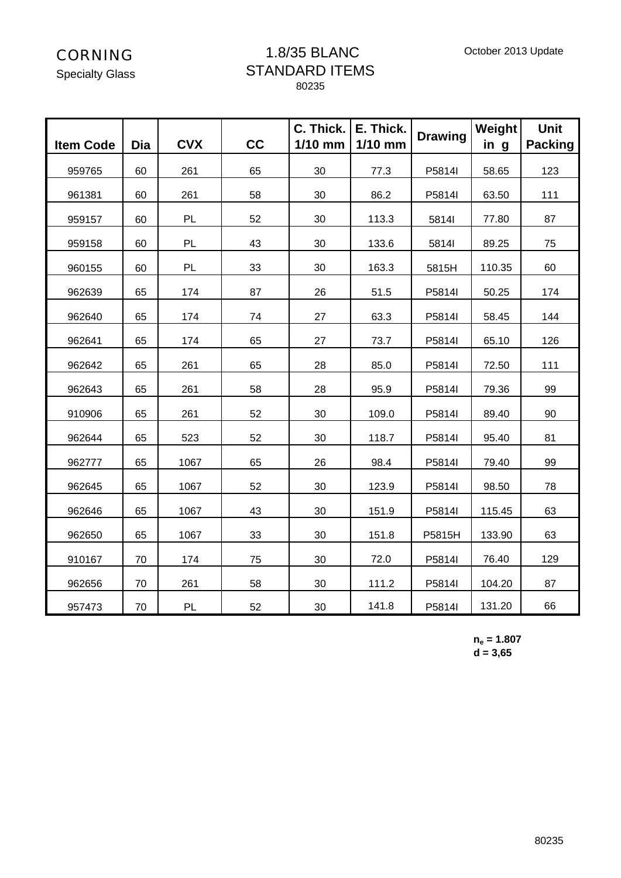#### 1.8/35 BLANC STANDARD ITEMS 80235

| <b>Item Code</b> | <b>Dia</b> | <b>CVX</b> | cc | C. Thick.<br>$1/10$ mm | E. Thick.<br>$1/10$ mm | <b>Drawing</b> | Weight<br>in g | <b>Unit</b><br><b>Packing</b> |
|------------------|------------|------------|----|------------------------|------------------------|----------------|----------------|-------------------------------|
| 959765           | 60         | 261        | 65 | 30                     | 77.3                   | P5814I         | 58.65          | 123                           |
| 961381           | 60         | 261        | 58 | 30                     | 86.2                   | P5814I         | 63.50          | 111                           |
| 959157           | 60         | PL         | 52 | 30                     | 113.3                  | 5814l          | 77.80          | 87                            |
| 959158           | 60         | PL         | 43 | 30                     | 133.6                  | 5814l          | 89.25          | 75                            |
| 960155           | 60         | PL         | 33 | 30                     | 163.3                  | 5815H          | 110.35         | 60                            |
| 962639           | 65         | 174        | 87 | 26                     | 51.5                   | P5814I         | 50.25          | 174                           |
| 962640           | 65         | 174        | 74 | 27                     | 63.3                   | P5814I         | 58.45          | 144                           |
| 962641           | 65         | 174        | 65 | 27                     | 73.7                   | P5814l         | 65.10          | 126                           |
| 962642           | 65         | 261        | 65 | 28                     | 85.0                   | P5814I         | 72.50          | 111                           |
| 962643           | 65         | 261        | 58 | 28                     | 95.9                   | P5814I         | 79.36          | 99                            |
| 910906           | 65         | 261        | 52 | 30                     | 109.0                  | P5814I         | 89.40          | 90                            |
| 962644           | 65         | 523        | 52 | 30                     | 118.7                  | P5814I         | 95.40          | 81                            |
| 962777           | 65         | 1067       | 65 | 26                     | 98.4                   | P5814I         | 79.40          | 99                            |
| 962645           | 65         | 1067       | 52 | 30                     | 123.9                  | P5814I         | 98.50          | 78                            |
| 962646           | 65         | 1067       | 43 | 30                     | 151.9                  | P5814I         | 115.45         | 63                            |
| 962650           | 65         | 1067       | 33 | 30                     | 151.8                  | P5815H         | 133.90         | 63                            |
| 910167           | 70         | 174        | 75 | 30                     | 72.0                   | P5814I         | 76.40          | 129                           |
| 962656           | 70         | 261        | 58 | 30                     | 111.2                  | P5814I         | 104.20         | 87                            |
| 957473           | 70         | PL         | 52 | 30                     | 141.8                  | P5814I         | 131.20         | 66                            |

#### **ne = 1.807 d = 3,65**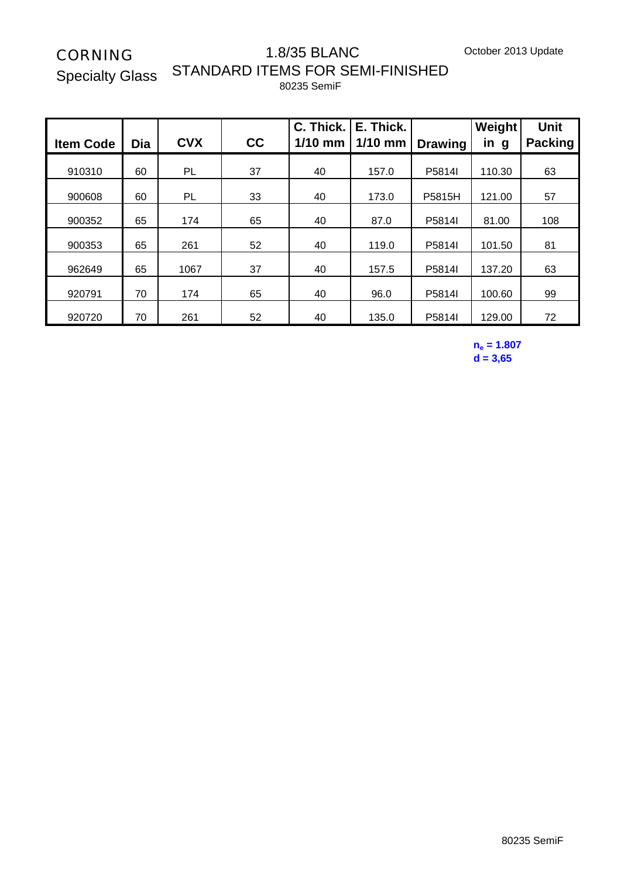Specialty Glass

#### 1.8/35 BLANC STANDARD ITEMS FOR SEMI-FINISHED 80235 SemiF

| <b>Item Code</b> | Dia | <b>CVX</b> | cc | C. Thick.<br>$1/10$ mm | E. Thick.<br>$1/10$ mm | <b>Drawing</b> | Weight<br>in g | <b>Unit</b><br><b>Packing</b> |
|------------------|-----|------------|----|------------------------|------------------------|----------------|----------------|-------------------------------|
| 910310           | 60  | PL         | 37 | 40                     | 157.0                  | P5814I         | 110.30         | 63                            |
| 900608           | 60  | PL         | 33 | 40                     | 173.0                  | P5815H         | 121.00         | 57                            |
| 900352           | 65  | 174        | 65 | 40                     | 87.0                   | P5814I         | 81.00          | 108                           |
| 900353           | 65  | 261        | 52 | 40                     | 119.0                  | P5814I         | 101.50         | 81                            |
| 962649           | 65  | 1067       | 37 | 40                     | 157.5                  | P5814I         | 137.20         | 63                            |
| 920791           | 70  | 174        | 65 | 40                     | 96.0                   | P5814I         | 100.60         | 99                            |
| 920720           | 70  | 261        | 52 | 40                     | 135.0                  | P5814I         | 129.00         | 72                            |

**ne = 1.807 d = 3,65**

80235 SemiF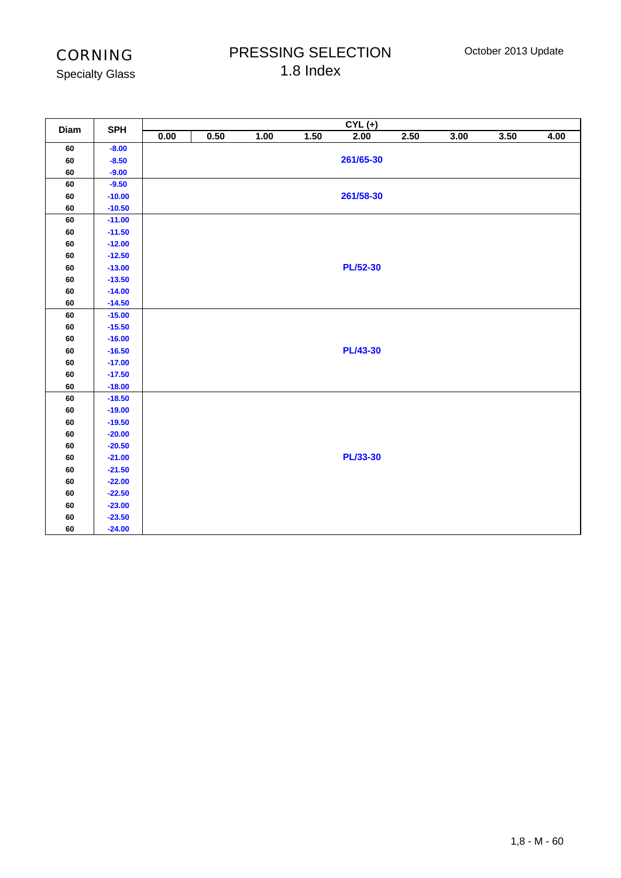Specialty Glass

## PRESSING SELECTION 1.8 Index

| Diam       | <b>SPH</b> |      |      |      |      | $CYL (+)$       |      |      |      |      |
|------------|------------|------|------|------|------|-----------------|------|------|------|------|
|            |            | 0.00 | 0.50 | 1.00 | 1.50 | 2.00            | 2.50 | 3.00 | 3.50 | 4.00 |
| 60         | $-8.00$    |      |      |      |      |                 |      |      |      |      |
| 60         | $-8.50$    |      |      |      |      | 261/65-30       |      |      |      |      |
| 60         | $-9.00$    |      |      |      |      |                 |      |      |      |      |
| 60         | $-9.50$    |      |      |      |      |                 |      |      |      |      |
| 60         | $-10.00$   |      |      |      |      | 261/58-30       |      |      |      |      |
| 60         | $-10.50$   |      |      |      |      |                 |      |      |      |      |
| ${\bf 60}$ | $-11.00$   |      |      |      |      |                 |      |      |      |      |
| 60         | $-11.50$   |      |      |      |      |                 |      |      |      |      |
| 60         | $-12.00$   |      |      |      |      |                 |      |      |      |      |
| 60         | $-12.50$   |      |      |      |      |                 |      |      |      |      |
| 60         | $-13.00$   |      |      |      |      | <b>PL/52-30</b> |      |      |      |      |
| 60         | $-13.50$   |      |      |      |      |                 |      |      |      |      |
| 60         | $-14.00$   |      |      |      |      |                 |      |      |      |      |
| 60         | $-14.50$   |      |      |      |      |                 |      |      |      |      |
| 60         | $-15.00$   |      |      |      |      |                 |      |      |      |      |
| 60         | $-15.50$   |      |      |      |      |                 |      |      |      |      |
| 60         | $-16.00$   |      |      |      |      |                 |      |      |      |      |
| 60         | $-16.50$   |      |      |      |      | <b>PL/43-30</b> |      |      |      |      |
| 60         | $-17.00$   |      |      |      |      |                 |      |      |      |      |
| ${\bf 60}$ | $-17.50$   |      |      |      |      |                 |      |      |      |      |
| 60         | $-18.00$   |      |      |      |      |                 |      |      |      |      |
| 60         | $-18.50$   |      |      |      |      |                 |      |      |      |      |
| 60         | $-19.00$   |      |      |      |      |                 |      |      |      |      |
| ${\bf 60}$ | $-19.50$   |      |      |      |      |                 |      |      |      |      |
| 60         | $-20.00$   |      |      |      |      |                 |      |      |      |      |
| 60         | $-20.50$   |      |      |      |      |                 |      |      |      |      |
| ${\bf 60}$ | $-21.00$   |      |      |      |      | <b>PL/33-30</b> |      |      |      |      |
| ${\bf 60}$ | $-21.50$   |      |      |      |      |                 |      |      |      |      |
| 60         | $-22.00$   |      |      |      |      |                 |      |      |      |      |
| $\bf 60$   | $-22.50$   |      |      |      |      |                 |      |      |      |      |
| 60         | $-23.00$   |      |      |      |      |                 |      |      |      |      |
| $\bf 60$   | $-23.50$   |      |      |      |      |                 |      |      |      |      |
| 60         | $-24.00$   |      |      |      |      |                 |      |      |      |      |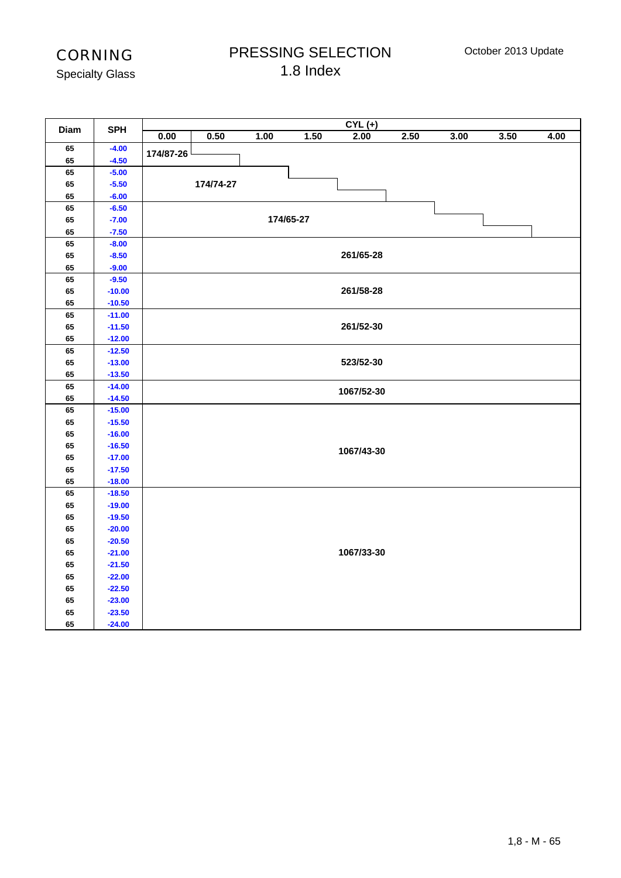## PRESSING SELECTION 1.8 Index

|          |                      |           |           |      |           | $CYL (+)$  |      |      |      |      |
|----------|----------------------|-----------|-----------|------|-----------|------------|------|------|------|------|
| Diam     | <b>SPH</b>           | 0.00      | 0.50      | 1.00 | 1.50      | 2.00       | 2.50 | 3.00 | 3.50 | 4.00 |
| 65       | $-4.00$              | 174/87-26 |           |      |           |            |      |      |      |      |
| 65       | $-4.50$              |           |           |      |           |            |      |      |      |      |
| 65       | $-5.00$              |           |           |      |           |            |      |      |      |      |
| 65       | $-5.50$              |           | 174/74-27 |      |           |            |      |      |      |      |
| 65       | $-6.00$              |           |           |      |           |            |      |      |      |      |
| 65       | $-6.50$              |           |           |      |           |            |      |      |      |      |
| 65       | $-7.00$              |           |           |      | 174/65-27 |            |      |      |      |      |
| 65       | $-7.50$              |           |           |      |           |            |      |      |      |      |
| 65       | $-8.00$              |           |           |      |           |            |      |      |      |      |
| 65       | $-8.50$              |           |           |      |           | 261/65-28  |      |      |      |      |
| 65       | $-9.00$              |           |           |      |           |            |      |      |      |      |
| 65       | $-9.50$              |           |           |      |           |            |      |      |      |      |
| 65       | $-10.00$             |           |           |      |           | 261/58-28  |      |      |      |      |
| 65       | $-10.50$             |           |           |      |           |            |      |      |      |      |
| 65       | $-11.00$             |           |           |      |           |            |      |      |      |      |
| 65       | $-11.50$             |           |           |      |           | 261/52-30  |      |      |      |      |
| 65       | $-12.00$             |           |           |      |           |            |      |      |      |      |
| 65       | $-12.50$             |           |           |      |           |            |      |      |      |      |
| 65       | $-13.00$             |           |           |      |           | 523/52-30  |      |      |      |      |
| 65       | $-13.50$             |           |           |      |           |            |      |      |      |      |
| 65<br>65 | $-14.00$<br>$-14.50$ |           |           |      |           | 1067/52-30 |      |      |      |      |
| 65       | $-15.00$             |           |           |      |           |            |      |      |      |      |
| 65       | $-15.50$             |           |           |      |           |            |      |      |      |      |
| 65       | $-16.00$             |           |           |      |           |            |      |      |      |      |
| 65       | $-16.50$             |           |           |      |           |            |      |      |      |      |
| 65       | $-17.00$             |           |           |      |           | 1067/43-30 |      |      |      |      |
| 65       | $-17.50$             |           |           |      |           |            |      |      |      |      |
| 65       | $-18.00$             |           |           |      |           |            |      |      |      |      |
| 65       | $-18.50$             |           |           |      |           |            |      |      |      |      |
| 65       | $-19.00$             |           |           |      |           |            |      |      |      |      |
| 65       | $-19.50$             |           |           |      |           |            |      |      |      |      |
| 65       | $-20.00$             |           |           |      |           |            |      |      |      |      |
| 65       | $-20.50$             |           |           |      |           |            |      |      |      |      |
| 65       | $-21.00$             |           |           |      |           | 1067/33-30 |      |      |      |      |
| 65       | $-21.50$             |           |           |      |           |            |      |      |      |      |
| 65       | $-22.00$             |           |           |      |           |            |      |      |      |      |
| 65       | $-22.50$             |           |           |      |           |            |      |      |      |      |
| 65       | $-23.00$             |           |           |      |           |            |      |      |      |      |
| 65       | $-23.50$             |           |           |      |           |            |      |      |      |      |
| 65       | $-24.00$             |           |           |      |           |            |      |      |      |      |
|          |                      |           |           |      |           |            |      |      |      |      |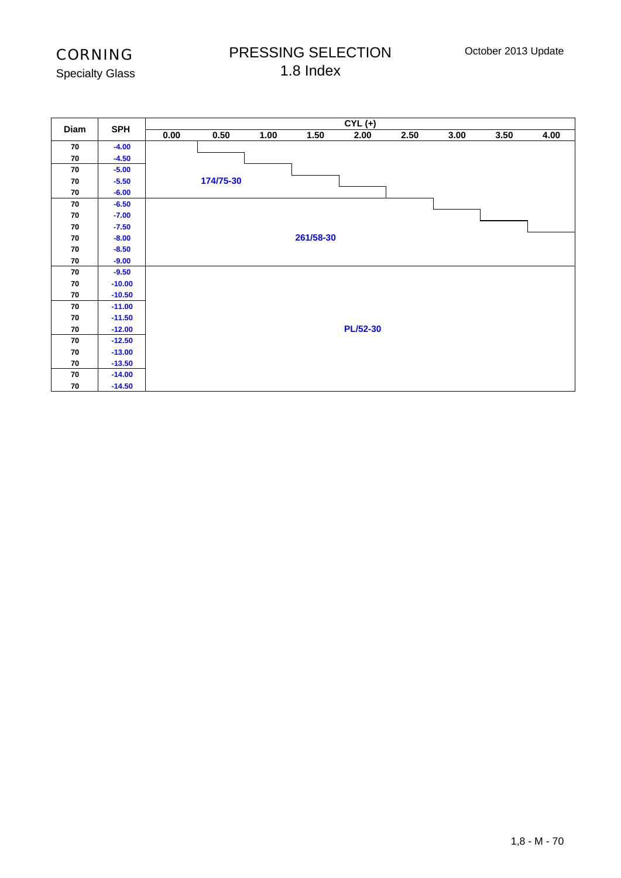## PRESSING SELECTION 1.8 Index

Specialty Glass

| Diam | <b>SPH</b> |      |           |      |           | $CYL (+)$       |      |      |      |      |
|------|------------|------|-----------|------|-----------|-----------------|------|------|------|------|
|      |            | 0.00 | 0.50      | 1.00 | 1.50      | 2.00            | 2.50 | 3.00 | 3.50 | 4.00 |
| 70   | $-4.00$    |      |           |      |           |                 |      |      |      |      |
| 70   | $-4.50$    |      |           |      |           |                 |      |      |      |      |
| 70   | $-5.00$    |      |           |      |           |                 |      |      |      |      |
| 70   | $-5.50$    |      | 174/75-30 |      |           |                 |      |      |      |      |
| 70   | $-6.00$    |      |           |      |           |                 |      |      |      |      |
| 70   | $-6.50$    |      |           |      |           |                 |      |      |      |      |
| 70   | $-7.00$    |      |           |      |           |                 |      |      |      |      |
| 70   | $-7.50$    |      |           |      |           |                 |      |      |      |      |
| 70   | $-8.00$    |      |           |      | 261/58-30 |                 |      |      |      |      |
| 70   | $-8.50$    |      |           |      |           |                 |      |      |      |      |
| 70   | $-9.00$    |      |           |      |           |                 |      |      |      |      |
| 70   | $-9.50$    |      |           |      |           |                 |      |      |      |      |
| 70   | $-10.00$   |      |           |      |           |                 |      |      |      |      |
| 70   | $-10.50$   |      |           |      |           |                 |      |      |      |      |
| 70   | $-11.00$   |      |           |      |           |                 |      |      |      |      |
| 70   | $-11.50$   |      |           |      |           |                 |      |      |      |      |
| 70   | $-12.00$   |      |           |      |           | <b>PL/52-30</b> |      |      |      |      |
| 70   | $-12.50$   |      |           |      |           |                 |      |      |      |      |
| 70   | $-13.00$   |      |           |      |           |                 |      |      |      |      |
| 70   | $-13.50$   |      |           |      |           |                 |      |      |      |      |
| 70   | $-14.00$   |      |           |      |           |                 |      |      |      |      |
| 70   | $-14.50$   |      |           |      |           |                 |      |      |      |      |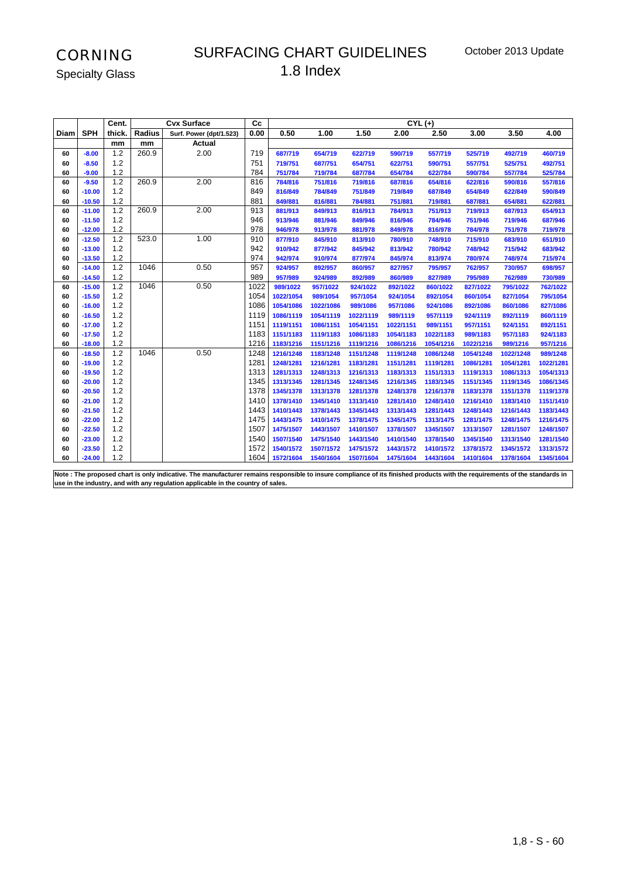#### SURFACING CHART GUIDELINES 1.8 Index

**Cc CYL (+) Diam SPH Radius Surf. Power (dpt/1.523) 0.00 0.50 1.00 1.50 2.00 2.50 3.00 3.50 4.00 mm mm Actual**<br>1.2 260.9 2.00 **-8.00** 1.2 260.9 2.00 719 **687/719 654/719 622/719 590/719 557/719 525/719 492/719 460/719 -8.50** 1.2 751 **719/751 687/751 654/751 622/751 590/751 557/751 525/751 492/751 -9.00** 1.2 784 **751/784 719/784 687/784 654/784 622/784 590/784 557/784 525/784 -9.50** 1.2 260.9 2.00 816 **784/816 751/816 719/816 687/816 654/816 622/816 590/816 557/816 -10.00** 1.2 849 **816/849 784/849 751/849 719/849 687/849 654/849 622/849 590/849 -10.50** 1.2 881 **849/881 816/881 784/881 751/881 719/881 687/881 654/881 622/881 -11.00** 1.2 260.9 2.00 913 **881/913 849/913 816/913 784/913 751/913 719/913 687/913 654/913 -11.50** 1.2 946 **913/946 881/946 849/946 816/946 784/946 751/946 719/946 687/946 -12.00** 1.2 978 **946/978 913/978 881/978 849/978 816/978 784/978 751/978 719/978 -12.50** 1.2 523.0 1.00 910 **877/910 845/910 813/910 780/910 748/910 715/910 683/910 651/910 -13.00** 1.2 942 **910/942 877/942 845/942 813/942 780/942 748/942 715/942 683/942 -13.50** 1.2 974 **942/974 910/974 877/974 845/974 813/974 780/974 748/974 715/974 -14.00** 1.2 1046 0.50 957 **924/957 892/957 860/957 827/957 795/957 762/957 730/957 698/957 -14.50** 1.2 989 **957/989 924/989 892/989 860/989 827/989 795/989 762/989 730/989 -15.00** 1.2 1046 0.50 1022 **989/1022 957/1022 924/1022 892/1022 860/1022 827/1022 795/1022 762/1022 -15.50** 1.2 1054 **1022/1054 989/1054 957/1054 924/1054 892/1054 860/1054 827/1054 795/1054 -16.00** 1.2 1086 **1054/1086 1022/1086 989/1086 957/1086 924/1086 892/1086 860/1086 827/1086 -16.50** 1.2 1119 **1086/1119 1054/1119 1022/1119 989/1119 957/1119 924/1119 892/1119 860/1119 -17.00** 1.2 1151 **1119/1151 1086/1151 1054/1151 1022/1151 989/1151 957/1151 924/1151 892/1151 -17.50** 1.2 1183 **1151/1183 1119/1183 1086/1183 1054/1183 1022/1183 989/1183 957/1183 924/1183 -18.00** 1.2 1216 **1183/1216 1151/1216 1119/1216 1086/1216 1054/1216 1022/1216 989/1216 957/1216 -18.50** 1.2 1046 0.50 1248 **1216/1248 1183/1248 1151/1248 1119/1248 1086/1248 1054/1248 1022/1248 989/1248 -19.00** 1.2 1281 **1248/1281 1216/1281 1183/1281 1151/1281 1119/1281 1086/1281 1054/1281 1022/1281 -19.50** 1.2 1313 **1281/1313 1248/1313 1216/1313 1183/1313 1151/1313 1119/1313 1086/1313 1054/1313 -20.00** 1.2 1345 **1313/1345 1281/1345 1248/1345 1216/1345 1183/1345 1151/1345 1119/1345 1086/1345 -20.50** 1.2 1378 **1345/1378 1313/1378 1281/1378 1248/1378 1216/1378 1183/1378 1151/1378 1119/1378 -21.00** 1.2 1410 **1378/1410 1345/1410 1313/1410 1281/1410 1248/1410 1216/1410 1183/1410 1151/1410 -21.50** 1.2 1443 **1410/1443 1378/1443 1345/1443 1313/1443 1281/1443 1248/1443 1216/1443 1183/1443 -22.00** 1.2 1475 **1443/1475 1410/1475 1378/1475 1345/1475 1313/1475 1281/1475 1248/1475 1216/1475 -22.50** 1.2 1507 **1475/1507 1443/1507 1410/1507 1378/1507 1345/1507 1313/1507 1281/1507 1248/1507 -23.00** 1.2 1540 **1507/1540 1475/1540 1443/1540 1410/1540 1378/1540 1345/1540 1313/1540 1281/1540 -23.50** 1.2 1572 **1540/1572 1507/1572 1475/1572 1443/1572 1410/1572 1378/1572 1345/1572 1313/1572 Cent. thick. Cvx Surface**

**Note : The proposed chart is only indicative. The manufacturer remains responsible to insure compliance of its finished products with the requirements of the standards in use in the industry, and with any regulation applicable in the country of sales.**

**-24.00** 1.2 1604 **1572/1604 1540/1604 1507/1604 1475/1604 1443/1604 1410/1604 1378/1604 1345/1604**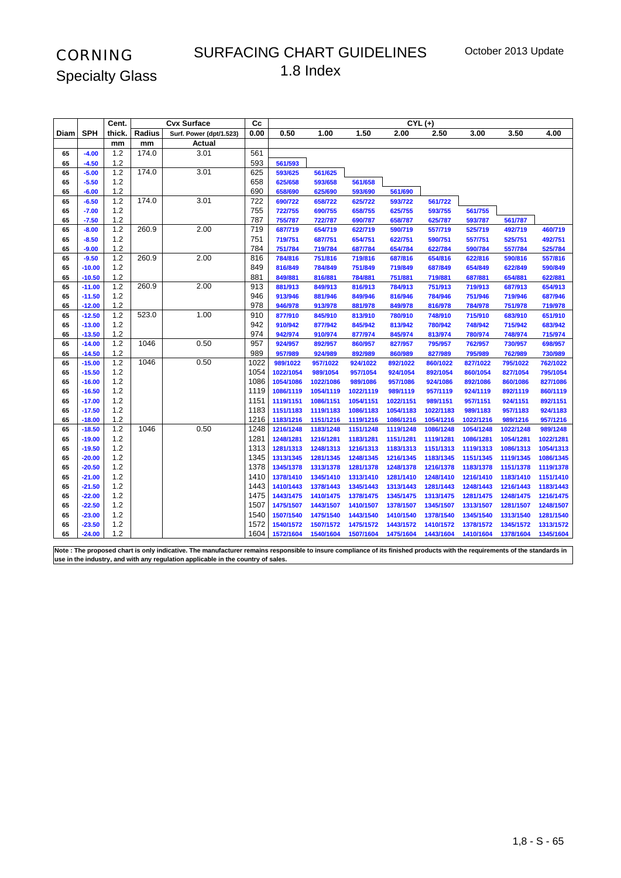#### SURFACING CHART GUIDELINES 1.8 Index

|          |                      | Cent.        |        | <b>Cvx Surface</b>      | cc         |                    |                    |                    | $CYL (+)$          |                    |                    |                    |                    |
|----------|----------------------|--------------|--------|-------------------------|------------|--------------------|--------------------|--------------------|--------------------|--------------------|--------------------|--------------------|--------------------|
| Diam     | <b>SPH</b>           | thick.       | Radius | Surf. Power (dpt/1.523) | 0.00       | 0.50               | 1.00               | 1.50               | 2.00               | 2.50               | 3.00               | 3.50               | 4.00               |
|          |                      | mm           | mm     | Actual                  |            |                    |                    |                    |                    |                    |                    |                    |                    |
| 65       | $-4.00$              | $1.2$        | 174.0  | 3.01                    | 561        |                    |                    |                    |                    |                    |                    |                    |                    |
| 65       | $-4.50$              | 1.2          |        |                         | 593        | 561/593            |                    |                    |                    |                    |                    |                    |                    |
| 65       | $-5.00$              | $1.2$        | 174.0  | 3.01                    | 625        | 593/625            | 561/625            |                    |                    |                    |                    |                    |                    |
| 65       | $-5.50$              | $1.2$        |        |                         | 658        | 625/658            | 593/658            | 561/658            |                    |                    |                    |                    |                    |
| 65       | $-6.00$              | 1.2          |        |                         | 690        | 658/690            | 625/690            | 593/690            | 561/690            |                    |                    |                    |                    |
| 65       | $-6.50$              | $1.2$        | 174.0  | 3.01                    | 722        | 690/722            | 658/722            | 625/722            | 593/722            | 561/722            |                    |                    |                    |
| 65       | $-7.00$              | 1.2          |        |                         | 755        | 722/755            | 690/755            | 658/755            | 625/755            | 593/755            | 561/755            |                    |                    |
| 65       | $-7.50$              | 1.2          |        |                         | 787        | 755/787            | 722/787            | 690/787            | 658/787            | 625/787            | 593/787            | 561/787            |                    |
| 65       | $-8.00$              | 1.2          | 260.9  | 2.00                    | 719        | 687/719            | 654/719            | 622/719            | 590/719            | 557/719            | 525/719            | 492/719            | 460/719            |
| 65       | $-8.50$              | 1.2          |        |                         | 751        | 719/751            | 687/751            | 654/751            | 622/751            | 590/751            | 557/751            | 525/751            | 492/751            |
| 65       | $-9.00$              | 1.2          |        |                         | 784        | 751/784            | 719/784            | 687/784            | 654/784            | 622/784            | 590/784            | 557/784            | 525/784            |
| 65       | $-9.50$              | 1.2          | 260.9  | 2.00                    | 816        | 784/816            | 751/816            | 719/816            | 687/816            | 654/816            | 622/816            | 590/816            | 557/816            |
| 65       | $-10.00$             | $1.2$        |        |                         | 849        | 816/849            | 784/849            | 751/849            | 719/849            | 687/849            | 654/849            | 622/849            | 590/849            |
| 65       | $-10.50$             | 1.2          | 260.9  | 2.00                    | 881<br>913 | 849/881            | 816/881            | 784/881            | 751/881            | 719/881            | 687/881            | 654/881            | 622/881            |
| 65       | $-11.00$<br>$-11.50$ | 1.2<br>$1.2$ |        |                         | 946        | 881/913            | 849/913            | 816/913            | 784/913            | 751/913            | 719/913            | 687/913            | 654/913            |
| 65       |                      | 1.2          |        |                         | 978        | 913/946<br>946/978 | 881/946            | 849/946            | 816/946            | 784/946            | 751/946            | 719/946            | 687/946            |
| 65<br>65 | $-12.00$<br>$-12.50$ | 1.2          | 523.0  | 1.00                    | 910        | 877/910            | 913/978<br>845/910 | 881/978<br>813/910 | 849/978<br>780/910 | 816/978<br>748/910 | 784/978<br>715/910 | 751/978<br>683/910 | 719/978<br>651/910 |
| 65       | $-13.00$             | $1.2$        |        |                         | 942        | 910/942            | 877/942            | 845/942            | 813/942            | 780/942            | 748/942            | 715/942            | 683/942            |
| 65       | $-13.50$             | 1.2          |        |                         | 974        | 942/974            | 910/974            | 877/974            | 845/974            | 813/974            | 780/974            | 748/974            | 715/974            |
| 65       | $-14.00$             | 1.2          | 1046   | 0.50                    | 957        | 924/957            | 892/957            | 860/957            | 827/957            | 795/957            | 762/957            | 730/957            | 698/957            |
| 65       | $-14.50$             | 1.2          |        |                         | 989        | 957/989            | 924/989            | 892/989            | 860/989            | 827/989            | 795/989            | 762/989            | 730/989            |
| 65       | $-15.00$             | 1.2          | 1046   | 0.50                    | 1022       | 989/1022           | 957/1022           | 924/1022           | 892/1022           | 860/1022           | 827/1022           | 795/1022           | 762/1022           |
| 65       | $-15.50$             | $1.2$        |        |                         | 1054       | 1022/1054          | 989/1054           | 957/1054           | 924/1054           | 892/1054           | 860/1054           | 827/1054           | 795/1054           |
| 65       | $-16.00$             | 1.2          |        |                         | 1086       | 1054/1086          | 1022/1086          | 989/1086           | 957/1086           | 924/1086           | 892/1086           | 860/1086           | 827/1086           |
| 65       | $-16.50$             | $1.2$        |        |                         | 1119       | 1086/1119          | 1054/1119          | 1022/1119          | 989/1119           | 957/1119           | 924/1119           | 892/1119           | 860/1119           |
| 65       | $-17.00$             | 1.2          |        |                         | 1151       | 1119/1151          | 1086/1151          | 1054/1151          | 1022/1151          | 989/1151           | 957/1151           | 924/1151           | 892/1151           |
| 65       | $-17.50$             | 1.2          |        |                         | 1183       | 1151/1183          | 1119/1183          | 1086/1183          | 1054/1183          | 1022/1183          | 989/1183           | 957/1183           | 924/1183           |
| 65       | $-18.00$             | 1.2          |        |                         | 1216       | 1183/1216          | 1151/1216          | 1119/1216          | 1086/1216          | 1054/1216          | 1022/1216          | 989/1216           | 957/1216           |
| 65       | $-18.50$             | $1.2$        | 1046   | 0.50                    | 1248       | 1216/1248          | 1183/1248          | 1151/1248          | 1119/1248          | 1086/1248          | 1054/1248          | 1022/1248          | 989/1248           |
| 65       | $-19.00$             | $1.2$        |        |                         | 1281       | 1248/1281          | 1216/1281          | 1183/1281          | 1151/1281          | 1119/1281          | 1086/1281          | 1054/1281          | 1022/1281          |
| 65       | $-19.50$             | $1.2$        |        |                         | 1313       | 1281/1313          | 1248/1313          | 1216/1313          | 1183/1313          | 1151/1313          | 1119/1313          | 1086/1313          | 1054/1313          |
| 65       | $-20.00$             | 1.2          |        |                         | 1345       | 1313/1345          | 1281/1345          | 1248/1345          | 1216/1345          | 1183/1345          | 1151/1345          | 1119/1345          | 1086/1345          |
| 65       | $-20.50$             | 1.2          |        |                         | 1378       | 1345/1378          | 1313/1378          | 1281/1378          | 1248/1378          | 1216/1378          | 1183/1378          | 1151/1378          | 1119/1378          |
| 65       | $-21.00$             | 1.2          |        |                         | 1410       | 1378/1410          | 1345/1410          | 1313/1410          | 1281/1410          | 1248/1410          | 1216/1410          | 1183/1410          | 1151/1410          |
| 65       | $-21.50$             | 1.2          |        |                         | 1443       | 1410/1443          | 1378/1443          | 1345/1443          | 1313/1443          | 1281/1443          | 1248/1443          | 1216/1443          | 1183/1443          |
| 65       | $-22.00$             | 1.2          |        |                         | 1475       | 1443/1475          | 1410/1475          | 1378/1475          | 1345/1475          | 1313/1475          | 1281/1475          | 1248/1475          | 1216/1475          |
| 65       | $-22.50$             | $1.2$        |        |                         | 1507       | 1475/1507          | 1443/1507          | 1410/1507          | 1378/1507          | 1345/1507          | 1313/1507          | 1281/1507          | 1248/1507          |
| 65       | $-23.00$             | 1.2          |        |                         | 1540       | 1507/1540          | 1475/1540          | 1443/1540          | 1410/1540          | 1378/1540          | 1345/1540          | 1313/1540          | 1281/1540          |
| 65       | $-23.50$             | 1.2          |        |                         | 1572       | 1540/1572          | 1507/1572          | 1475/1572          | 1443/1572          | 1410/1572          | 1378/1572          | 1345/1572          | 1313/1572          |
| 65       | $-24.00$             | 1.2          |        |                         | 1604       | 1572/1604          | 1540/1604          | 1507/1604          | 1475/1604          | 1443/1604          | 1410/1604          | 1378/1604          | 1345/1604          |

**Note : The proposed chart is only indicative. The manufacturer remains responsible to insure compliance of its finished products with the requirements of the standards in use in the industry, and with any regulation applicable in the country of sales.**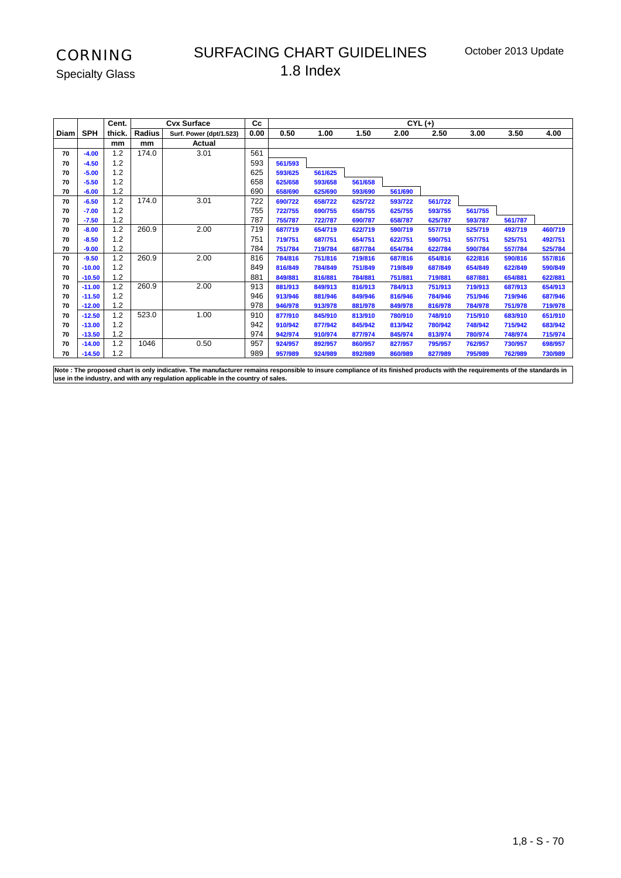#### SURFACING CHART GUIDELINES 1.8 Index

Specialty Glass

|      |            | Cent.  |        | <b>Cvx Surface</b>      | Сc   |         |         |         | $CYL (+)$ |         |         |         |         |
|------|------------|--------|--------|-------------------------|------|---------|---------|---------|-----------|---------|---------|---------|---------|
| Diam | <b>SPH</b> | thick. | Radius | Surf. Power (dpt/1.523) | 0.00 | 0.50    | 1.00    | 1.50    | 2.00      | 2.50    | 3.00    | 3.50    | 4.00    |
|      |            | mm     | mm     | Actual                  |      |         |         |         |           |         |         |         |         |
| 70   | $-4.00$    | 1.2    | 174.0  | 3.01                    | 561  |         |         |         |           |         |         |         |         |
| 70   | $-4.50$    | 1.2    |        |                         | 593  | 561/593 |         |         |           |         |         |         |         |
| 70   | $-5.00$    | 1.2    |        |                         | 625  | 593/625 | 561/625 |         |           |         |         |         |         |
| 70   | $-5.50$    | 1.2    |        |                         | 658  | 625/658 | 593/658 | 561/658 |           |         |         |         |         |
| 70   | $-6.00$    | 1.2    |        |                         | 690  | 658/690 | 625/690 | 593/690 | 561/690   |         |         |         |         |
| 70   | $-6.50$    | 1.2    | 174.0  | 3.01                    | 722  | 690/722 | 658/722 | 625/722 | 593/722   | 561/722 |         |         |         |
| 70   | $-7.00$    | 1.2    |        |                         | 755  | 722/755 | 690/755 | 658/755 | 625/755   | 593/755 | 561/755 |         |         |
| 70   | $-7.50$    | 1.2    |        |                         | 787  | 755/787 | 722/787 | 690/787 | 658/787   | 625/787 | 593/787 | 561/787 |         |
| 70   | $-8.00$    | 1.2    | 260.9  | 2.00                    | 719  | 687/719 | 654/719 | 622/719 | 590/719   | 557/719 | 525/719 | 492/719 | 460/719 |
| 70   | $-8.50$    | 1.2    |        |                         | 751  | 719/751 | 687/751 | 654/751 | 622/751   | 590/751 | 557/751 | 525/751 | 492/751 |
| 70   | $-9.00$    | 1.2    |        |                         | 784  | 751/784 | 719/784 | 687/784 | 654/784   | 622/784 | 590/784 | 557/784 | 525/784 |
| 70   | $-9.50$    | 1.2    | 260.9  | 2.00                    | 816  | 784/816 | 751/816 | 719/816 | 687/816   | 654/816 | 622/816 | 590/816 | 557/816 |
| 70   | $-10.00$   | 1.2    |        |                         | 849  | 816/849 | 784/849 | 751/849 | 719/849   | 687/849 | 654/849 | 622/849 | 590/849 |
| 70   | $-10.50$   | 1.2    |        |                         | 881  | 849/881 | 816/881 | 784/881 | 751/881   | 719/881 | 687/881 | 654/881 | 622/881 |
| 70   | $-11.00$   | 1.2    | 260.9  | 2.00                    | 913  | 881/913 | 849/913 | 816/913 | 784/913   | 751/913 | 719/913 | 687/913 | 654/913 |
| 70   | $-11.50$   | 1.2    |        |                         | 946  | 913/946 | 881/946 | 849/946 | 816/946   | 784/946 | 751/946 | 719/946 | 687/946 |
| 70   | $-12.00$   | 1.2    |        |                         | 978  | 946/978 | 913/978 | 881/978 | 849/978   | 816/978 | 784/978 | 751/978 | 719/978 |
| 70   | $-12.50$   | 1.2    | 523.0  | 1.00                    | 910  | 877/910 | 845/910 | 813/910 | 780/910   | 748/910 | 715/910 | 683/910 | 651/910 |
| 70   | $-13.00$   | 1.2    |        |                         | 942  | 910/942 | 877/942 | 845/942 | 813/942   | 780/942 | 748/942 | 715/942 | 683/942 |
| 70   | $-13.50$   | 1.2    |        |                         | 974  | 942/974 | 910/974 | 877/974 | 845/974   | 813/974 | 780/974 | 748/974 | 715/974 |
| 70   | $-14.00$   | 1.2    | 1046   | 0.50                    | 957  | 924/957 | 892/957 | 860/957 | 827/957   | 795/957 | 762/957 | 730/957 | 698/957 |
| 70   | $-14.50$   | 1.2    |        |                         | 989  | 957/989 | 924/989 | 892/989 | 860/989   | 827/989 | 795/989 | 762/989 | 730/989 |

**Note : The proposed chart is only indicative. The manufacturer remains responsible to insure compliance of its finished products with the requirements of the standards in use in the industry, and with any regulation applicable in the country of sales.**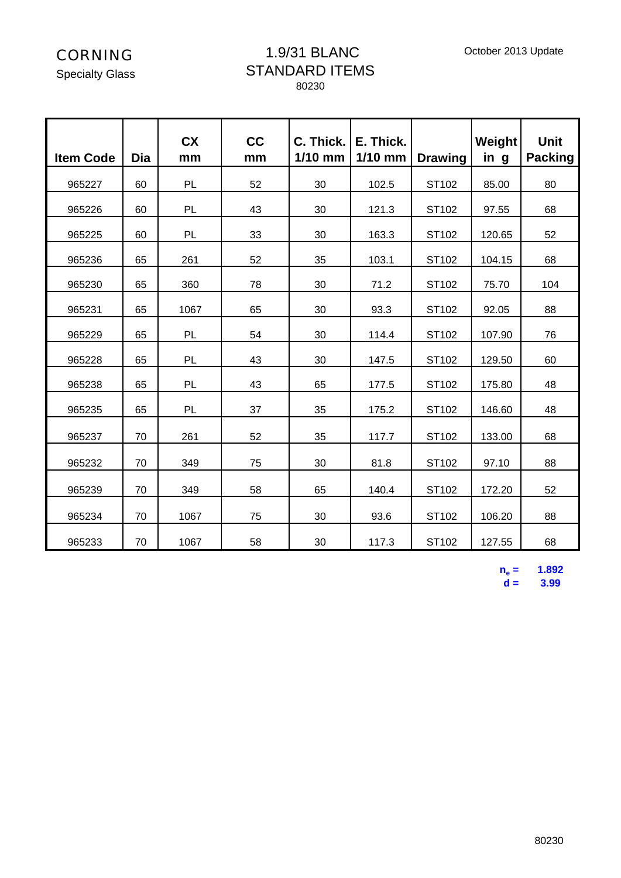Specialty Glass

#### 1.9/31 BLANC STANDARD ITEMS 80230

| <b>Item Code</b> | Dia | <b>CX</b><br>mm | cc<br>mm | C. Thick.<br>$1/10$ mm | E. Thick.<br>$1/10$ mm | <b>Drawing</b> | Weight<br>in g | <b>Unit</b><br><b>Packing</b> |
|------------------|-----|-----------------|----------|------------------------|------------------------|----------------|----------------|-------------------------------|
| 965227           | 60  | PL              | 52       | 30                     | 102.5                  | ST102          | 85.00          | 80                            |
| 965226           | 60  | PL              | 43       | 30                     | 121.3                  | ST102          | 97.55          | 68                            |
| 965225           | 60  | PL              | 33       | 30                     | 163.3                  | ST102          | 120.65         | 52                            |
| 965236           | 65  | 261             | 52       | 35                     | 103.1                  | ST102          | 104.15         | 68                            |
| 965230           | 65  | 360             | 78       | 30                     | 71.2                   | ST102          | 75.70          | 104                           |
| 965231           | 65  | 1067            | 65       | 30                     | 93.3                   | ST102          | 92.05          | 88                            |
| 965229           | 65  | PL              | 54       | 30                     | 114.4                  | ST102          | 107.90         | 76                            |
| 965228           | 65  | PL              | 43       | 30                     | 147.5                  | ST102          | 129.50         | 60                            |
| 965238           | 65  | PL              | 43       | 65                     | 177.5                  | ST102          | 175.80         | 48                            |
| 965235           | 65  | PL              | 37       | 35                     | 175.2                  | ST102          | 146.60         | 48                            |
| 965237           | 70  | 261             | 52       | 35                     | 117.7                  | ST102          | 133.00         | 68                            |
| 965232           | 70  | 349             | 75       | 30                     | 81.8                   | ST102          | 97.10          | 88                            |
| 965239           | 70  | 349             | 58       | 65                     | 140.4                  | ST102          | 172.20         | 52                            |
| 965234           | 70  | 1067            | 75       | 30                     | 93.6                   | ST102          | 106.20         | 88                            |
| 965233           | 70  | 1067            | 58       | 30                     | 117.3                  | ST102          | 127.55         | 68                            |

 $n_e =$  **= 1.892 d = 3.99**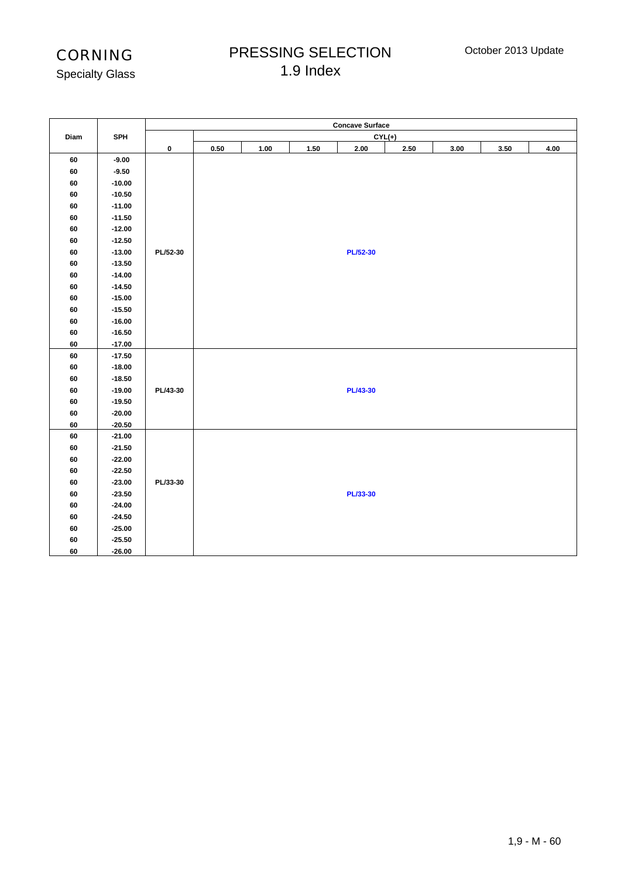## PRESSING SELECTION 1.9 Index

| <b>Specialty Glass</b> |  |
|------------------------|--|
|------------------------|--|

|          |            |          |      |      |      | <b>Concave Surface</b> |      |      |      |      |
|----------|------------|----------|------|------|------|------------------------|------|------|------|------|
| Diam     | <b>SPH</b> |          |      |      |      | $CYL(+)$               |      |      |      |      |
|          |            | 0        | 0.50 | 1.00 | 1.50 | 2.00                   | 2.50 | 3.00 | 3.50 | 4.00 |
| 60       | $-9.00$    |          |      |      |      |                        |      |      |      |      |
| 60       | $-9.50$    |          |      |      |      |                        |      |      |      |      |
| 60       | $-10.00$   |          |      |      |      |                        |      |      |      |      |
| 60       | $-10.50$   |          |      |      |      |                        |      |      |      |      |
| 60       | $-11.00$   |          |      |      |      |                        |      |      |      |      |
| 60       | $-11.50$   |          |      |      |      |                        |      |      |      |      |
| 60       | $-12.00$   |          |      |      |      |                        |      |      |      |      |
| 60       | $-12.50$   |          |      |      |      |                        |      |      |      |      |
| 60       | $-13.00$   | PL/52-30 |      |      |      | <b>PL/52-30</b>        |      |      |      |      |
| 60       | $-13.50$   |          |      |      |      |                        |      |      |      |      |
| 60       | $-14.00$   |          |      |      |      |                        |      |      |      |      |
| 60       | $-14.50$   |          |      |      |      |                        |      |      |      |      |
| 60       | $-15.00$   |          |      |      |      |                        |      |      |      |      |
| 60       | $-15.50$   |          |      |      |      |                        |      |      |      |      |
| 60       | $-16.00$   |          |      |      |      |                        |      |      |      |      |
| 60       | $-16.50$   |          |      |      |      |                        |      |      |      |      |
| $\bf 60$ | $-17.00$   |          |      |      |      |                        |      |      |      |      |
| 60       | $-17.50$   |          |      |      |      |                        |      |      |      |      |
| 60       | $-18.00$   |          |      |      |      |                        |      |      |      |      |
| 60       | $-18.50$   |          |      |      |      |                        |      |      |      |      |
| 60       | $-19.00$   | PL/43-30 |      |      |      | <b>PL/43-30</b>        |      |      |      |      |
| 60       | $-19.50$   |          |      |      |      |                        |      |      |      |      |
| 60       | $-20.00$   |          |      |      |      |                        |      |      |      |      |
| 60       | $-20.50$   |          |      |      |      |                        |      |      |      |      |
| 60       | $-21.00$   |          |      |      |      |                        |      |      |      |      |
| 60       | $-21.50$   |          |      |      |      |                        |      |      |      |      |
| 60       | $-22.00$   |          |      |      |      |                        |      |      |      |      |
| 60       | $-22.50$   |          |      |      |      |                        |      |      |      |      |
| 60       | $-23.00$   | PL/33-30 |      |      |      |                        |      |      |      |      |
| 60       | $-23.50$   |          |      |      |      | PL/33-30               |      |      |      |      |
| 60       | $-24.00$   |          |      |      |      |                        |      |      |      |      |
| 60       | $-24.50$   |          |      |      |      |                        |      |      |      |      |
| 60       | $-25.00$   |          |      |      |      |                        |      |      |      |      |
| 60       | $-25.50$   |          |      |      |      |                        |      |      |      |      |
| 60       | $-26.00$   |          |      |      |      |                        |      |      |      |      |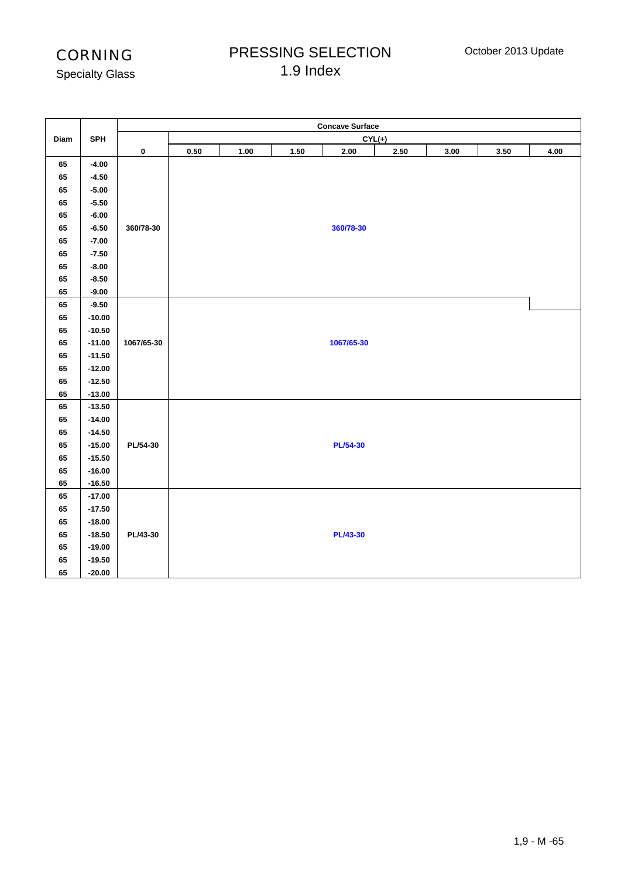## PRESSING SELECTION 1.9 Index

Specialty Glass

|      |            |            |            |      |          | <b>Concave Surface</b> |            |      |          |      |
|------|------------|------------|------------|------|----------|------------------------|------------|------|----------|------|
| Diam | <b>SPH</b> |            |            |      |          | $CYL(+)$               |            |      |          |      |
|      |            | $\pmb{0}$  | $\bf 0.50$ | 1.00 | $1.50\,$ | $2.00\,$               | $\bf 2.50$ | 3.00 | $3.50\,$ | 4.00 |
| 65   | $-4.00$    |            |            |      |          |                        |            |      |          |      |
| 65   | $-4.50$    |            |            |      |          |                        |            |      |          |      |
| 65   | $-5.00$    |            |            |      |          |                        |            |      |          |      |
| 65   | $-5.50$    |            |            |      |          |                        |            |      |          |      |
| 65   | $-6.00$    |            |            |      |          |                        |            |      |          |      |
| 65   | $-6.50$    | 360/78-30  |            |      |          | 360/78-30              |            |      |          |      |
| 65   | $-7.00$    |            |            |      |          |                        |            |      |          |      |
| 65   | $-7.50$    |            |            |      |          |                        |            |      |          |      |
| 65   | $-8.00$    |            |            |      |          |                        |            |      |          |      |
| 65   | $-8.50$    |            |            |      |          |                        |            |      |          |      |
| 65   | $-9.00$    |            |            |      |          |                        |            |      |          |      |
| 65   | $-9.50$    |            |            |      |          |                        |            |      |          |      |
| 65   | $-10.00$   |            |            |      |          |                        |            |      |          |      |
| 65   | $-10.50$   |            |            |      |          |                        |            |      |          |      |
| 65   | $-11.00$   | 1067/65-30 |            |      |          | 1067/65-30             |            |      |          |      |
| 65   | $-11.50$   |            |            |      |          |                        |            |      |          |      |
| 65   | $-12.00$   |            |            |      |          |                        |            |      |          |      |
| 65   | $-12.50$   |            |            |      |          |                        |            |      |          |      |
| 65   | $-13.00$   |            |            |      |          |                        |            |      |          |      |
| 65   | $-13.50$   |            |            |      |          |                        |            |      |          |      |
| 65   | $-14.00$   |            |            |      |          |                        |            |      |          |      |
| 65   | $-14.50$   |            |            |      |          |                        |            |      |          |      |
| 65   | $-15.00$   | PL/54-30   |            |      |          | <b>PL/54-30</b>        |            |      |          |      |
| 65   | $-15.50$   |            |            |      |          |                        |            |      |          |      |
| 65   | $-16.00$   |            |            |      |          |                        |            |      |          |      |
| 65   | $-16.50$   |            |            |      |          |                        |            |      |          |      |
| 65   | $-17.00$   |            |            |      |          |                        |            |      |          |      |
| 65   | $-17.50$   |            |            |      |          |                        |            |      |          |      |
| 65   | $-18.00$   |            |            |      |          |                        |            |      |          |      |
| 65   | $-18.50$   | PL/43-30   |            |      |          | <b>PL/43-30</b>        |            |      |          |      |
| 65   | $-19.00$   |            |            |      |          |                        |            |      |          |      |
| 65   | $-19.50$   |            |            |      |          |                        |            |      |          |      |
| 65   | $-20.00$   |            |            |      |          |                        |            |      |          |      |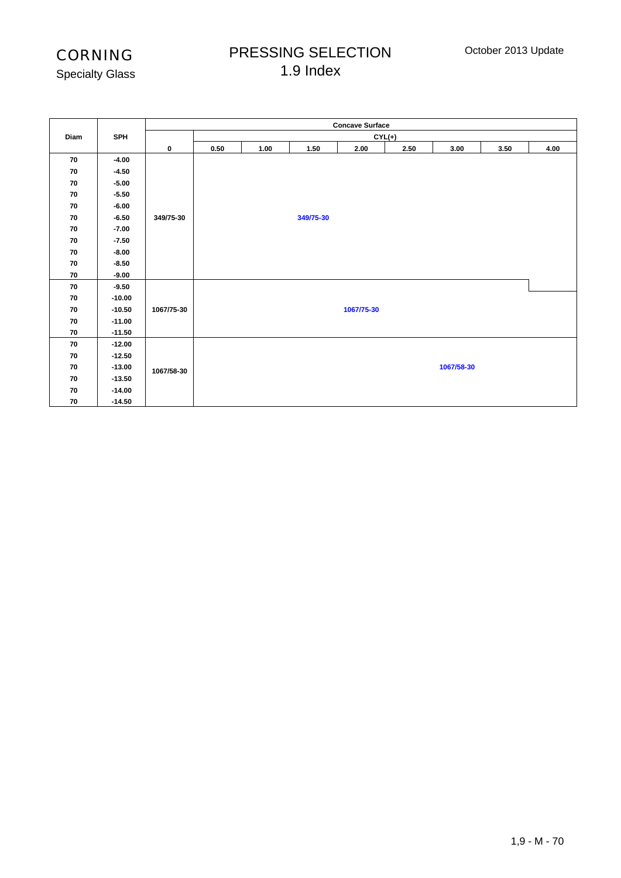## PRESSING SELECTION 1.9 Index

Specialty Glass

|      |          |             | <b>Concave Surface</b> |          |           |            |      |            |      |      |  |  |  |
|------|----------|-------------|------------------------|----------|-----------|------------|------|------------|------|------|--|--|--|
| Diam | SPH      |             |                        | $CYL(+)$ |           |            |      |            |      |      |  |  |  |
|      |          | $\mathbf 0$ | 0.50                   | 1.00     | 1.50      | 2.00       | 2.50 | 3.00       | 3.50 | 4.00 |  |  |  |
| 70   | $-4.00$  |             |                        |          |           |            |      |            |      |      |  |  |  |
| 70   | $-4.50$  |             |                        |          |           |            |      |            |      |      |  |  |  |
| 70   | $-5.00$  |             |                        |          |           |            |      |            |      |      |  |  |  |
| 70   | $-5.50$  |             |                        |          |           |            |      |            |      |      |  |  |  |
| 70   | $-6.00$  |             |                        |          |           |            |      |            |      |      |  |  |  |
| 70   | $-6.50$  | 349/75-30   |                        |          | 349/75-30 |            |      |            |      |      |  |  |  |
| 70   | $-7.00$  |             |                        |          |           |            |      |            |      |      |  |  |  |
| 70   | $-7.50$  |             |                        |          |           |            |      |            |      |      |  |  |  |
| 70   | $-8.00$  |             |                        |          |           |            |      |            |      |      |  |  |  |
| 70   | $-8.50$  |             |                        |          |           |            |      |            |      |      |  |  |  |
| 70   | $-9.00$  |             |                        |          |           |            |      |            |      |      |  |  |  |
| 70   | $-9.50$  |             |                        |          |           |            |      |            |      |      |  |  |  |
| 70   | $-10.00$ |             |                        |          |           |            |      |            |      |      |  |  |  |
| 70   | $-10.50$ | 1067/75-30  |                        |          |           | 1067/75-30 |      |            |      |      |  |  |  |
| 70   | $-11.00$ |             |                        |          |           |            |      |            |      |      |  |  |  |
| 70   | $-11.50$ |             |                        |          |           |            |      |            |      |      |  |  |  |
| 70   | $-12.00$ |             |                        |          |           |            |      |            |      |      |  |  |  |
| 70   | $-12.50$ |             |                        |          |           |            |      |            |      |      |  |  |  |
| 70   | $-13.00$ | 1067/58-30  |                        |          |           |            |      | 1067/58-30 |      |      |  |  |  |
| 70   | $-13.50$ |             |                        |          |           |            |      |            |      |      |  |  |  |
| 70   | $-14.00$ |             |                        |          |           |            |      |            |      |      |  |  |  |
| 70   | $-14.50$ |             |                        |          |           |            |      |            |      |      |  |  |  |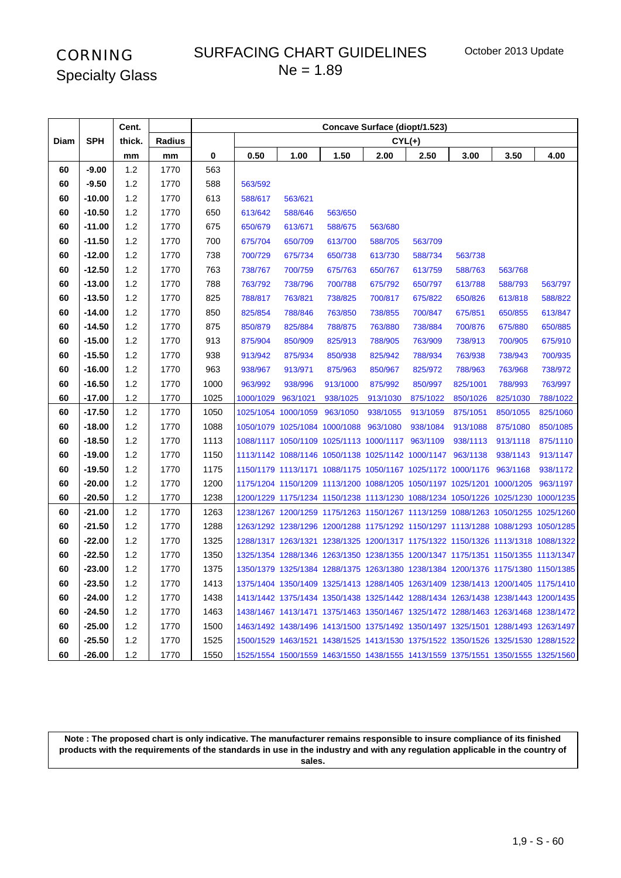#### SURFACING CHART GUIDELINES  $Ne = 1.89$

|      |            | Cent.  |        | Concave Surface (diopt/1.523) |           |                               |          |                                                                                 |          |          |          |          |
|------|------------|--------|--------|-------------------------------|-----------|-------------------------------|----------|---------------------------------------------------------------------------------|----------|----------|----------|----------|
| Diam | <b>SPH</b> | thick. | Radius |                               |           |                               |          |                                                                                 | $CYL(+)$ |          |          |          |
|      |            | mm     | mm     | 0                             | 0.50      | 1.00                          | 1.50     | 2.00                                                                            | 2.50     | 3.00     | 3.50     | 4.00     |
| 60   | $-9.00$    | 1.2    | 1770   | 563                           |           |                               |          |                                                                                 |          |          |          |          |
| 60   | $-9.50$    | 1.2    | 1770   | 588                           | 563/592   |                               |          |                                                                                 |          |          |          |          |
| 60   | $-10.00$   | 1.2    | 1770   | 613                           | 588/617   | 563/621                       |          |                                                                                 |          |          |          |          |
| 60   | $-10.50$   | $1.2$  | 1770   | 650                           | 613/642   | 588/646                       | 563/650  |                                                                                 |          |          |          |          |
| 60   | $-11.00$   | $1.2$  | 1770   | 675                           | 650/679   | 613/671                       | 588/675  | 563/680                                                                         |          |          |          |          |
| 60   | $-11.50$   | 1.2    | 1770   | 700                           | 675/704   | 650/709                       | 613/700  | 588/705                                                                         | 563/709  |          |          |          |
| 60   | $-12.00$   | 1.2    | 1770   | 738                           | 700/729   | 675/734                       | 650/738  | 613/730                                                                         | 588/734  | 563/738  |          |          |
| 60   | $-12.50$   | 1.2    | 1770   | 763                           | 738/767   | 700/759                       | 675/763  | 650/767                                                                         | 613/759  | 588/763  | 563/768  |          |
| 60   | $-13.00$   | 1.2    | 1770   | 788                           | 763/792   | 738/796                       | 700/788  | 675/792                                                                         | 650/797  | 613/788  | 588/793  | 563/797  |
| 60   | $-13.50$   | 1.2    | 1770   | 825                           | 788/817   | 763/821                       | 738/825  | 700/817                                                                         | 675/822  | 650/826  | 613/818  | 588/822  |
| 60   | $-14.00$   | 1.2    | 1770   | 850                           | 825/854   | 788/846                       | 763/850  | 738/855                                                                         | 700/847  | 675/851  | 650/855  | 613/847  |
| 60   | $-14.50$   | 1.2    | 1770   | 875                           | 850/879   | 825/884                       | 788/875  | 763/880                                                                         | 738/884  | 700/876  | 675/880  | 650/885  |
| 60   | $-15.00$   | 1.2    | 1770   | 913                           | 875/904   | 850/909                       | 825/913  | 788/905                                                                         | 763/909  | 738/913  | 700/905  | 675/910  |
| 60   | $-15.50$   | 1.2    | 1770   | 938                           | 913/942   | 875/934                       | 850/938  | 825/942                                                                         | 788/934  | 763/938  | 738/943  | 700/935  |
| 60   | $-16.00$   | 1.2    | 1770   | 963                           | 938/967   | 913/971                       | 875/963  | 850/967                                                                         | 825/972  | 788/963  | 763/968  | 738/972  |
| 60   | $-16.50$   | 1.2    | 1770   | 1000                          | 963/992   | 938/996                       | 913/1000 | 875/992                                                                         | 850/997  | 825/1001 | 788/993  | 763/997  |
| 60   | $-17.00$   | 1.2    | 1770   | 1025                          | 1000/1029 | 963/1021                      | 938/1025 | 913/1030                                                                        | 875/1022 | 850/1026 | 825/1030 | 788/1022 |
| 60   | $-17.50$   | 1.2    | 1770   | 1050                          |           | 1025/1054 1000/1059           | 963/1050 | 938/1055                                                                        | 913/1059 | 875/1051 | 850/1055 | 825/1060 |
| 60   | $-18.00$   | 1.2    | 1770   | 1088                          |           | 1050/1079 1025/1084 1000/1088 |          | 963/1080                                                                        | 938/1084 | 913/1088 | 875/1080 | 850/1085 |
| 60   | $-18.50$   | 1.2    | 1770   | 1113                          |           |                               |          | 1088/1117 1050/1109 1025/1113 1000/1117                                         | 963/1109 | 938/1113 | 913/1118 | 875/1110 |
| 60   | $-19.00$   | 1.2    | 1770   | 1150                          |           |                               |          | 1113/1142 1088/1146 1050/1138 1025/1142 1000/1147                               |          | 963/1138 | 938/1143 | 913/1147 |
| 60   | $-19.50$   | 1.2    | 1770   | 1175                          |           |                               |          | 1150/1179 1113/1171 1088/1175 1050/1167 1025/1172 1000/1176                     |          |          | 963/1168 | 938/1172 |
| 60   | $-20.00$   | 1.2    | 1770   | 1200                          |           |                               |          | 1175/1204 1150/1209 1113/1200 1088/1205 1050/1197 1025/1201 1000/1205           |          |          |          | 963/1197 |
| 60   | $-20.50$   | $1.2$  | 1770   | 1238                          |           |                               |          | 1200/1229 1175/1234 1150/1238 1113/1230 1088/1234 1050/1226 1025/1230 1000/1235 |          |          |          |          |
| 60   | $-21.00$   | 1.2    | 1770   | 1263                          |           |                               |          | 1238/1267 1200/1259 1175/1263 1150/1267 1113/1259 1088/1263 1050/1255 1025/1260 |          |          |          |          |
| 60   | $-21.50$   | 1.2    | 1770   | 1288                          |           |                               |          | 1263/1292 1238/1296 1200/1288 1175/1292 1150/1297 1113/1288 1088/1293 1050/1285 |          |          |          |          |
| 60   | $-22.00$   | 1.2    | 1770   | 1325                          |           |                               |          | 1288/1317 1263/1321 1238/1325 1200/1317 1175/1322 1150/1326 1113/1318 1088/1322 |          |          |          |          |
| 60   | $-22.50$   | 1.2    | 1770   | 1350                          |           |                               |          | 1325/1354 1288/1346 1263/1350 1238/1355 1200/1347 1175/1351 1150/1355 1113/1347 |          |          |          |          |
| 60   | $-23.00$   | 1.2    | 1770   | 1375                          |           |                               |          | 1350/1379 1325/1384 1288/1375 1263/1380 1238/1384 1200/1376 1175/1380 1150/1385 |          |          |          |          |
| 60   | $-23.50$   | 1.2    | 1770   | 1413                          |           |                               |          | 1375/1404 1350/1409 1325/1413 1288/1405 1263/1409 1238/1413 1200/1405 1175/1410 |          |          |          |          |
| 60   | $-24.00$   | $1.2$  | 1770   | 1438                          |           |                               |          | 1413/1442 1375/1434 1350/1438 1325/1442 1288/1434 1263/1438 1238/1443 1200/1435 |          |          |          |          |
| 60   | $-24.50$   | $1.2$  | 1770   | 1463                          |           |                               |          | 1438/1467 1413/1471 1375/1463 1350/1467 1325/1472 1288/1463 1263/1468 1238/1472 |          |          |          |          |
| 60   | $-25.00$   | 1.2    | 1770   | 1500                          |           |                               |          | 1463/1492 1438/1496 1413/1500 1375/1492 1350/1497 1325/1501 1288/1493 1263/1497 |          |          |          |          |
| 60   | -25.50     | 1.2    | 1770   | 1525                          |           |                               |          | 1500/1529 1463/1521 1438/1525 1413/1530 1375/1522 1350/1526 1325/1530 1288/1522 |          |          |          |          |
| 60   | -26.00     | 1.2    | 1770   | 1550                          |           |                               |          | 1525/1554 1500/1559 1463/1550 1438/1555 1413/1559 1375/1551 1350/1555 1325/1560 |          |          |          |          |

**Note : The proposed chart is only indicative. The manufacturer remains responsible to insure compliance of its finished products with the requirements of the standards in use in the industry and with any regulation applicable in the country of**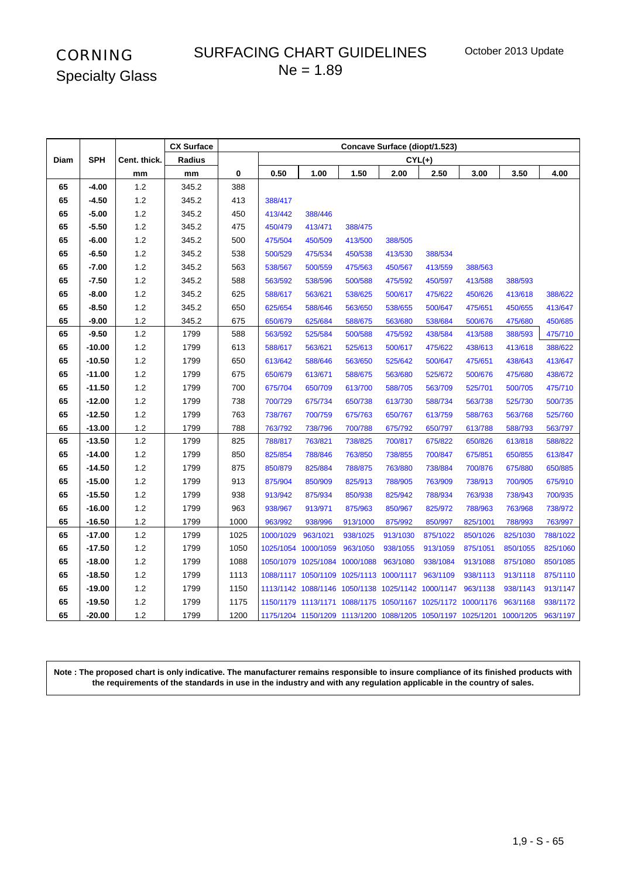## SURFACING CHART GUIDELINES  $Ne = 1.89$

|      |            |              | <b>CX Surface</b> | Concave Surface (diopt/1.523) |           |                                                                       |           |          |           |          |          |          |  |
|------|------------|--------------|-------------------|-------------------------------|-----------|-----------------------------------------------------------------------|-----------|----------|-----------|----------|----------|----------|--|
| Diam | <b>SPH</b> | Cent. thick. | Radius            |                               |           |                                                                       |           |          | $CYL(+)$  |          |          |          |  |
|      |            | mm           | mm                | 0                             | 0.50      | 1.00                                                                  | 1.50      | 2.00     | 2.50      | 3.00     | 3.50     | 4.00     |  |
| 65   | -4.00      | 1.2          | 345.2             | 388                           |           |                                                                       |           |          |           |          |          |          |  |
| 65   | -4.50      | 1.2          | 345.2             | 413                           | 388/417   |                                                                       |           |          |           |          |          |          |  |
| 65   | $-5.00$    | $1.2\,$      | 345.2             | 450                           | 413/442   | 388/446                                                               |           |          |           |          |          |          |  |
| 65   | $-5.50$    | $1.2$        | 345.2             | 475                           | 450/479   | 413/471                                                               | 388/475   |          |           |          |          |          |  |
| 65   | $-6.00$    | 1.2          | 345.2             | 500                           | 475/504   | 450/509                                                               | 413/500   | 388/505  |           |          |          |          |  |
| 65   | $-6.50$    | $1.2\,$      | 345.2             | 538                           | 500/529   | 475/534                                                               | 450/538   | 413/530  | 388/534   |          |          |          |  |
| 65   | $-7.00$    | 1.2          | 345.2             | 563                           | 538/567   | 500/559                                                               | 475/563   | 450/567  | 413/559   | 388/563  |          |          |  |
| 65   | $-7.50$    | $1.2$        | 345.2             | 588                           | 563/592   | 538/596                                                               | 500/588   | 475/592  | 450/597   | 413/588  | 388/593  |          |  |
| 65   | $-8.00$    | 1.2          | 345.2             | 625                           | 588/617   | 563/621                                                               | 538/625   | 500/617  | 475/622   | 450/626  | 413/618  | 388/622  |  |
| 65   | -8.50      | $1.2$        | 345.2             | 650                           | 625/654   | 588/646                                                               | 563/650   | 538/655  | 500/647   | 475/651  | 450/655  | 413/647  |  |
| 65   | $-9.00$    | 1.2          | 345.2             | 675                           | 650/679   | 625/684                                                               | 588/675   | 563/680  | 538/684   | 500/676  | 475/680  | 450/685  |  |
| 65   | -9.50      | $1.2$        | 1799              | 588                           | 563/592   | 525/584                                                               | 500/588   | 475/592  | 438/584   | 413/588  | 388/593  | 475/710  |  |
| 65   | $-10.00$   | 1.2          | 1799              | 613                           | 588/617   | 563/621                                                               | 525/613   | 500/617  | 475/622   | 438/613  | 413/618  | 388/622  |  |
| 65   | $-10.50$   | $1.2$        | 1799              | 650                           | 613/642   | 588/646                                                               | 563/650   | 525/642  | 500/647   | 475/651  | 438/643  | 413/647  |  |
| 65   | $-11.00$   | 1.2          | 1799              | 675                           | 650/679   | 613/671                                                               | 588/675   | 563/680  | 525/672   | 500/676  | 475/680  | 438/672  |  |
| 65   | $-11.50$   | $1.2$        | 1799              | 700                           | 675/704   | 650/709                                                               | 613/700   | 588/705  | 563/709   | 525/701  | 500/705  | 475/710  |  |
| 65   | $-12.00$   | $1.2$        | 1799              | 738                           | 700/729   | 675/734                                                               | 650/738   | 613/730  | 588/734   | 563/738  | 525/730  | 500/735  |  |
| 65   | $-12.50$   | $1.2$        | 1799              | 763                           | 738/767   | 700/759                                                               | 675/763   | 650/767  | 613/759   | 588/763  | 563/768  | 525/760  |  |
| 65   | $-13.00$   | $1.2$        | 1799              | 788                           | 763/792   | 738/796                                                               | 700/788   | 675/792  | 650/797   | 613/788  | 588/793  | 563/797  |  |
| 65   | $-13.50$   | $1.2$        | 1799              | 825                           | 788/817   | 763/821                                                               | 738/825   | 700/817  | 675/822   | 650/826  | 613/818  | 588/822  |  |
| 65   | $-14.00$   | $1.2$        | 1799              | 850                           | 825/854   | 788/846                                                               | 763/850   | 738/855  | 700/847   | 675/851  | 650/855  | 613/847  |  |
| 65   | $-14.50$   | $1.2$        | 1799              | 875                           | 850/879   | 825/884                                                               | 788/875   | 763/880  | 738/884   | 700/876  | 675/880  | 650/885  |  |
| 65   | $-15.00$   | $1.2$        | 1799              | 913                           | 875/904   | 850/909                                                               | 825/913   | 788/905  | 763/909   | 738/913  | 700/905  | 675/910  |  |
| 65   | $-15.50$   | $1.2$        | 1799              | 938                           | 913/942   | 875/934                                                               | 850/938   | 825/942  | 788/934   | 763/938  | 738/943  | 700/935  |  |
| 65   | $-16.00$   | 1.2          | 1799              | 963                           | 938/967   | 913/971                                                               | 875/963   | 850/967  | 825/972   | 788/963  | 763/968  | 738/972  |  |
| 65   | $-16.50$   | $1.2$        | 1799              | 1000                          | 963/992   | 938/996                                                               | 913/1000  | 875/992  | 850/997   | 825/1001 | 788/993  | 763/997  |  |
| 65   | $-17.00$   | $1.2$        | 1799              | 1025                          | 1000/1029 | 963/1021                                                              | 938/1025  | 913/1030 | 875/1022  | 850/1026 | 825/1030 | 788/1022 |  |
| 65   | $-17.50$   | $1.2$        | 1799              | 1050                          |           | 1025/1054 1000/1059                                                   | 963/1050  | 938/1055 | 913/1059  | 875/1051 | 850/1055 | 825/1060 |  |
| 65   | $-18.00$   | $1.2$        | 1799              | 1088                          |           | 1050/1079 1025/1084                                                   | 1000/1088 | 963/1080 | 938/1084  | 913/1088 | 875/1080 | 850/1085 |  |
| 65   | $-18.50$   | $1.2$        | 1799              | 1113                          |           | 1088/1117 1050/1109 1025/1113 1000/1117                               |           |          | 963/1109  | 938/1113 | 913/1118 | 875/1110 |  |
| 65   | $-19.00$   | $1.2$        | 1799              | 1150                          |           | 1113/1142 1088/1146 1050/1138 1025/1142                               |           |          | 1000/1147 | 963/1138 | 938/1143 | 913/1147 |  |
| 65   | $-19.50$   | $1.2$        | 1799              | 1175                          |           | 1150/1179 1113/1171 1088/1175 1050/1167 1025/1172 1000/1176           |           |          |           |          | 963/1168 | 938/1172 |  |
| 65   | $-20.00$   | 1.2          | 1799              | 1200                          |           | 1175/1204 1150/1209 1113/1200 1088/1205 1050/1197 1025/1201 1000/1205 |           |          |           |          |          | 963/1197 |  |

**Note : The proposed chart is only indicative. The manufacturer remains responsible to insure compliance of its finished products with the requirements of the standards in use in the industry and with any regulation applicable in the country of sales.**